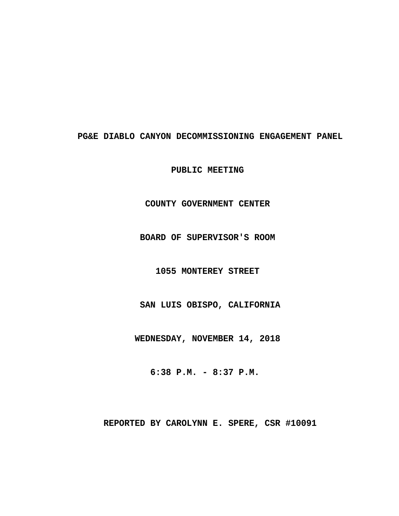# PG&E DIABLO CANYON DECOMMISSIONING ENGAGEMENT PANEL

PUBLIC MEETING

# **· · · · · · · · · COUNTY GOVERNMENT CENTER**

**· · · · · · · · ·BOARD OF SUPERVISOR'S ROOM**

# **· · · · · · · · · · 1055 MONTEREY STREET**

SAN LUIS OBISPO, CALIFORNIA

**· · · · · · · · WEDNESDAY, NOVEMBER 14, 2018**

**· · · · · · · · · ·6:38 P.M. - 8:37 P.M.**

REPORTED BY CAROLYNN E. SPERE, CSR #10091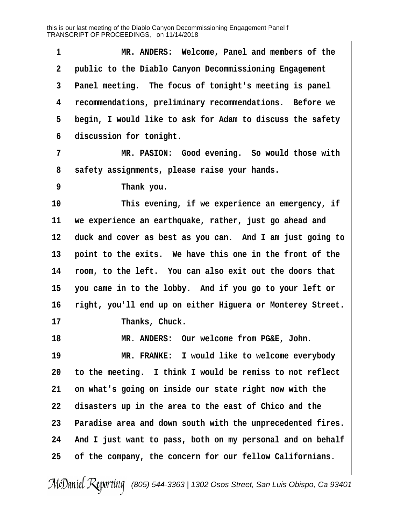**·1· · · · · · ·MR. ANDERS:· Welcome, Panel and members of the ·2· ·public to the Diablo Canyon Decommissioning Engagement ·3· ·Panel meeting.· The focus of tonight's meeting is panel ·4· ·recommendations, preliminary recommendations.· Before we ·5· ·begin, I would like to ask for Adam to discuss the safety** 6 discussion for tonight. **·7· · · · · · ·MR. PASION:· Good evening.· So would those with ·8· ·safety assignments, please raise your hands. ·9· · · · · · ·Thank you.** 10 This evening, if we experience an emergency, if 11 we experience an earthquake, rather, just go ahead and **12· ·duck and cover as best as you can.· And I am just going to** 13 point to the exits. We have this one in the front of the **14· ·room, to the left.· You can also exit out the doors that 15· ·you came in to the lobby.· And if you go to your left or 16· ·right, you'll end up on either Higuera or Monterey Street.** 17 **Thanks, Chuck. 18· · · · · · ·MR. ANDERS:· Our welcome from PG&E, John. 19· · · · · · ·MR. FRANKE:· I would like to welcome everybody 20· ·to the meeting.· I think I would be remiss to not reflect** 21 on what's going on inside our state right now with the **22· ·disasters up in the area to the east of Chico and the** 23 Paradise area and down south with the unprecedented fires. 24 And I just want to pass, both on my personal and on behalf **25· ·of the company, the concern for our fellow Californians.**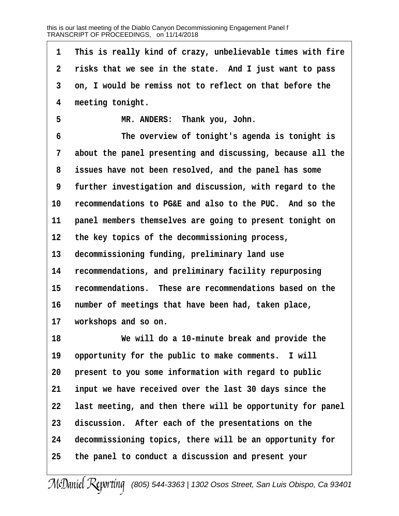**·1· ·This is really kind of crazy, unbelievable times with fire ·2· ·risks that we see in the state.· And I just want to pass ·3· ·on, I would be remiss not to reflect on that before the ·4· ·meeting tonight. ·5· · · · · · ·MR. ANDERS:· Thank you, John. ·6· · · · · · ·The overview of tonight's agenda is tonight is ·7· ·about the panel presenting and discussing, because all the ·8· ·issues have not been resolved, and the panel has some ·9· ·further investigation and discussion, with regard to the** 10 recommendations to PG&E and also to the PUC. And so the 11 **panel members themselves are going to present tonight on 12· ·the key topics of the decommissioning process,** 13 decommissioning funding, preliminary land use **14· ·recommendations, and preliminary facility repurposing 15· ·recommendations.· These are recommendations based on the 16· ·number of meetings that have been had, taken place,** 17 workshops and so on. **18· · · · · · ·We will do a 10-minute break and provide the** 19 opportunity for the public to make comments. I will 20 **present to you some information with regard to public 21· ·input we have received over the last 30 days since the 22· ·last meeting, and then there will be opportunity for panel** 23 discussion. After each of the presentations on the **24· ·decommissioning topics, there will be an opportunity for 25· ·the panel to conduct a discussion and present your**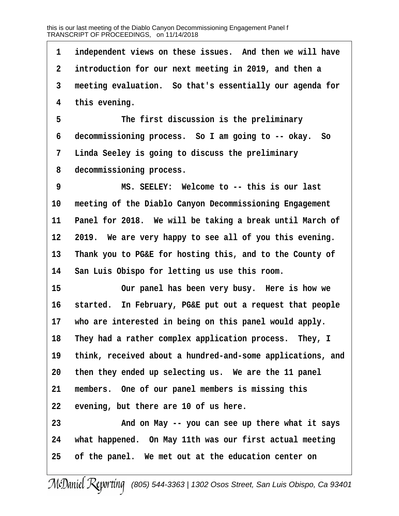1 independent views on these issues. And then we will have **·2· ·introduction for our next meeting in 2019, and then a ·3· ·meeting evaluation.· So that's essentially our agenda for ·4· ·this evening.** 5 **• The first discussion is the preliminary ·6· ·decommissioning process.· So I am going to -- okay.· So**

**·7· ·Linda Seeley is going to discuss the preliminary ·8· ·decommissioning process.**

**·9· · · · · · ·MS. SEELEY:· Welcome to -- this is our last** 10 meeting of the Diablo Canyon Decommissioning Engagement 11 Panel for 2018. We will be taking a break until March of 12 **2019.** We are very happy to see all of you this evening. **13· ·Thank you to PG&E for hosting this, and to the County of** 14 San Luis Obispo for letting us use this room.

15 **15** 0ur panel has been very busy. Here is how we 16 started. In February, PG&E put out a request that people 17 who are interested in being on this panel would apply. 18 They had a rather complex application process. They, I **19· ·think, received about a hundred-and-some applications, and 20· ·then they ended up selecting us.· We are the 11 panel** 21 members. One of our panel members is missing this 22 evening, but there are 10 of us here.

**23· · · · · · ·And on May -- you can see up there what it says 24· ·what happened.· On May 11th was our first actual meeting 25· ·of the panel.· We met out at the education center on**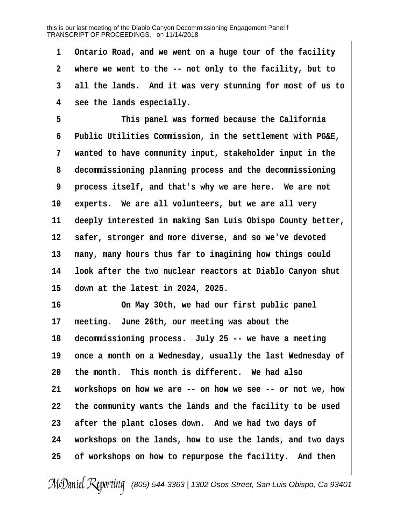**·1· ·Ontario Road, and we went on a huge tour of the facility ·2· ·where we went to the -- not only to the facility, but to ·3· ·all the lands.· And it was very stunning for most of us to ·4· ·see the lands especially.**

**·5· · · · · · ·This panel was formed because the California ·6· ·Public Utilities Commission, in the settlement with PG&E, ·7· ·wanted to have community input, stakeholder input in the ·8· ·decommissioning planning process and the decommissioning ·9· ·process itself, and that's why we are here.· We are not** 10 experts. We are all volunteers, but we are all very 11 deeply interested in making San Luis Obispo County better, 12 **safer, stronger and more diverse, and so we've devoted** 13 many, many hours thus far to imagining how things could **14· ·look after the two nuclear reactors at Diablo Canyon shut 15· ·down at the latest in 2024, 2025.**

**16· · · · · · ·On May 30th, we had our first public panel** 17 meeting. June 26th, our meeting was about the 18 decommissioning process. July 25 -- we have a meeting 19 once a month on a Wednesday, usually the last Wednesday of 20 the month. This month is different. We had also **21· ·workshops on how we are -- on how we see -- or not we, how 22· ·the community wants the lands and the facility to be used** 23 after the plant closes down. And we had two days of **24· ·workshops on the lands, how to use the lands, and two days 25· ·of workshops on how to repurpose the facility.· And then**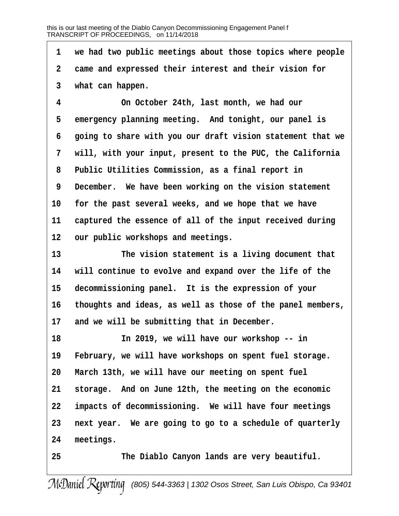**·1· ·we had two public meetings about those topics where people ·2· ·came and expressed their interest and their vision for ·3· ·what can happen.**

**·4· · · · · · ·On October 24th, last month, we had our** 5 emergency planning meeting. And tonight, our panel is **·6· ·going to share with you our draft vision statement that we ·7· ·will, with your input, present to the PUC, the California ·8· ·Public Utilities Commission, as a final report in ·9· ·December.· We have been working on the vision statement** 10 for the past several weeks, and we hope that we have 11 captured the essence of all of the input received during 12 our public workshops and meetings.

13 **13** The vision statement is a living document that **14· ·will continue to evolve and expand over the life of the** 15 decommissioning panel. It is the expression of your **16· ·thoughts and ideas, as well as those of the panel members,** 17 and we will be submitting that in December.

**18· · · · · · ·In 2019, we will have our workshop -- in** 19 February, we will have workshops on spent fuel storage. **20· ·March 13th, we will have our meeting on spent fuel** 21 storage. And on June 12th, the meeting on the economic **22· ·impacts of decommissioning.· We will have four meetings 23· ·next year.· We are going to go to a schedule of quarterly** 24 meetings.

25 **• The Diablo Canyon lands are very beautiful.**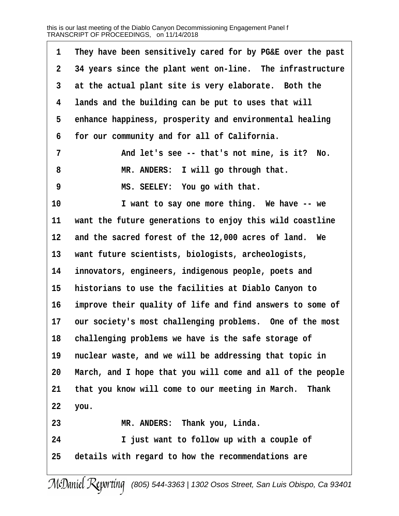| 1           | They have been sensitively cared for by PG&E over the past |
|-------------|------------------------------------------------------------|
| $\mathbf 2$ | 34 years since the plant went on-line. The infrastructure  |
| 3           | at the actual plant site is very elaborate. Both the       |
| 4           | lands and the building can be put to uses that will        |
| 5           | enhance happiness, prosperity and environmental healing    |
| 6           | for our community and for all of California.               |
| 7           | And let's see -- that's not mine, is it? No.               |
| 8           | MR. ANDERS: I will go through that.                        |
| 9           | MS. SEELEY: You go with that.                              |
| 10          | I want to say one more thing. We have -- we                |
| 11          | want the future generations to enjoy this wild coastline   |
| 12          | and the sacred forest of the 12,000 acres of land. We      |
| 13          | want future scientists, biologists, archeologists,         |
| 14          | innovators, engineers, indigenous people, poets and        |
| 15          | historians to use the facilities at Diablo Canyon to       |
| 16          | improve their quality of life and find answers to some of  |
| 17          | our society's most challenging problems. One of the most   |
| 18          | challenging problems we have is the safe storage of        |
| 19          | nuclear waste, and we will be addressing that topic in     |
| 20          | March, and I hope that you will come and all of the people |
| 21          | that you know will come to our meeting in March. Thank     |
| 22          | you.                                                       |
| 23          | MR. ANDERS: Thank you, Linda.                              |
| 24          | I just want to follow up with a couple of                  |
| 25          | details with regard to how the recommendations are         |
|             |                                                            |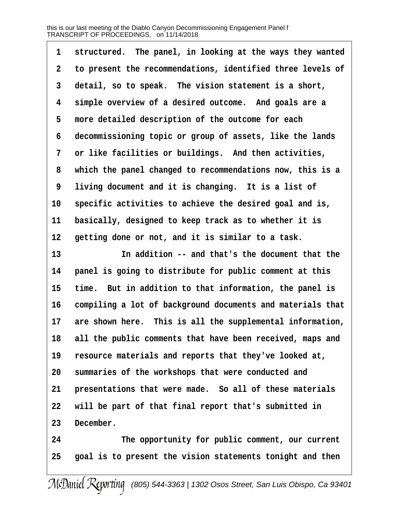| 1               | structured. The panel, in looking at the ways they wanted  |
|-----------------|------------------------------------------------------------|
| $\mathbf 2$     | to present the recommendations, identified three levels of |
| 3               | detail, so to speak. The vision statement is a short,      |
| 4               | simple overview of a desired outcome. And goals are a      |
| 5               | more detailed description of the outcome for each          |
| 6               | decommissioning topic or group of assets, like the lands   |
| 7               | or like facilities or buildings. And then activities,      |
| 8               | which the panel changed to recommendations now, this is a  |
| 9               | living document and it is changing. It is a list of        |
| 10 <sub>1</sub> | specific activities to achieve the desired goal and is,    |
| 11              | basically, designed to keep track as to whether it is      |
| 12              | getting done or not, and it is similar to a task.          |
| 13              | In addition -- and that's the document that the            |
| 14              | panel is going to distribute for public comment at this    |
| 15              | time. But in addition to that information, the panel is    |
| 16              | compiling a lot of background documents and materials that |
| 17              | are shown here. This is all the supplemental information,  |
| 18              | all the public comments that have been received, maps and  |
| 19              | resource materials and reports that they've looked at,     |
| 20              | summaries of the workshops that were conducted and         |
| 21              | presentations that were made. So all of these materials    |
| 22              | will be part of that final report that's submitted in      |
| 23              | December.                                                  |
| 24              | The opportunity for public comment, our current            |
| 25              | goal is to present the vision statements tonight and then  |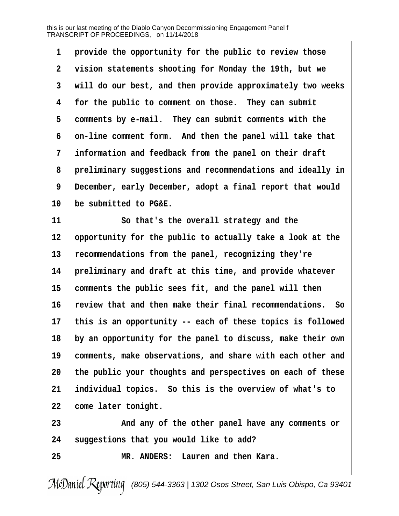| 1           | provide the opportunity for the public to review those       |
|-------------|--------------------------------------------------------------|
| $\mathbf 2$ | vision statements shooting for Monday the 19th, but we       |
| 3           | will do our best, and then provide approximately two weeks   |
| 4           | for the public to comment on those. They can submit          |
| 5           | comments by e-mail. They can submit comments with the        |
| 6           | on-line comment form. And then the panel will take that      |
| 7           | information and feedback from the panel on their draft       |
| 8           | preliminary suggestions and recommendations and ideally in   |
| 9           | December, early December, adopt a final report that would    |
| 10          | be submitted to PG&E.                                        |
| 11          | So that's the overall strategy and the                       |
| 12          | opportunity for the public to actually take a look at the    |
| 13          | recommendations from the panel, recognizing they're          |
| 14          | preliminary and draft at this time, and provide whatever     |
| 15          | comments the public sees fit, and the panel will then        |
| 16          | review that and then make their final recommendations.<br>So |
| $17 \,$     | this is an opportunity -- each of these topics is followed   |
| 18          | by an opportunity for the panel to discuss, make their own   |
| 19          | comments, make observations, and share with each other and   |
| 20          | the public your thoughts and perspectives on each of these   |
| 21          | individual topics. So this is the overview of what's to      |
| 22          | come later tonight.                                          |
|             |                                                              |

**23· · · · · · ·And any of the other panel have any comments or 24· ·suggestions that you would like to add?**

**25· · · · · · ·MR. ANDERS:· Lauren and then Kara.**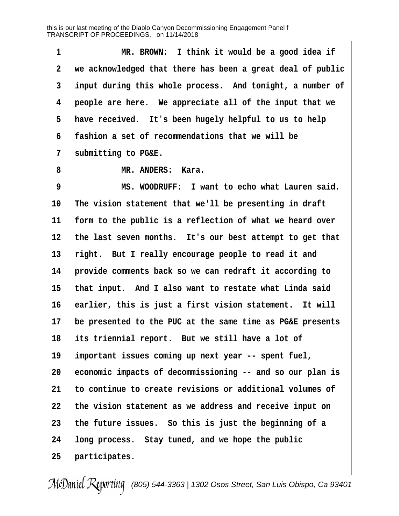**·1· · · · · · ·MR. BROWN:· I think it would be a good idea if ·2· ·we acknowledged that there has been a great deal of public ·3· ·input during this whole process.· And tonight, a number of ·4· ·people are here.· We appreciate all of the input that we** 5 have received. It's been hugely helpful to us to help **·6· ·fashion a set of recommendations that we will be ·7· ·submitting to PG&E. ·8· · · · · · ·MR. ANDERS:· Kara. ·9· · · · · · ·MS. WOODRUFF:· I want to echo what Lauren said.** 10 The vision statement that we'll be presenting in draft 11 form to the public is a reflection of what we heard over 12 the last seven months. It's our best attempt to get that 13 right. But I really encourage people to read it and 14 **· provide comments back so we can redraft it according to** 15 that input. And I also want to restate what Linda said 16 earlier, this is just a first vision statement. It will **17· ·be presented to the PUC at the same time as PG&E presents** 18 its triennial report. But we still have a lot of 19 important issues coming up next year -- spent fuel, **20· ·economic impacts of decommissioning -- and so our plan is 21· ·to continue to create revisions or additional volumes of 22· ·the vision statement as we address and receive input on 23· ·the future issues.· So this is just the beginning of a 24· ·long process.· Stay tuned, and we hope the public** 25 **participates.**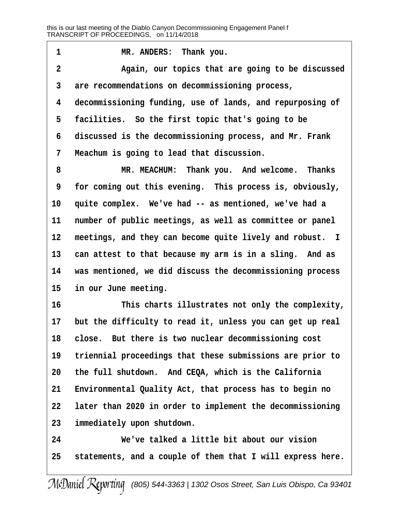1 **I MR. ANDERS:** Thank you. **·2· · · · · · ·Again, our topics that are going to be discussed ·3· ·are recommendations on decommissioning process, ·4· ·decommissioning funding, use of lands, and repurposing of** 5 **facilities.** So the first topic that's going to be **·6· ·discussed is the decommissioning process, and Mr. Frank ·7· ·Meachum is going to lead that discussion.**

**·8· · · · · · ·MR. MEACHUM:· Thank you.· And welcome.· Thanks ·9· ·for coming out this evening.· This process is, obviously,** 10 quite complex. We've had -- as mentioned, we've had a 11 number of public meetings, as well as committee or panel 12 meetings, and they can become quite lively and robust. I 13 can attest to that because my arm is in a sling. And as **14· ·was mentioned, we did discuss the decommissioning process** 15 in our June meeting.

**16· · · · · · ·This charts illustrates not only the complexity,** 17 but the difficulty to read it, unless you can get up real **18· ·close.· But there is two nuclear decommissioning cost 19· ·triennial proceedings that these submissions are prior to 20· ·the full shutdown.· And CEQA, which is the California** 21 Environmental Quality Act, that process has to begin no **22· ·later than 2020 in order to implement the decommissioning 23· ·immediately upon shutdown.**

**24· · · · · · ·We've talked a little bit about our vision 25· ·statements, and a couple of them that I will express here.**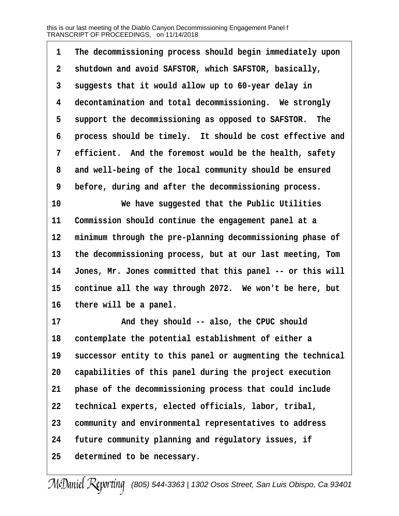**·1· ·The decommissioning process should begin immediately upon ·2· ·shutdown and avoid SAFSTOR, which SAFSTOR, basically, ·3· ·suggests that it would allow up to 60-year delay in ·4· ·decontamination and total decommissioning.· We strongly** 5 support the decommissioning as opposed to SAFSTOR. The **·6· ·process should be timely.· It should be cost effective and** 7 efficient. And the foremost would be the health, safety **·8· ·and well-being of the local community should be ensured ·9· ·before, during and after the decommissioning process.**

**10· · · · · · ·We have suggested that the Public Utilities** 11 Commission should continue the engagement panel at a 12 minimum through the pre-planning decommissioning phase of **13· ·the decommissioning process, but at our last meeting, Tom** 14 Jones, Mr. Jones committed that this panel -- or this will 15 continue all the way through 2072. We won't be here, but 16 there will be a panel.

17 **and they should -- also, the CPUC should 18· ·contemplate the potential establishment of either a** 19 successor entity to this panel or augmenting the technical 20 capabilities of this panel during the project execution 21 **phase of the decommissioning process that could include 22· ·technical experts, elected officials, labor, tribal, 23· ·community and environmental representatives to address 24· ·future community planning and regulatory issues, if 25· ·determined to be necessary.**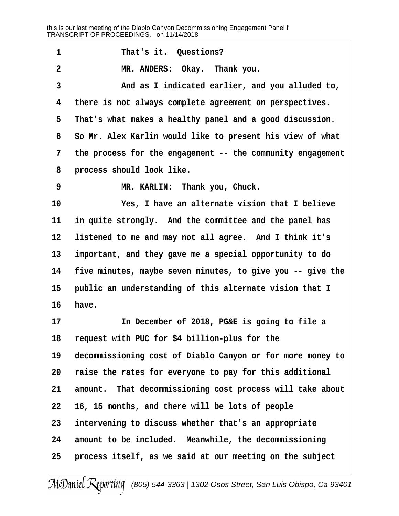| 1              | That's it. Questions?                                      |
|----------------|------------------------------------------------------------|
| $\overline{2}$ | MR. ANDERS: Okay. Thank you.                               |
| 3              | And as I indicated earlier, and you alluded to,            |
| 4              | there is not always complete agreement on perspectives.    |
| 5              | That's what makes a healthy panel and a good discussion.   |
| 6              | So Mr. Alex Karlin would like to present his view of what  |
| 7              | the process for the engagement -- the community engagement |
| 8              | process should look like.                                  |
| 9              | MR. KARLIN: Thank you, Chuck.                              |
| 10             | Yes, I have an alternate vision that I believe             |
| 11             | in quite strongly. And the committee and the panel has     |
| 12             | listened to me and may not all agree. And I think it's     |
| 13             | important, and they gave me a special opportunity to do    |
| 14             | five minutes, maybe seven minutes, to give you -- give the |
| 15             | public an understanding of this alternate vision that I    |
| 16             | have.                                                      |
| 17             | In December of 2018, PG&E is going to file a               |
| 18             | request with PUC for \$4 billion-plus for the              |
| 19             | decommissioning cost of Diablo Canyon or for more money to |
| 20             | raise the rates for everyone to pay for this additional    |
| 21             | amount. That decommissioning cost process will take about  |
| 22             | 16, 15 months, and there will be lots of people            |
| 23             | intervening to discuss whether that's an appropriate       |
| 24             | amount to be included. Meanwhile, the decommissioning      |
| 25             | process itself, as we said at our meeting on the subject   |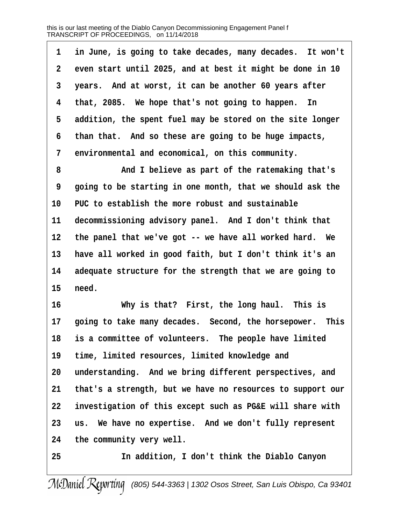|              | in June, is going to take decades, many decades. It won't |
|--------------|-----------------------------------------------------------|
| $\mathbf{2}$ | even start until 2025, and at best it might be done in 10 |
| 3            | years. And at worst, it can be another 60 years after     |
| 4            | that, 2085. We hope that's not going to happen. In        |
| 5            | addition, the spent fuel may be stored on the site longer |
| б.           | than that. And so these are going to be huge impacts,     |
|              | 7 environmental and economical, on this community.        |

**·8· · · · · · ·And I believe as part of the ratemaking that's ·9· ·going to be starting in one month, that we should ask the** 10 PUC to establish the more robust and sustainable 11 decommissioning advisory panel. And I don't think that 12 the panel that we've got -- we have all worked hard. We **13· ·have all worked in good faith, but I don't think it's an** 14 adequate structure for the strength that we are going to **15· ·need.**

**16· · · · · · ·Why is that?· First, the long haul.· This is** 17 **going to take many decades.** Second, the horsepower. This 18 is a committee of volunteers. The people have limited 19 time, limited resources, limited knowledge and 20 understanding. And we bring different perspectives, and **21· ·that's a strength, but we have no resources to support our 22· ·investigation of this except such as PG&E will share with** 23 us. We have no expertise. And we don't fully represent **24· ·the community very well.**

**25· · · · · · ·In addition, I don't think the Diablo Canyon**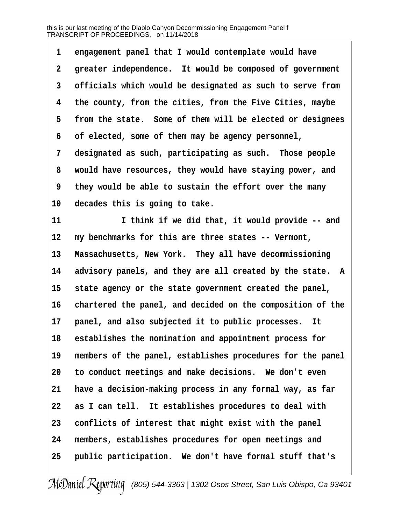1 engagement panel that I would contemplate would have **·2· ·greater independence.· It would be composed of government ·3· ·officials which would be designated as such to serve from ·4· ·the county, from the cities, from the Five Cities, maybe ·5· ·from the state.· Some of them will be elected or designees ·6· ·of elected, some of them may be agency personnel,** 7 designated as such, participating as such. Those people **·8· ·would have resources, they would have staying power, and ·9· ·they would be able to sustain the effort over the many** 10 decades this is going to take. **11 1 1** *think if we did that, it would provide -- and* 12 my benchmarks for this are three states -- Vermont, 13 Massachusetts, New York. They all have decommissioning 14 advisory panels, and they are all created by the state. A 15 state agency or the state government created the panel, 16 chartered the panel, and decided on the composition of the 17 **panel, and also subjected it to public processes.** It 18 establishes the nomination and appointment process for 19 members of the panel, establishes procedures for the panel **20· ·to conduct meetings and make decisions.· We don't even 21· ·have a decision-making process in any formal way, as far 22· ·as I can tell.· It establishes procedures to deal with** 23 conflicts of interest that might exist with the panel **24· ·members, establishes procedures for open meetings and** 25 **public participation.** We don't have formal stuff that's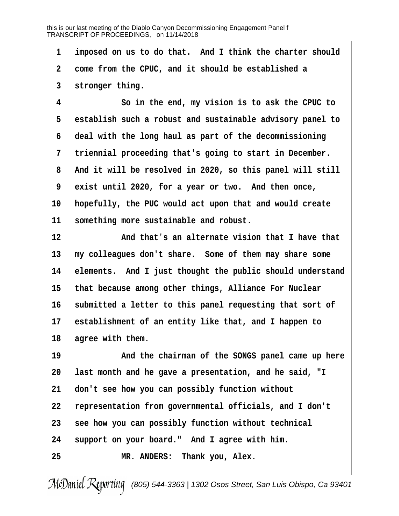1 imposed on us to do that. And I think the charter should **·2· ·come from the CPUC, and it should be established a ·3· ·stronger thing.**

**·4· · · · · · ·So in the end, my vision is to ask the CPUC to ·5· ·establish such a robust and sustainable advisory panel to ·6· ·deal with the long haul as part of the decommissioning ·7· ·triennial proceeding that's going to start in December. ·8· ·And it will be resolved in 2020, so this panel will still ·9· ·exist until 2020, for a year or two.· And then once, 10· ·hopefully, the PUC would act upon that and would create** 11 something more sustainable and robust.

**12· · · · · · ·And that's an alternate vision that I have that** 13 my colleagues don't share. Some of them may share some 14 elements. And I just thought the public should understand 15 that because among other things, Alliance For Nuclear 16 submitted a letter to this panel requesting that sort of 17 establishment of an entity like that, and I happen to 18 agree with them.

**19· · · · · · ·And the chairman of the SONGS panel came up here 20· ·last month and he gave a presentation, and he said, "I 21· ·don't see how you can possibly function without 22· ·representation from governmental officials, and I don't 23· ·see how you can possibly function without technical** 24 support on your board." And I agree with him. **25· · · · · · ·MR. ANDERS:· Thank you, Alex.**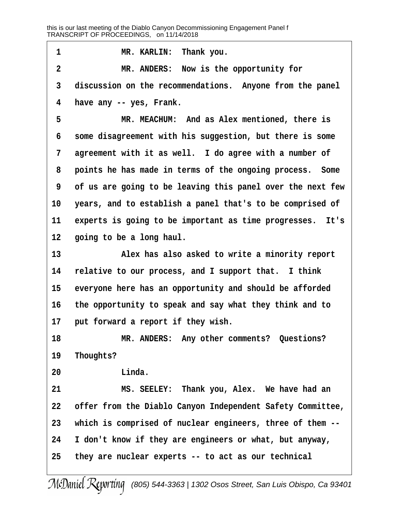1 **MR. KARLIN: Thank you. ·2· · · · · · ·MR. ANDERS:· Now is the opportunity for ·3· ·discussion on the recommendations.· Anyone from the panel ·4· ·have any -- yes, Frank. ·5· · · · · · ·MR. MEACHUM:· And as Alex mentioned, there is ·6· ·some disagreement with his suggestion, but there is some ·7· ·agreement with it as well.· I do agree with a number of ·8· ·points he has made in terms of the ongoing process.· Some ·9· ·of us are going to be leaving this panel over the next few** 10 years, and to establish a panel that's to be comprised of 11 experts is going to be important as time progresses. It's 12 **going to be a long haul. 13· · · · · · ·Alex has also asked to write a minority report** 14 relative to our process, and I support that. I think 15 everyone here has an opportunity and should be afforded **16· ·the opportunity to speak and say what they think and to** 17 **put forward a report if they wish. 18· · · · · · ·MR. ANDERS:· Any other comments?· Questions?** 19 Thoughts? **20· · · · · · ·Linda. 21· · · · · · ·MS. SEELEY:· Thank you, Alex.· We have had an 22· ·offer from the Diablo Canyon Independent Safety Committee, 23· ·which is comprised of nuclear engineers, three of them -- 24· ·I don't know if they are engineers or what, but anyway, 25· ·they are nuclear experts -- to act as our technical**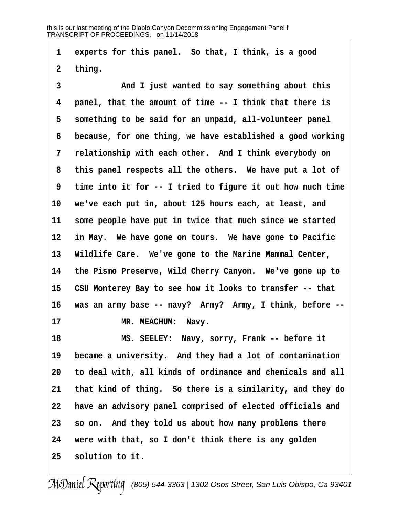1 experts for this panel. So that, I think, is a good **·2· ·thing. ·3· · · · · · ·And I just wanted to say something about this ·4· ·panel, that the amount of time -- I think that there is** 5 something to be said for an unpaid, all-volunteer panel **·6· ·because, for one thing, we have established a good working ·7· ·relationship with each other.· And I think everybody on ·8· ·this panel respects all the others.· We have put a lot of ·9· ·time into it for -- I tried to figure it out how much time 10· ·we've each put in, about 125 hours each, at least, and** 11 some people have put in twice that much since we started 12 in May. We have gone on tours. We have gone to Pacific 13 Wildlife Care. We've gone to the Marine Mammal Center, **14· ·the Pismo Preserve, Wild Cherry Canyon.· We've gone up to** 15 CSU Monterey Bay to see how it looks to transfer -- that **16· ·was an army base -- navy?· Army?· Army, I think, before --** 17 MR. MEACHUM: Navy. **18· · · · · · ·MS. SEELEY:· Navy, sorry, Frank -- before it** 19 became a university. And they had a lot of contamination **20· ·to deal with, all kinds of ordinance and chemicals and all 21· ·that kind of thing.· So there is a similarity, and they do 22· ·have an advisory panel comprised of elected officials and 23· ·so on.· And they told us about how many problems there 24· ·were with that, so I don't think there is any golden**

**25· ·solution to it.**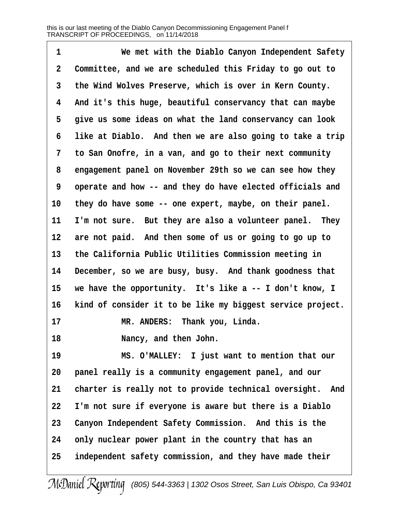**·1· · · · · · ·We met with the Diablo Canyon Independent Safety ·2· ·Committee, and we are scheduled this Friday to go out to ·3· ·the Wind Wolves Preserve, which is over in Kern County. ·4· ·And it's this huge, beautiful conservancy that can maybe ·5· ·give us some ideas on what the land conservancy can look ·6· ·like at Diablo.· And then we are also going to take a trip ·7· ·to San Onofre, in a van, and go to their next community ·8· ·engagement panel on November 29th so we can see how they ·9· ·operate and how -- and they do have elected officials and** 10 they do have some -- one expert, maybe, on their panel. 11 I'm not sure. But they are also a volunteer panel. They 12 are not paid. And then some of us or going to go up to **13· ·the California Public Utilities Commission meeting in** 14 December, so we are busy, busy. And thank goodness that 15 we have the opportunity. It's like a -- I don't know, I 16 kind of consider it to be like my biggest service project. 17 **MR. ANDERS:** Thank you, Linda. **18· · · · · · ·Nancy, and then John. 19· · · · · · ·MS. O'MALLEY:· I just want to mention that our 20· ·panel really is a community engagement panel, and our** 21 charter is really not to provide technical oversight. And **22· ·I'm not sure if everyone is aware but there is a Diablo** 23 Canyon Independent Safety Commission. And this is the **24· ·only nuclear power plant in the country that has an 25· ·independent safety commission, and they have made their**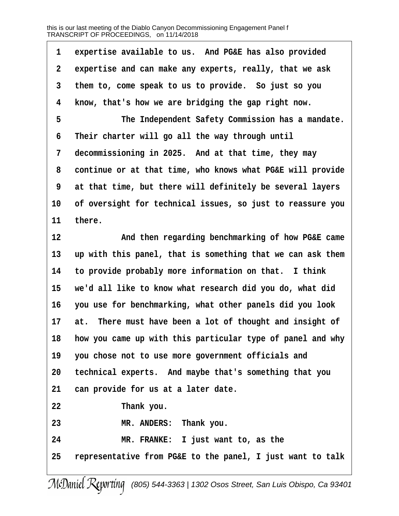| 1               | expertise available to us. And PG&E has also provided       |
|-----------------|-------------------------------------------------------------|
| $\mathbf{2}$    | expertise and can make any experts, really, that we ask     |
| 3               | them to, come speak to us to provide. So just so you        |
| 4               | know, that's how we are bridging the gap right now.         |
| 5               | The Independent Safety Commission has a mandate.            |
| 6               | Their charter will go all the way through until             |
| 7               | decommissioning in 2025. And at that time, they may         |
| 8               | continue or at that time, who knows what PG&E will provide  |
| 9               | at that time, but there will definitely be several layers   |
| 10              | of oversight for technical issues, so just to reassure you  |
| 11              | there.                                                      |
| 12              | And then regarding benchmarking of how PG&E came            |
| 13              | up with this panel, that is something that we can ask them  |
| 14              | to provide probably more information on that. I think       |
| 15              | we'd all like to know what research did you do, what did    |
| 16              | you use for benchmarking, what other panels did you look    |
| 17              | There must have been a lot of thought and insight of<br>at. |
| 18              | how you came up with this particular type of panel and why  |
| 19              | you chose not to use more government officials and          |
| 20 <sub>2</sub> | technical experts. And maybe that's something that you      |
| 21              | can provide for us at a later date.                         |
| 22              | Thank you.                                                  |
| 23              | MR. ANDERS: Thank you.                                      |
| 24              | MR. FRANKE: I just want to, as the                          |
| 25              | representative from PG&E to the panel, I just want to talk  |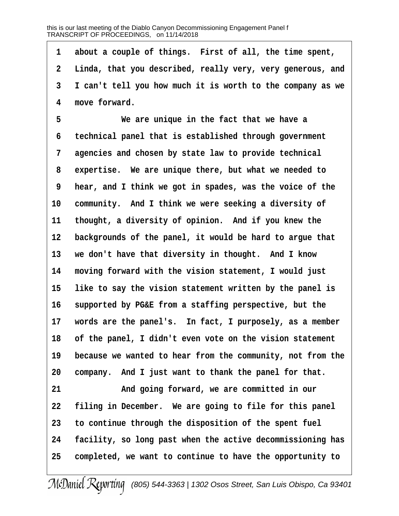1 about a couple of things. First of all, the time spent, **·2· ·Linda, that you described, really very, very generous, and ·3· ·I can't tell you how much it is worth to the company as we ·4· ·move forward.**

**·5· · · · · · ·We are unique in the fact that we have a ·6· ·technical panel that is established through government ·7· ·agencies and chosen by state law to provide technical ·8· ·expertise.· We are unique there, but what we needed to ·9· ·hear, and I think we got in spades, was the voice of the** 10 community. And I think we were seeking a diversity of 11 thought, a diversity of opinion. And if you knew the 12 backgrounds of the panel, it would be hard to argue that 13 we don't have that diversity in thought. And I know **14· ·moving forward with the vision statement, I would just** 15 like to say the vision statement written by the panel is 16 supported by PG&E from a staffing perspective, but the 17 words are the panel's. In fact, I purposely, as a member **18· ·of the panel, I didn't even vote on the vision statement** 19 because we wanted to hear from the community, not from the 20 company. And I just want to thank the panel for that. 21 **and going forward, we are committed in our** 22 filing in December. We are going to file for this panel **23· ·to continue through the disposition of the spent fuel**

**24· ·facility, so long past when the active decommissioning has 25· ·completed, we want to continue to have the opportunity to**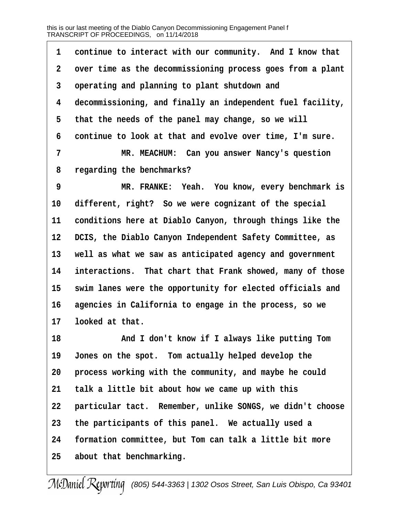| 1           | continue to interact with our community. And I know that   |
|-------------|------------------------------------------------------------|
| $\mathbf 2$ | over time as the decommissioning process goes from a plant |
| 3           | operating and planning to plant shutdown and               |
| 4           | decommissioning, and finally an independent fuel facility, |
| 5           | that the needs of the panel may change, so we will         |
| 6           | continue to look at that and evolve over time, I'm sure.   |
| 7           | MR. MEACHUM: Can you answer Nancy's question               |
| 8           | regarding the benchmarks?                                  |
| 9           | MR. FRANKE: Yeah. You know, every benchmark is             |
| 10          | different, right? So we were cognizant of the special      |
| 11          | conditions here at Diablo Canyon, through things like the  |
| 12          | DCIS, the Diablo Canyon Independent Safety Committee, as   |
| 13          | well as what we saw as anticipated agency and government   |
| 14          | interactions. That chart that Frank showed, many of those  |
| 15          | swim lanes were the opportunity for elected officials and  |
| 16          | agencies in California to engage in the process, so we     |
| 17          | looked at that.                                            |
| 18          | And I don't know if I always like putting Tom              |
| 19          | Jones on the spot. Tom actually helped develop the         |
| 20          | process working with the community, and maybe he could     |
| 21          | talk a little bit about how we came up with this           |
| 22          | particular tact. Remember, unlike SONGS, we didn't choose  |
| 23          | the participants of this panel. We actually used a         |
| 24          | formation committee, but Tom can talk a little bit more    |
| 25          | about that benchmarking.                                   |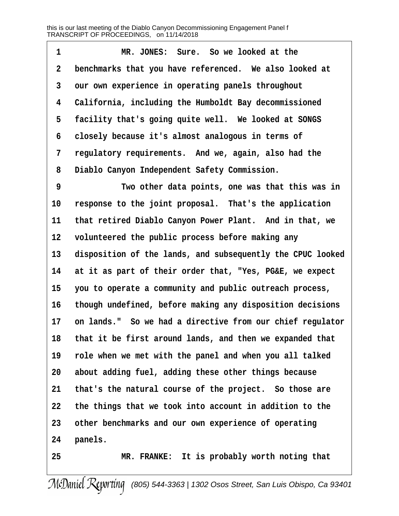**1** *MR. JONES:* **Sure. So we looked at the ·2· ·benchmarks that you have referenced.· We also looked at ·3· ·our own experience in operating panels throughout ·4· ·California, including the Humboldt Bay decommissioned** 5 facility that's going quite well. We looked at SONGS **·6· ·closely because it's almost analogous in terms of ·7· ·regulatory requirements.· And we, again, also had the ·8· ·Diablo Canyon Independent Safety Commission.**

**·9· · · · · · ·Two other data points, one was that this was in** 10 response to the joint proposal. That's the application 11 that retired Diablo Canyon Power Plant. And in that, we 12 volunteered the public process before making any 13 disposition of the lands, and subsequently the CPUC looked **14· ·at it as part of their order that, "Yes, PG&E, we expect 15· ·you to operate a community and public outreach process, 16· ·though undefined, before making any disposition decisions** 17 on lands." So we had a directive from our chief regulator 18 that it be first around lands, and then we expanded that **19· ·role when we met with the panel and when you all talked 20· ·about adding fuel, adding these other things because** 21 that's the natural course of the project. So those are **22· ·the things that we took into account in addition to the 23· ·other benchmarks and our own experience of operating** 24 **panels.** 

**25· · · · · · ·MR. FRANKE:· It is probably worth noting that**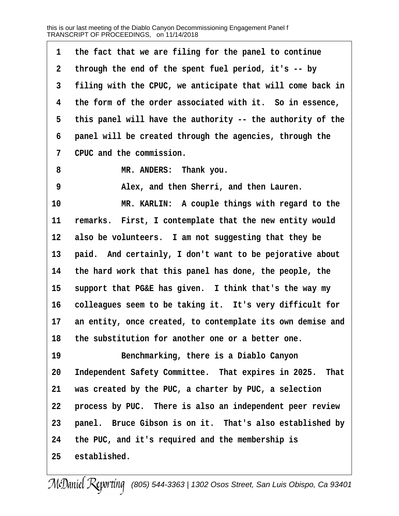1 the fact that we are filing for the panel to continue **·2· ·through the end of the spent fuel period, it's -- by ·3· ·filing with the CPUC, we anticipate that will come back in ·4· ·the form of the order associated with it.· So in essence, ·5· ·this panel will have the authority -- the authority of the ·6· ·panel will be created through the agencies, through the ·7· ·CPUC and the commission.** 8 **MR. ANDERS:** Thank you. **·9· · · · · · ·Alex, and then Sherri, and then Lauren.** 10 **MR. KARLIN:** A couple things with regard to the 11 remarks. First, I contemplate that the new entity would 12 also be volunteers. I am not suggesting that they be 13 **paid.** And certainly, I don't want to be pejorative about **14· ·the hard work that this panel has done, the people, the** 15 support that PG&E has given. I think that's the way my 16 colleagues seem to be taking it. It's very difficult for 17 an entity, once created, to contemplate its own demise and **18· ·the substitution for another one or a better one. 19· · · · · · ·Benchmarking, there is a Diablo Canyon** 20 Independent Safety Committee. That expires in 2025. That **21· ·was created by the PUC, a charter by PUC, a selection** 22 **process by PUC.** There is also an independent peer review 23 **panel.** Bruce Gibson is on it. That's also established by **24· ·the PUC, and it's required and the membership is** 25 established.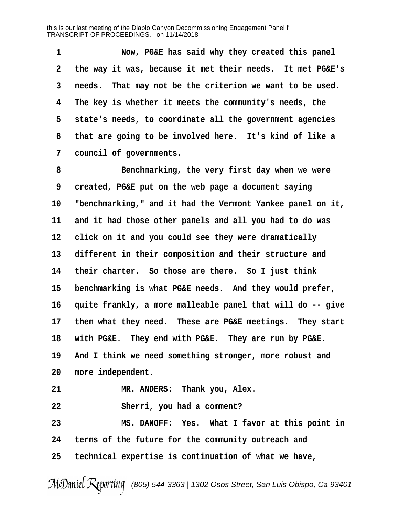**·1· · · · · · ·Now, PG&E has said why they created this panel ·2· ·the way it was, because it met their needs.· It met PG&E's ·3· ·needs.· That may not be the criterion we want to be used. ·4· ·The key is whether it meets the community's needs, the ·5· ·state's needs, to coordinate all the government agencies ·6· ·that are going to be involved here.· It's kind of like a ·7· ·council of governments.**

**·8· · · · · · ·Benchmarking, the very first day when we were ·9· ·created, PG&E put on the web page a document saying 10· ·"benchmarking," and it had the Vermont Yankee panel on it,** 11 and it had those other panels and all you had to do was 12 click on it and you could see they were dramatically 13 different in their composition and their structure and 14 their charter. So those are there. So I just think 15 benchmarking is what PG&E needs. And they would prefer, 16 quite frankly, a more malleable panel that will do -- give 17 them what they need. These are PG&E meetings. They start 18 with PG&E. They end with PG&E. They are run by PG&E. 19 And I think we need something stronger, more robust and 20 more independent. 21 **MR. ANDERS:** Thank you, Alex. **22· · · · · · ·Sherri, you had a comment? 23· · · · · · ·MS. DANOFF:· Yes.· What I favor at this point in 24· ·terms of the future for the community outreach and 25· ·technical expertise is continuation of what we have,**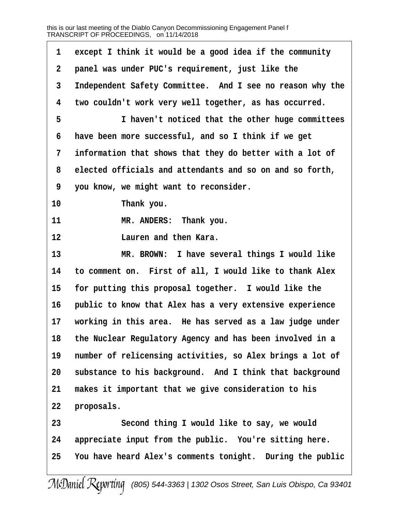| 1            | except I think it would be a good idea if the community   |
|--------------|-----------------------------------------------------------|
| $\mathbf{2}$ | panel was under PUC's requirement, just like the          |
| 3            | Independent Safety Committee. And I see no reason why the |
| 4            | two couldn't work very well together, as has occurred.    |
| 5            | I haven't noticed that the other huge committees          |
| 6            | have been more successful, and so I think if we get       |
| 7            | information that shows that they do better with a lot of  |
| 8            | elected officials and attendants and so on and so forth,  |
| 9            | you know, we might want to reconsider.                    |
| 10           | Thank you.                                                |
| 11           | MR. ANDERS: Thank you.                                    |
| 12           | Lauren and then Kara.                                     |
| 13           | MR. BROWN: I have several things I would like             |
| 14           | to comment on. First of all, I would like to thank Alex   |
| 15           | for putting this proposal together. I would like the      |
| 16           | public to know that Alex has a very extensive experience  |
| 17           | working in this area. He has served as a law judge under  |
| 18           | the Nuclear Regulatory Agency and has been involved in a  |
| 19           | number of relicensing activities, so Alex brings a lot of |
| 20           | substance to his background. And I think that background  |
| 21           | makes it important that we give consideration to his      |
| 22           | proposals.                                                |
| 23           | Second thing I would like to say, we would                |
| 24           | appreciate input from the public. You're sitting here.    |
| 25           | You have heard Alex's comments tonight. During the public |
|              |                                                           |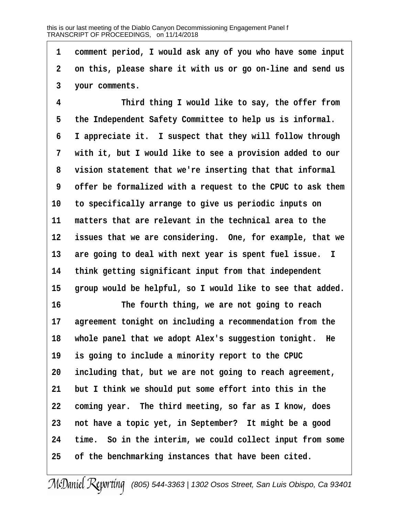**·1· ·comment period, I would ask any of you who have some input ·2· ·on this, please share it with us or go on-line and send us ·3· ·your comments.**

**·4· · · · · · ·Third thing I would like to say, the offer from ·5· ·the Independent Safety Committee to help us is informal. ·6· ·I appreciate it.· I suspect that they will follow through ·7· ·with it, but I would like to see a provision added to our ·8· ·vision statement that we're inserting that that informal ·9· ·offer be formalized with a request to the CPUC to ask them 10· ·to specifically arrange to give us periodic inputs on 11· ·matters that are relevant in the technical area to the** 12 issues that we are considering. One, for example, that we 13 are going to deal with next year is spent fuel issue. I **14· ·think getting significant input from that independent** 15 group would be helpful, so I would like to see that added.

**16· · · · · · ·The fourth thing, we are not going to reach** 17 agreement tonight on including a recommendation from the 18 whole panel that we adopt Alex's suggestion tonight. He 19 is going to include a minority report to the CPUC **20· ·including that, but we are not going to reach agreement, 21· ·but I think we should put some effort into this in the** 22 coming year. The third meeting, so far as I know, does 23 **not have a topic yet, in September?** It might be a good **24· ·time.· So in the interim, we could collect input from some 25· ·of the benchmarking instances that have been cited.**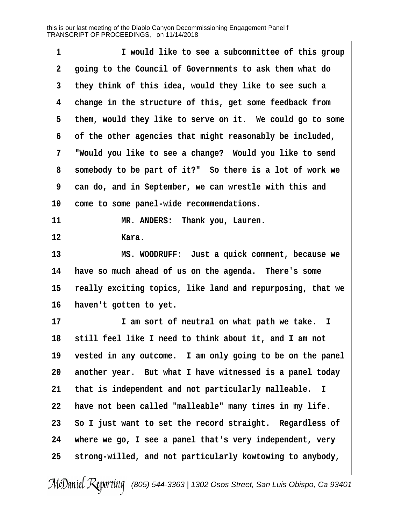| 1            | I would like to see a subcommittee of this group           |
|--------------|------------------------------------------------------------|
| $\mathbf{2}$ | going to the Council of Governments to ask them what do    |
| $\mathbf{3}$ | they think of this idea, would they like to see such a     |
| 4            | change in the structure of this, get some feedback from    |
| 5            | them, would they like to serve on it. We could go to some  |
| 6            | of the other agencies that might reasonably be included,   |
| 7            | "Would you like to see a change? Would you like to send    |
| 8            | somebody to be part of it?" So there is a lot of work we   |
| 9            | can do, and in September, we can wrestle with this and     |
| 10           | come to some panel-wide recommendations.                   |
| 11           | MR. ANDERS: Thank you, Lauren.                             |
| 12           | Kara.                                                      |
| 13           | MS. WOODRUFF: Just a quick comment, because we             |
| 14           | have so much ahead of us on the agenda. There's some       |
| 15           | really exciting topics, like land and repurposing, that we |
| 16           | haven't gotten to yet.                                     |
| 17           | I am sort of neutral on what path we take. I               |
| 18           | still feel like I need to think about it, and I am not     |
| 19           | vested in any outcome. I am only going to be on the panel  |
| 20           | another year. But what I have witnessed is a panel today   |
| 21           | that is independent and not particularly malleable. I      |
| 22           | have not been called "malleable" many times in my life.    |
| 23           | So I just want to set the record straight. Regardless of   |
| 24           | where we go, I see a panel that's very independent, very   |
| 25           | strong-willed, and not particularly kowtowing to anybody,  |
|              |                                                            |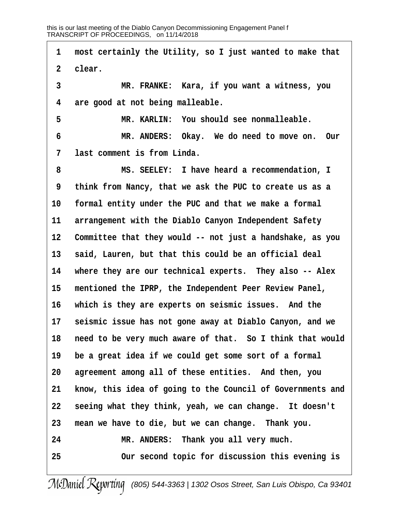**·1· ·most certainly the Utility, so I just wanted to make that** 2 **clear**. **·3· · · · · · ·MR. FRANKE:· Kara, if you want a witness, you ·4· ·are good at not being malleable. ·5· · · · · · ·MR. KARLIN:· You should see nonmalleable. ·6· · · · · · ·MR. ANDERS:· Okay.· We do need to move on.· Our ·7· ·last comment is from Linda. ·8· · · · · · ·MS. SEELEY:· I have heard a recommendation, I ·9· ·think from Nancy, that we ask the PUC to create us as a** 10 formal entity under the PUC and that we make a formal 11 arrangement with the Diablo Canyon Independent Safety **12· ·Committee that they would -- not just a handshake, as you** 13 **said, Lauren, but that this could be an official deal** 14 where they are our technical experts. They also -- Alex 15 mentioned the IPRP, the Independent Peer Review Panel, 16 which is they are experts on seismic issues. And the 17 **seismic issue has not gone away at Diablo Canyon, and we** 18 need to be very much aware of that. So I think that would **19· ·be a great idea if we could get some sort of a formal 20· ·agreement among all of these entities.· And then, you 21· ·know, this idea of going to the Council of Governments and** 22 **seeing what they think, yeah, we can change.** It doesn't 23 mean we have to die, but we can change. Thank you. 24 MR. ANDERS: Thank you all very much. **25· · · · · · ·Our second topic for discussion this evening is**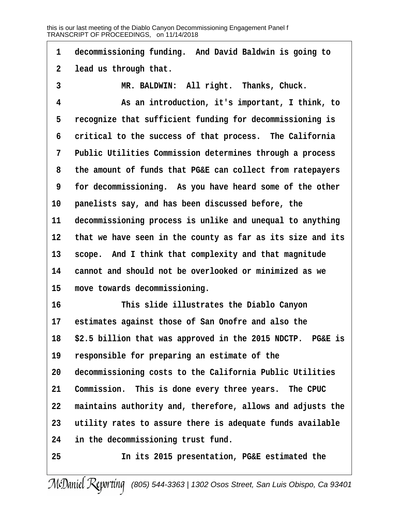| $\mathbf 1$    | decommissioning funding. And David Baldwin is going to     |
|----------------|------------------------------------------------------------|
| $\mathbf 2$    | lead us through that.                                      |
| 3              | MR. BALDWIN: All right. Thanks, Chuck.                     |
| 4              | As an introduction, it's important, I think, to            |
| 5              | recognize that sufficient funding for decommissioning is   |
| 6              | critical to the success of that process. The California    |
| $7\phantom{.}$ | Public Utilities Commission determines through a process   |
| 8              | the amount of funds that PG&E can collect from ratepayers  |
| 9              | for decommissioning. As you have heard some of the other   |
| 10             | panelists say, and has been discussed before, the          |
| 11             | decommissioning process is unlike and unequal to anything  |
| $12 \,$        | that we have seen in the county as far as its size and its |
| 13             | scope. And I think that complexity and that magnitude      |
| 14             | cannot and should not be overlooked or minimized as we     |
| 15             | move towards decommissioning.                              |
| 16             | This slide illustrates the Diablo Canyon                   |
| 17             | estimates against those of San Onofre and also the         |
| 18             | \$2.5 billion that was approved in the 2015 NDCTP. PG&E is |
| 19             | responsible for preparing an estimate of the               |
| 20             | decommissioning costs to the California Public Utilities   |
| 21             | Commission. This is done every three years. The CPUC       |
| 22             | maintains authority and, therefore, allows and adjusts the |
| 23             | utility rates to assure there is adequate funds available  |
| 24             | in the decommissioning trust fund.                         |
| 25             | In its 2015 presentation, PG&E estimated the               |
|                |                                                            |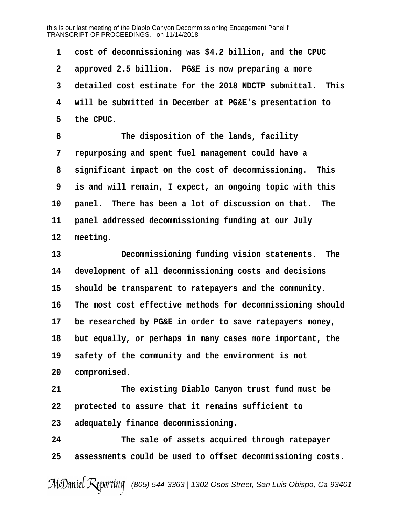**·1· ·cost of decommissioning was \$4.2 billion, and the CPUC ·2· ·approved 2.5 billion.· PG&E is now preparing a more ·3· ·detailed cost estimate for the 2018 NDCTP submittal.· This ·4· ·will be submitted in December at PG&E's presentation to ·5· ·the CPUC. ·6· · · · · · ·The disposition of the lands, facility ·7· ·repurposing and spent fuel management could have a ·8· ·significant impact on the cost of decommissioning.· This ·9· ·is and will remain, I expect, an ongoing topic with this** 10 panel. There has been a lot of discussion on that. The 11 **panel addressed decommissioning funding at our July** 12 meeting. **13· · · · · · ·Decommissioning funding vision statements.· The** 14 development of all decommissioning costs and decisions 15 should be transparent to ratepayers and the community. **16· ·The most cost effective methods for decommissioning should** 17 be researched by PG&E in order to save ratepayers money, 18 but equally, or perhaps in many cases more important, the **19· ·safety of the community and the environment is not** 20 **compromised. 21· · · · · · ·The existing Diablo Canyon trust fund must be** 22 **protected to assure that it remains sufficient to 23· ·adequately finance decommissioning. 24· · · · · · ·The sale of assets acquired through ratepayer 25· ·assessments could be used to offset decommissioning costs.**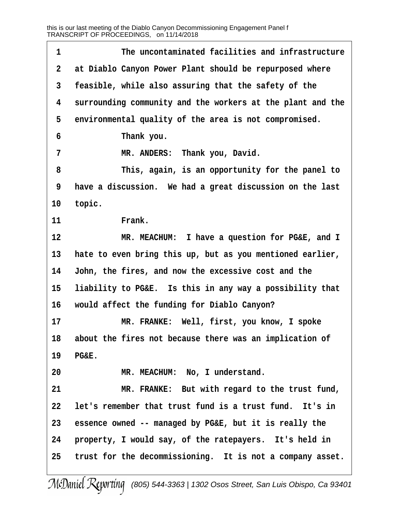| at Diablo Canyon Power Plant should be repurposed where<br>$\mathbf{2}$<br>$\mathbf{3}$<br>feasible, while also assuring that the safety of the<br>4<br>surrounding community and the workers at the plant and the<br>5<br>environmental quality of the area is not compromised.<br>6<br>Thank you.<br>7<br>MR. ANDERS: Thank you, David.<br>8<br>This, again, is an opportunity for the panel to<br>9<br>have a discussion. We had a great discussion on the last<br>topic.<br>10<br>11<br>Frank.<br>12<br>MR. MEACHUM: I have a question for PG&E, and I<br>13<br>hate to even bring this up, but as you mentioned earlier,<br>John, the fires, and now the excessive cost and the<br>14<br>15<br>liability to PG&E. Is this in any way a possibility that<br>16<br>would affect the funding for Diablo Canyon?<br>17<br>MR. FRANKE: Well, first, you know, I spoke<br>about the fires not because there was an implication of<br>18<br>19<br>PG&E.<br>20<br>MR. MEACHUM: No, I understand.<br>21<br>MR. FRANKE: But with regard to the trust fund,<br>let's remember that trust fund is a trust fund. It's in<br>22<br>essence owned -- managed by PG&E, but it is really the<br>23<br>24<br>property, I would say, of the ratepayers. It's held in<br>trust for the decommissioning. It is not a company asset.<br>25 | 1 | The uncontaminated facilities and infrastructure |
|---------------------------------------------------------------------------------------------------------------------------------------------------------------------------------------------------------------------------------------------------------------------------------------------------------------------------------------------------------------------------------------------------------------------------------------------------------------------------------------------------------------------------------------------------------------------------------------------------------------------------------------------------------------------------------------------------------------------------------------------------------------------------------------------------------------------------------------------------------------------------------------------------------------------------------------------------------------------------------------------------------------------------------------------------------------------------------------------------------------------------------------------------------------------------------------------------------------------------------------------------------------------------------------------------------------------------|---|--------------------------------------------------|
|                                                                                                                                                                                                                                                                                                                                                                                                                                                                                                                                                                                                                                                                                                                                                                                                                                                                                                                                                                                                                                                                                                                                                                                                                                                                                                                           |   |                                                  |
|                                                                                                                                                                                                                                                                                                                                                                                                                                                                                                                                                                                                                                                                                                                                                                                                                                                                                                                                                                                                                                                                                                                                                                                                                                                                                                                           |   |                                                  |
|                                                                                                                                                                                                                                                                                                                                                                                                                                                                                                                                                                                                                                                                                                                                                                                                                                                                                                                                                                                                                                                                                                                                                                                                                                                                                                                           |   |                                                  |
|                                                                                                                                                                                                                                                                                                                                                                                                                                                                                                                                                                                                                                                                                                                                                                                                                                                                                                                                                                                                                                                                                                                                                                                                                                                                                                                           |   |                                                  |
|                                                                                                                                                                                                                                                                                                                                                                                                                                                                                                                                                                                                                                                                                                                                                                                                                                                                                                                                                                                                                                                                                                                                                                                                                                                                                                                           |   |                                                  |
|                                                                                                                                                                                                                                                                                                                                                                                                                                                                                                                                                                                                                                                                                                                                                                                                                                                                                                                                                                                                                                                                                                                                                                                                                                                                                                                           |   |                                                  |
|                                                                                                                                                                                                                                                                                                                                                                                                                                                                                                                                                                                                                                                                                                                                                                                                                                                                                                                                                                                                                                                                                                                                                                                                                                                                                                                           |   |                                                  |
|                                                                                                                                                                                                                                                                                                                                                                                                                                                                                                                                                                                                                                                                                                                                                                                                                                                                                                                                                                                                                                                                                                                                                                                                                                                                                                                           |   |                                                  |
|                                                                                                                                                                                                                                                                                                                                                                                                                                                                                                                                                                                                                                                                                                                                                                                                                                                                                                                                                                                                                                                                                                                                                                                                                                                                                                                           |   |                                                  |
|                                                                                                                                                                                                                                                                                                                                                                                                                                                                                                                                                                                                                                                                                                                                                                                                                                                                                                                                                                                                                                                                                                                                                                                                                                                                                                                           |   |                                                  |
|                                                                                                                                                                                                                                                                                                                                                                                                                                                                                                                                                                                                                                                                                                                                                                                                                                                                                                                                                                                                                                                                                                                                                                                                                                                                                                                           |   |                                                  |
|                                                                                                                                                                                                                                                                                                                                                                                                                                                                                                                                                                                                                                                                                                                                                                                                                                                                                                                                                                                                                                                                                                                                                                                                                                                                                                                           |   |                                                  |
|                                                                                                                                                                                                                                                                                                                                                                                                                                                                                                                                                                                                                                                                                                                                                                                                                                                                                                                                                                                                                                                                                                                                                                                                                                                                                                                           |   |                                                  |
|                                                                                                                                                                                                                                                                                                                                                                                                                                                                                                                                                                                                                                                                                                                                                                                                                                                                                                                                                                                                                                                                                                                                                                                                                                                                                                                           |   |                                                  |
|                                                                                                                                                                                                                                                                                                                                                                                                                                                                                                                                                                                                                                                                                                                                                                                                                                                                                                                                                                                                                                                                                                                                                                                                                                                                                                                           |   |                                                  |
|                                                                                                                                                                                                                                                                                                                                                                                                                                                                                                                                                                                                                                                                                                                                                                                                                                                                                                                                                                                                                                                                                                                                                                                                                                                                                                                           |   |                                                  |
|                                                                                                                                                                                                                                                                                                                                                                                                                                                                                                                                                                                                                                                                                                                                                                                                                                                                                                                                                                                                                                                                                                                                                                                                                                                                                                                           |   |                                                  |
|                                                                                                                                                                                                                                                                                                                                                                                                                                                                                                                                                                                                                                                                                                                                                                                                                                                                                                                                                                                                                                                                                                                                                                                                                                                                                                                           |   |                                                  |
|                                                                                                                                                                                                                                                                                                                                                                                                                                                                                                                                                                                                                                                                                                                                                                                                                                                                                                                                                                                                                                                                                                                                                                                                                                                                                                                           |   |                                                  |
|                                                                                                                                                                                                                                                                                                                                                                                                                                                                                                                                                                                                                                                                                                                                                                                                                                                                                                                                                                                                                                                                                                                                                                                                                                                                                                                           |   |                                                  |
|                                                                                                                                                                                                                                                                                                                                                                                                                                                                                                                                                                                                                                                                                                                                                                                                                                                                                                                                                                                                                                                                                                                                                                                                                                                                                                                           |   |                                                  |
|                                                                                                                                                                                                                                                                                                                                                                                                                                                                                                                                                                                                                                                                                                                                                                                                                                                                                                                                                                                                                                                                                                                                                                                                                                                                                                                           |   |                                                  |
|                                                                                                                                                                                                                                                                                                                                                                                                                                                                                                                                                                                                                                                                                                                                                                                                                                                                                                                                                                                                                                                                                                                                                                                                                                                                                                                           |   |                                                  |
|                                                                                                                                                                                                                                                                                                                                                                                                                                                                                                                                                                                                                                                                                                                                                                                                                                                                                                                                                                                                                                                                                                                                                                                                                                                                                                                           |   |                                                  |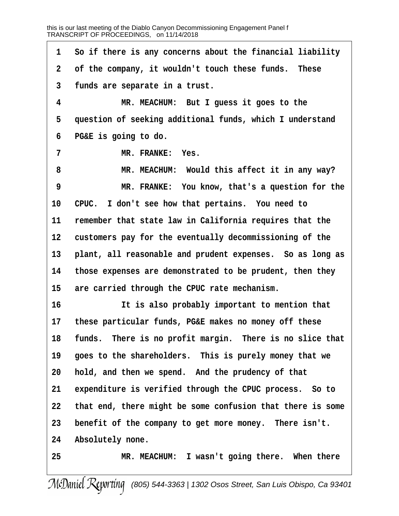**·1· ·So if there is any concerns about the financial liability ·2· ·of the company, it wouldn't touch these funds.· These ·3· ·funds are separate in a trust. ·4· · · · · · ·MR. MEACHUM:· But I guess it goes to the** 5 question of seeking additional funds, which I understand **·6· ·PG&E is going to do. 7 b MR. FRANKE:** Yes. **·8· · · · · · ·MR. MEACHUM:· Would this affect it in any way? ·9· · · · · · ·MR. FRANKE:· You know, that's a question for the** 10 CPUC. I don't see how that pertains. You need to 11 remember that state law in California requires that the 12 customers pay for the eventually decommissioning of the 13 **plant, all reasonable and prudent expenses.** So as long as **14· ·those expenses are demonstrated to be prudent, then they** 15 are carried through the CPUC rate mechanism. **16· · · · · · ·It is also probably important to mention that 17· ·these particular funds, PG&E makes no money off these** 18 funds. There is no profit margin. There is no slice that 19 goes to the shareholders. This is purely money that we **20· ·hold, and then we spend.· And the prudency of that** 21 expenditure is verified through the CPUC process. So to **22· ·that end, there might be some confusion that there is some** 23 benefit of the company to get more money. There isn't. 24 Absolutely none. 25 **MR. MEACHUM:** I wasn't going there. When there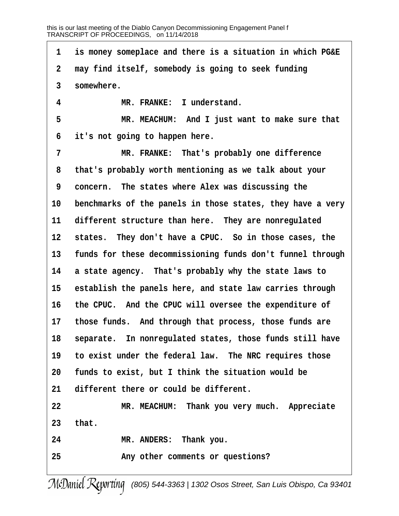**·1· ·is money someplace and there is a situation in which PG&E ·2· ·may find itself, somebody is going to seek funding ·3· ·somewhere.** 4 **MR. FRANKE:** I understand. **·5· · · · · · ·MR. MEACHUM:· And I just want to make sure that ·6· ·it's not going to happen here. ·7· · · · · · ·MR. FRANKE:· That's probably one difference ·8· ·that's probably worth mentioning as we talk about your ·9· ·concern.· The states where Alex was discussing the** 10 benchmarks of the panels in those states, they have a very 11 different structure than here. They are nonregulated 12 states. They don't have a CPUC. So in those cases, the 13 funds for these decommissioning funds don't funnel through 14 a state agency. That's probably why the state laws to 15 establish the panels here, and state law carries through **16· ·the CPUC.· And the CPUC will oversee the expenditure of** 17 those funds. And through that process, those funds are 18 **separate.** In nonregulated states, those funds still have 19 to exist under the federal law. The NRC requires those 20 **funds to exist, but I think the situation would be** 21 different there or could be different. **22· · · · · · ·MR. MEACHUM:· Thank you very much.· Appreciate 23· ·that. 24· · · · · · ·MR. ANDERS:· Thank you. 25· · · · · · ·Any other comments or questions?**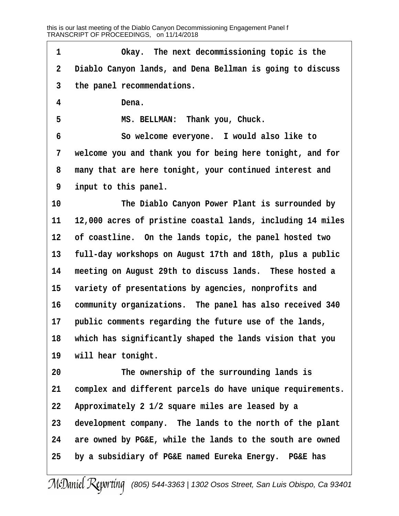**·1· · · · · · ·Okay.· The next decommissioning topic is the ·2· ·Diablo Canyon lands, and Dena Bellman is going to discuss ·3· ·the panel recommendations. ·4· · · · · · ·Dena. ·5· · · · · · ·MS. BELLMAN:· Thank you, Chuck. ·6· · · · · · ·So welcome everyone.· I would also like to ·7· ·welcome you and thank you for being here tonight, and for ·8· ·many that are here tonight, your continued interest and ·9· ·input to this panel. 10· · · · · · ·The Diablo Canyon Power Plant is surrounded by 11· ·12,000 acres of pristine coastal lands, including 14 miles** 12 of coastline. On the lands topic, the panel hosted two **13· ·full-day workshops on August 17th and 18th, plus a public** 14 meeting on August 29th to discuss lands. These hosted a 15 variety of presentations by agencies, nonprofits and 16 community organizations. The panel has also received 340 17 **public comments regarding the future use of the lands, 18· ·which has significantly shaped the lands vision that you** 19 will hear tonight. **20· · · · · · ·The ownership of the surrounding lands is** 21 complex and different parcels do have unique requirements. **22· ·Approximately 2 1/2 square miles are leased by a** 23 development company. The lands to the north of the plant **24· ·are owned by PG&E, while the lands to the south are owned 25· ·by a subsidiary of PG&E named Eureka Energy.· PG&E has**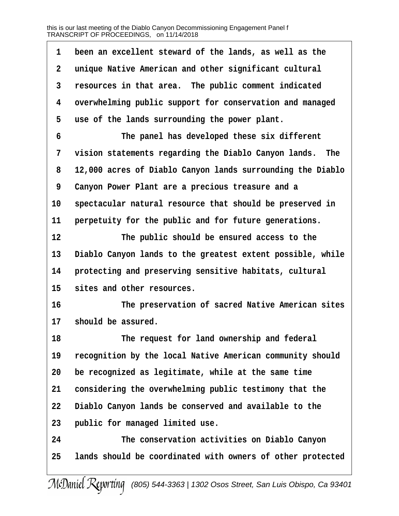| 1  | been an excellent steward of the lands, as well as the     |
|----|------------------------------------------------------------|
| 2  | unique Native American and other significant cultural      |
| 3  | resources in that area. The public comment indicated       |
| 4  | overwhelming public support for conservation and managed   |
| 5  | use of the lands surrounding the power plant.              |
| 6  | The panel has developed these six different                |
| 7  | vision statements regarding the Diablo Canyon lands. The   |
| 8  | 12,000 acres of Diablo Canyon lands surrounding the Diablo |
| 9  | Canyon Power Plant are a precious treasure and a           |
| 10 | spectacular natural resource that should be preserved in   |
| 11 | perpetuity for the public and for future generations.      |
| 12 | The public should be ensured access to the                 |
| 13 | Diablo Canyon lands to the greatest extent possible, while |
| 14 | protecting and preserving sensitive habitats, cultural     |
| 15 | sites and other resources.                                 |
| 16 | The preservation of sacred Native American sites           |
| 17 | should be assured.                                         |
| 18 | The request for land ownership and federal                 |
| 19 | recognition by the local Native American community should  |
| 20 | be recognized as legitimate, while at the same time        |
| 21 | considering the overwhelming public testimony that the     |
| 22 | Diablo Canyon lands be conserved and available to the      |
| 23 | public for managed limited use.                            |
| 24 | The conservation activities on Diablo Canyon               |
| 25 | lands should be coordinated with owners of other protected |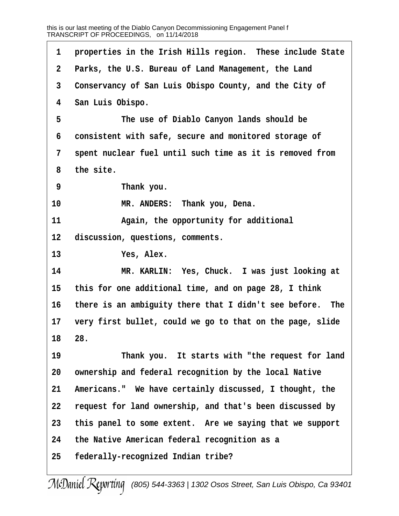1 **properties in the Irish Hills region.** These include State **·2· ·Parks, the U.S. Bureau of Land Management, the Land ·3· ·Conservancy of San Luis Obispo County, and the City of ·4· ·San Luis Obispo. ·5· · · · · · ·The use of Diablo Canyon lands should be ·6· ·consistent with safe, secure and monitored storage of ·7· ·spent nuclear fuel until such time as it is removed from ·8· ·the site. ·9· · · · · · ·Thank you.** 10 **MR. ANDERS:** Thank you, Dena. **11· · · · · · ·Again, the opportunity for additional** 12 discussion, questions, comments. 13 **Yes, Alex. 14· · · · · · ·MR. KARLIN:· Yes, Chuck.· I was just looking at 15· ·this for one additional time, and on page 28, I think** 16 there is an ambiguity there that I didn't see before. The 17 very first bullet, could we go to that on the page, slide **18· ·28. 19· · · · · · ·Thank you.· It starts with "the request for land** 20 ownership and federal recognition by the local Native 21 Americans." We have certainly discussed, I thought, the **22· ·request for land ownership, and that's been discussed by** 23 this panel to some extent. Are we saying that we support **24· ·the Native American federal recognition as a 25· ·federally-recognized Indian tribe?**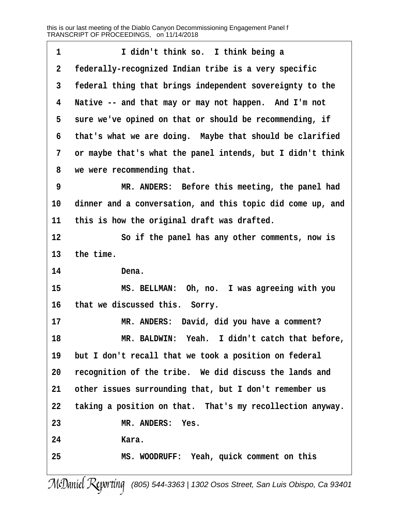| 1              | I didn't think so. I think being a                         |
|----------------|------------------------------------------------------------|
| $\mathbf 2$    | federally-recognized Indian tribe is a very specific       |
| 3              | federal thing that brings independent sovereignty to the   |
| 4              | Native -- and that may or may not happen. And I'm not      |
| 5              | sure we've opined on that or should be recommending, if    |
| 6              | that's what we are doing. Maybe that should be clarified   |
| $7\phantom{.}$ | or maybe that's what the panel intends, but I didn't think |
| 8              | we were recommending that.                                 |
| 9              | MR. ANDERS: Before this meeting, the panel had             |
| 10             | dinner and a conversation, and this topic did come up, and |
| 11             | this is how the original draft was drafted.                |
| 12             | So if the panel has any other comments, now is             |
| 13             | the time.                                                  |
| 14             | Dena.                                                      |
| 15             | MS. BELLMAN: Oh, no. I was agreeing with you               |
| 16             | that we discussed this. Sorry.                             |
| 17             | MR. ANDERS: David, did you have a comment?                 |
| 18             | MR. BALDWIN: Yeah. I didn't catch that before,             |
| 19             | but I don't recall that we took a position on federal      |
| 20             | recognition of the tribe. We did discuss the lands and     |
| 21             | other issues surrounding that, but I don't remember us     |
| $22 \,$        | taking a position on that. That's my recollection anyway.  |
| 23             | MR. ANDERS: Yes.                                           |
| 24             | Kara.                                                      |
| 25             | MS. WOODRUFF: Yeah, quick comment on this                  |
|                |                                                            |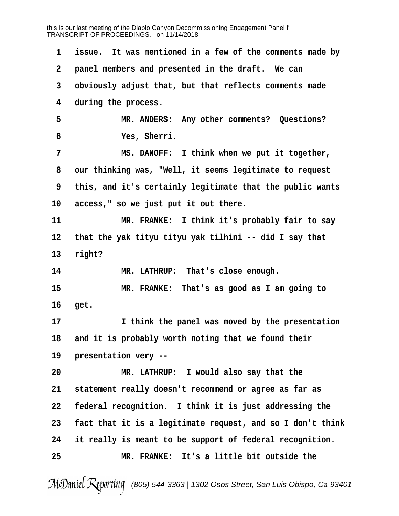1 issue. It was mentioned in a few of the comments made by **·2· ·panel members and presented in the draft.· We can ·3· ·obviously adjust that, but that reflects comments made ·4· ·during the process. ·5· · · · · · ·MR. ANDERS:· Any other comments?· Questions? ·6· · · · · · ·Yes, Sherri. ·7· · · · · · ·MS. DANOFF:· I think when we put it together, ·8· ·our thinking was, "Well, it seems legitimate to request ·9· ·this, and it's certainly legitimate that the public wants** 10 access," so we just put it out there. **11 11 ILCO IF INCO <b>I**NG: I think it's probably fair to say **12· ·that the yak tityu tityu yak tilhini -- did I say that** 13 right? 14 MR. LATHRUP: That's close enough. **15· · · · · · ·MR. FRANKE:· That's as good as I am going to** 16 **get. 17· · · · · · ·I think the panel was moved by the presentation** 18 and it is probably worth noting that we found their **19· ·presentation very -- 20· · · · · · ·MR. LATHRUP:· I would also say that the 21· ·statement really doesn't recommend or agree as far as 22· ·federal recognition.· I think it is just addressing the 23· ·fact that it is a legitimate request, and so I don't think 24· ·it really is meant to be support of federal recognition. 25· · · · · · ·MR. FRANKE:· It's a little bit outside the**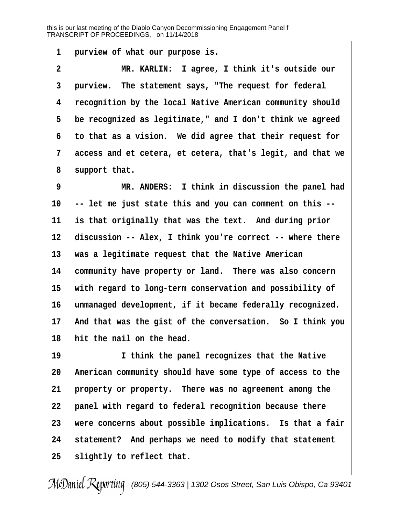1 **purview of what our purpose is.** 

**·2· · · · · · ·MR. KARLIN:· I agree, I think it's outside our** 3 **purview.** The statement says, "The request for federal **·4· ·recognition by the local Native American community should ·5· ·be recognized as legitimate," and I don't think we agreed ·6· ·to that as a vision.· We did agree that their request for ·7· ·access and et cetera, et cetera, that's legit, and that we** 8 support that.

**·9· · · · · · ·MR. ANDERS:· I think in discussion the panel had 10· ·-- let me just state this and you can comment on this --** 11 is that originally that was the text. And during prior 12 discussion -- Alex, I think you're correct -- where there 13 was a legitimate request that the Native American 14 community have property or land. There was also concern 15 with regard to long-term conservation and possibility of 16 unmanaged development, if it became federally recognized. 17 And that was the gist of the conversation. So I think you **18· ·hit the nail on the head.**

19 **1 I think the panel recognizes that the Native 20· ·American community should have some type of access to the** 21 **property or property.** There was no agreement among the 22 **panel with regard to federal recognition because there** 23 were concerns about possible implications. Is that a fair **24· ·statement?· And perhaps we need to modify that statement** 25 **slightly to reflect that.**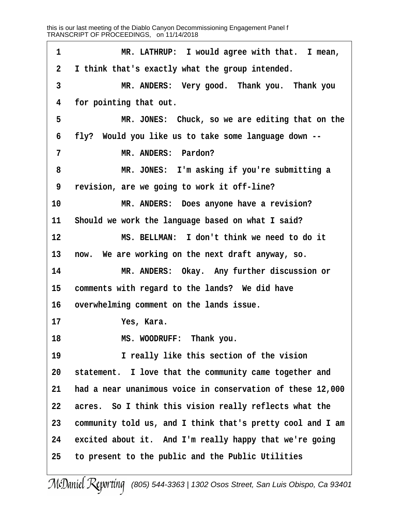1 **\*\*\* \*\*\* \*\*\* \*\*\* \*\*\* \*\*\* \*\*\* \*\*\* \*\*\* \*\*\* \*\*\* \*\*\* \*\*\* \*\*\* \*\*\* \*\*\* \*\*\* \*\*\* \*\* \*\* \*\* \*\* \*\* \*\* \*\* \*\* \*\* \*\* \*\* \*\* \*\* \*\* \*\* \*\* \*\* \*\* \*\* \*\* \*\* \*\* \* ·2· ·I think that's exactly what the group intended. ·3· · · · · · ·MR. ANDERS:· Very good.· Thank you.· Thank you ·4· ·for pointing that out.** 5 **MR. JONES:** Chuck, so we are editing that on the **·6· ·fly?· Would you like us to take some language down -- 7** *MR. ANDERS:* **Pardon? ·8· · · · · · ·MR. JONES:· I'm asking if you're submitting a ·9· ·revision, are we going to work it off-line?** 10 **MR. ANDERS:** Does anyone have a revision? 11 Should we work the language based on what I said? **12· · · · · · ·MS. BELLMAN:· I don't think we need to do it** 13 now. We are working on the next draft anyway, so. 14 **8 MR. ANDERS:** Okay. Any further discussion or 15 comments with regard to the lands? We did have 16 overwhelming comment on the lands issue. **17· · · · · · ·Yes, Kara. 18· · · · · · ·MS. WOODRUFF:· Thank you. 19· · · · · · ·I really like this section of the vision** 20 statement. I love that the community came together and **21· ·had a near unanimous voice in conservation of these 12,000 22· ·acres.· So I think this vision really reflects what the 23· ·community told us, and I think that's pretty cool and I am** 24 excited about it. And I'm really happy that we're going **25· ·to present to the public and the Public Utilities**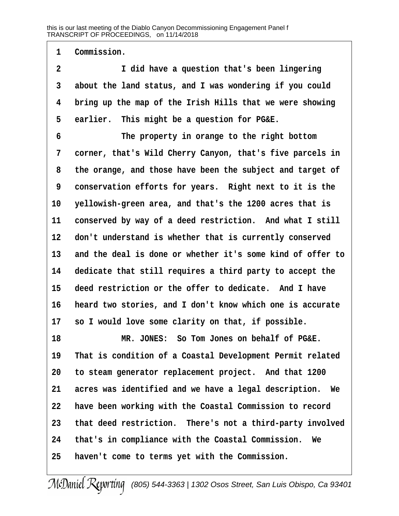1 Commission.

**·2· · · · · · ·I did have a question that's been lingering ·3· ·about the land status, and I was wondering if you could ·4· ·bring up the map of the Irish Hills that we were showing** 5 earlier. This might be a question for PG&E.

**·6· · · · · · ·The property in orange to the right bottom ·7· ·corner, that's Wild Cherry Canyon, that's five parcels in ·8· ·the orange, and those have been the subject and target of ·9· ·conservation efforts for years.· Right next to it is the 10· ·yellowish-green area, and that's the 1200 acres that is** 11 conserved by way of a deed restriction. And what I still **12· ·don't understand is whether that is currently conserved 13· ·and the deal is done or whether it's some kind of offer to 14· ·dedicate that still requires a third party to accept the** 15 deed restriction or the offer to dedicate. And I have **16· ·heard two stories, and I don't know which one is accurate** 17 so I would love some clarity on that, if possible.

**18· · · · · · ·MR. JONES:· So Tom Jones on behalf of PG&E. 19· ·That is condition of a Coastal Development Permit related** 20 to steam generator replacement project. And that 1200 21 acres was identified and we have a legal description. We **22· ·have been working with the Coastal Commission to record 23· ·that deed restriction.· There's not a third-party involved 24· ·that's in compliance with the Coastal Commission.· We 25· ·haven't come to terms yet with the Commission.**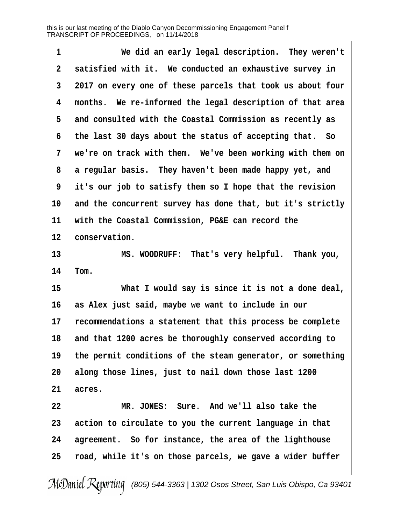| 1            | We did an early legal description. They weren't            |
|--------------|------------------------------------------------------------|
| $\mathbf{2}$ | satisfied with it. We conducted an exhaustive survey in    |
| 3            | 2017 on every one of these parcels that took us about four |
| 4            | months. We re-informed the legal description of that area  |
| 5            | and consulted with the Coastal Commission as recently as   |
| 6            | the last 30 days about the status of accepting that. So    |
| 7            | we're on track with them. We've been working with them on  |
| 8            | a regular basis. They haven't been made happy yet, and     |
| 9            | it's our job to satisfy them so I hope that the revision   |
| 10           | and the concurrent survey has done that, but it's strictly |
| 11           | with the Coastal Commission, PG&E can record the           |
| 12           | conservation.                                              |
| 13           | MS. WOODRUFF: That's very helpful. Thank you,              |
| 14           | Tom.                                                       |
| 15           | What I would say is since it is not a done deal,           |
| 16           | as Alex just said, maybe we want to include in our         |
| 17           | recommendations a statement that this process be complete  |
| 18           | and that 1200 acres be thoroughly conserved according to   |
| 19           | the permit conditions of the steam generator, or something |
| 20           | along those lines, just to nail down those last 1200       |
| 21           | acres.                                                     |
| 22           | MR. JONES: Sure. And we'll also take the                   |
| 23           | action to circulate to you the current language in that    |
| 24           | agreement. So for instance, the area of the lighthouse     |
| 25           | road, while it's on those parcels, we gave a wider buffer  |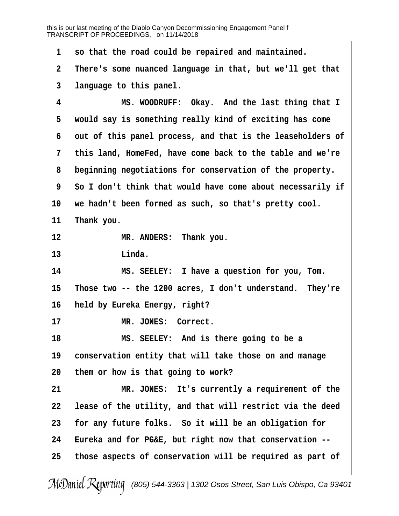**·1· ·so that the road could be repaired and maintained. ·2· ·There's some nuanced language in that, but we'll get that ·3· ·language to this panel. ·4· · · · · · ·MS. WOODRUFF:· Okay.· And the last thing that I ·5· ·would say is something really kind of exciting has come ·6· ·out of this panel process, and that is the leaseholders of ·7· ·this land, HomeFed, have come back to the table and we're ·8· ·beginning negotiations for conservation of the property. ·9· ·So I don't think that would have come about necessarily if** 10 we hadn't been formed as such, so that's pretty cool. 11 Thank you. 12 **MR. ANDERS:** Thank you. 13 **Linda. 14· · · · · · ·MS. SEELEY:· I have a question for you, Tom.** 15 Those two -- the 1200 acres, I don't understand. They're 16 **held by Eureka Energy, right?** 17 MR. JONES: Correct. **18· · · · · · ·MS. SEELEY:· And is there going to be a** 19 conservation entity that will take those on and manage **20· ·them or how is that going to work?** 21 **8 MR. JONES:** It's currently a requirement of the **22· ·lease of the utility, and that will restrict via the deed** 23 for any future folks. So it will be an obligation for **24· ·Eureka and for PG&E, but right now that conservation -- 25· ·those aspects of conservation will be required as part of**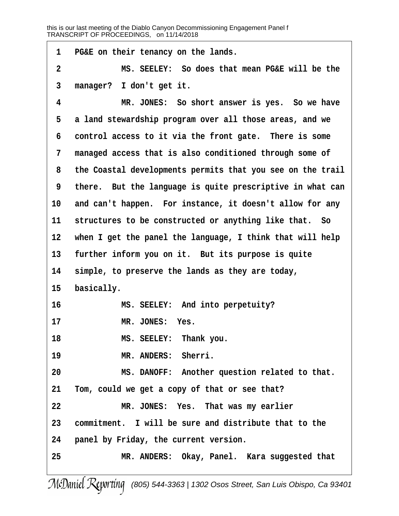**·1· ·PG&E on their tenancy on the lands. ·2· · · · · · ·MS. SEELEY:· So does that mean PG&E will be the ·3· ·manager?· I don't get it. ·4· · · · · · ·MR. JONES:· So short answer is yes.· So we have ·5· ·a land stewardship program over all those areas, and we ·6· ·control access to it via the front gate.· There is some ·7· ·managed access that is also conditioned through some of ·8· ·the Coastal developments permits that you see on the trail ·9· ·there.· But the language is quite prescriptive in what can** 10 and can't happen. For instance, it doesn't allow for any 11 structures to be constructed or anything like that. So 12 when I get the panel the language, I think that will help 13 further inform you on it. But its purpose is quite **14· ·simple, to preserve the lands as they are today,** 15 **basically. 16· · · · · · ·MS. SEELEY:· And into perpetuity?** 17 MR. JONES: Yes. 18 **MS. SEELEY:** Thank you. 19 **MR. ANDERS: Sherri. 20· · · · · · ·MS. DANOFF:· Another question related to that. 21· ·Tom, could we get a copy of that or see that? 22· · · · · · ·MR. JONES:· Yes.· That was my earlier 23· ·commitment.· I will be sure and distribute that to the 24· ·panel by Friday, the current version. 25· · · · · · ·MR. ANDERS:· Okay, Panel.· Kara suggested that**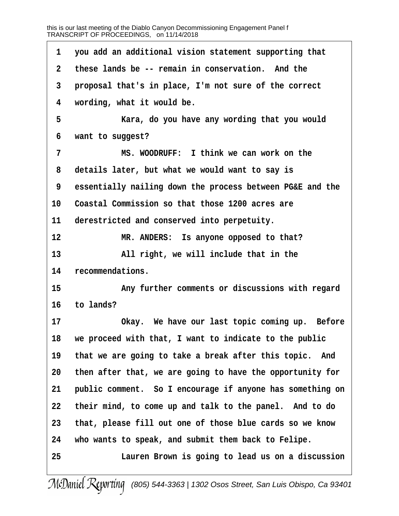| $\mathbf 1$  | you add an additional vision statement supporting that    |
|--------------|-----------------------------------------------------------|
| $\mathbf{2}$ | these lands be -- remain in conservation. And the         |
| $\mathbf{3}$ | proposal that's in place, I'm not sure of the correct     |
| 4            | wording, what it would be.                                |
| 5            | Kara, do you have any wording that you would              |
| 6            | want to suggest?                                          |
| 7            | MS. WOODRUFF: I think we can work on the                  |
| 8            | details later, but what we would want to say is           |
| 9            | essentially nailing down the process between PG&E and the |
| 10           | Coastal Commission so that those 1200 acres are           |
| 11           | derestricted and conserved into perpetuity.               |
| 12           | MR. ANDERS: Is anyone opposed to that?                    |
| 13           | All right, we will include that in the                    |
| 14           | recommendations.                                          |
| 15           | Any further comments or discussions with regard           |
| 16           | to lands?                                                 |
| 17           | Okay. We have our last topic coming up. Before            |
| 18           | we proceed with that, I want to indicate to the public    |
| 19           | that we are going to take a break after this topic. And   |
| 20           | then after that, we are going to have the opportunity for |
| 21           | public comment. So I encourage if anyone has something on |
| 22           | their mind, to come up and talk to the panel. And to do   |
| 23           | that, please fill out one of those blue cards so we know  |
| 24           | who wants to speak, and submit them back to Felipe.       |
| 25           | Lauren Brown is going to lead us on a discussion          |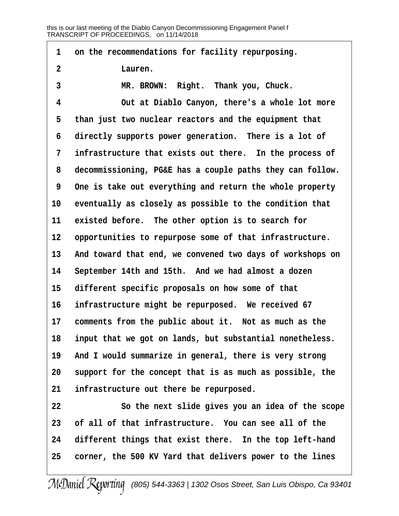| 1            | on the recommendations for facility repurposing.          |
|--------------|-----------------------------------------------------------|
| $\mathbf{2}$ | Lauren.                                                   |
| 3            | MR. BROWN: Right. Thank you, Chuck.                       |
| 4            | Out at Diablo Canyon, there's a whole lot more            |
| 5            | than just two nuclear reactors and the equipment that     |
| 6            | directly supports power generation. There is a lot of     |
| 7            | infrastructure that exists out there. In the process of   |
| 8            | decommissioning, PG&E has a couple paths they can follow. |
| 9            | One is take out everything and return the whole property  |
| 10           | eventually as closely as possible to the condition that   |
| 11           | existed before. The other option is to search for         |
| 12           | opportunities to repurpose some of that infrastructure.   |
| 13           | And toward that end, we convened two days of workshops on |
| 14           | September 14th and 15th. And we had almost a dozen        |
| 15           | different specific proposals on how some of that          |
| 16           | infrastructure might be repurposed. We received 67        |
| 17           | comments from the public about it. Not as much as the     |
| 18           | input that we got on lands, but substantial nonetheless.  |
| 19           | And I would summarize in general, there is very strong    |
| 20           | support for the concept that is as much as possible, the  |
| 21           | infrastructure out there be repurposed.                   |
| 22           | So the next slide gives you an idea of the scope          |
| 23           | of all of that infrastructure. You can see all of the     |
| 24           | different things that exist there. In the top left-hand   |

25 corner, the 500 KV Yard that delivers power to the lines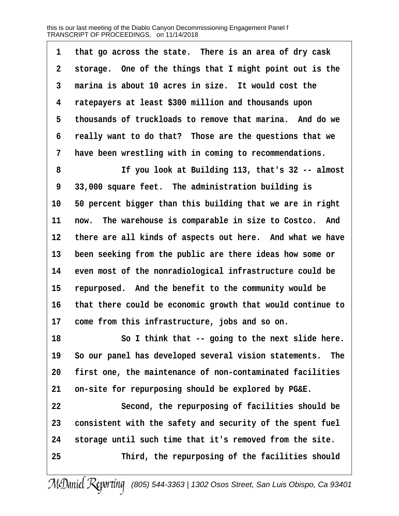1 that go across the state. There is an area of dry cask **·2· ·storage.· One of the things that I might point out is the** 3 marina is about 10 acres in size. It would cost the **·4· ·ratepayers at least \$300 million and thousands upon ·5· ·thousands of truckloads to remove that marina.· And do we ·6· ·really want to do that?· Those are the questions that we ·7· ·have been wrestling with in coming to recommendations.**

**·8· · · · · · ·If you look at Building 113, that's 32 -- almost ·9· ·33,000 square feet.· The administration building is** 10 50 percent bigger than this building that we are in right 11 now. The warehouse is comparable in size to Costco. And 12 there are all kinds of aspects out here. And what we have 13 been seeking from the public are there ideas how some or 14 even most of the nonradiological infrastructure could be 15 repurposed. And the benefit to the community would be **16· ·that there could be economic growth that would continue to** 17 come from this infrastructure, jobs and so on.

18 **80 I think that -- going to the next slide here.** 19 So our panel has developed several vision statements. The **20· ·first one, the maintenance of non-contaminated facilities 21· ·on-site for repurposing should be explored by PG&E.**

**22· · · · · · ·Second, the repurposing of facilities should be** 23 consistent with the safety and security of the spent fuel **24· ·storage until such time that it's removed from the site. 25· · · · · · ·Third, the repurposing of the facilities should**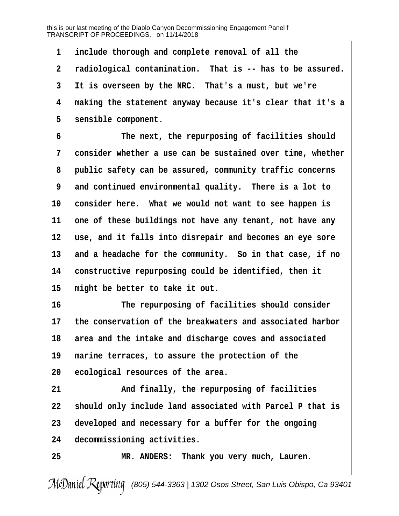1 include thorough and complete removal of all the **·2· ·radiological contamination.· That is -- has to be assured. ·3· ·It is overseen by the NRC.· That's a must, but we're ·4· ·making the statement anyway because it's clear that it's a** 5 sensible component.

**·6· · · · · · ·The next, the repurposing of facilities should ·7· ·consider whether a use can be sustained over time, whether ·8· ·public safety can be assured, community traffic concerns ·9· ·and continued environmental quality.· There is a lot to** 10 consider here. What we would not want to see happen is 11 one of these buildings not have any tenant, not have any 12 use, and it falls into disrepair and becomes an eye sore 13 and a headache for the community. So in that case, if no 14 constructive repurposing could be identified, then it 15 might be better to take it out.

**16· · · · · · ·The repurposing of facilities should consider 17· ·the conservation of the breakwaters and associated harbor 18· ·area and the intake and discharge coves and associated** 19 marine terraces, to assure the protection of the **20· ·ecological resources of the area.**

21 **and finally, the repurposing of facilities 22· ·should only include land associated with Parcel P that is 23· ·developed and necessary for a buffer for the ongoing** 24 decommissioning activities.

**25· · · · · · ·MR. ANDERS:· Thank you very much, Lauren.**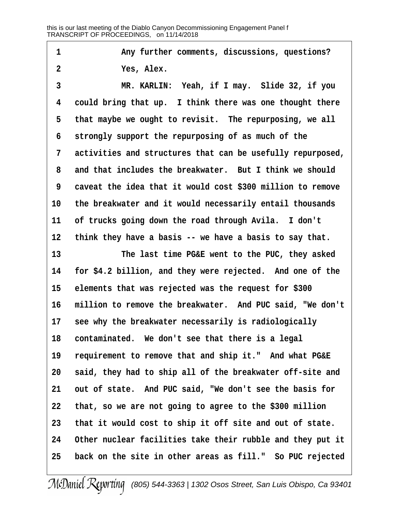1 **any further comments, discussions, questions? ·2· · · · · · ·Yes, Alex. ·3· · · · · · ·MR. KARLIN:· Yeah, if I may.· Slide 32, if you ·4· ·could bring that up.· I think there was one thought there** 5 that maybe we ought to revisit. The repurposing, we all **·6· ·strongly support the repurposing of as much of the ·7· ·activities and structures that can be usefully repurposed, ·8· ·and that includes the breakwater.· But I think we should ·9· ·caveat the idea that it would cost \$300 million to remove** 10 the breakwater and it would necessarily entail thousands 11 of trucks going down the road through Avila. I don't 12 think they have a basis -- we have a basis to say that. 13 **13** The last time PG&E went to the PUC, they asked **14· ·for \$4.2 billion, and they were rejected.· And one of the 15· ·elements that was rejected was the request for \$300** 16 million to remove the breakwater. And PUC said, "We don't 17 see why the breakwater necessarily is radiologically 18 contaminated. We don't see that there is a legal 19 requirement to remove that and ship it." And what PG&E **20· ·said, they had to ship all of the breakwater off-site and** 21 out of state. And PUC said, "We don't see the basis for **22· ·that, so we are not going to agree to the \$300 million 23· ·that it would cost to ship it off site and out of state. 24· ·Other nuclear facilities take their rubble and they put it** 25 back on the site in other areas as fill." So PUC rejected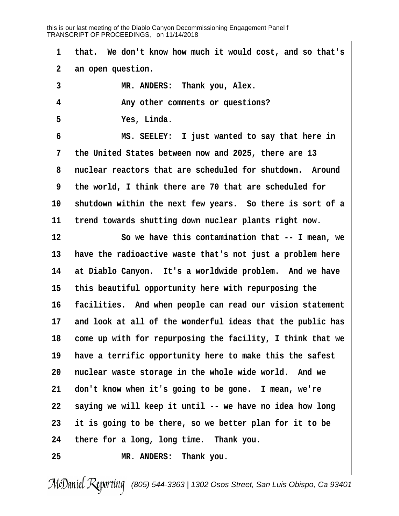| 1            | that. We don't know how much it would cost, and so that's  |
|--------------|------------------------------------------------------------|
| $\mathbf{2}$ | an open question.                                          |
| $\mathbf{3}$ | MR. ANDERS: Thank you, Alex.                               |
| 4            | Any other comments or questions?                           |
| 5            | Yes, Linda.                                                |
| 6            | MS. SEELEY: I just wanted to say that here in              |
| 7            | the United States between now and 2025, there are 13       |
| 8            | nuclear reactors that are scheduled for shutdown. Around   |
| 9            | the world, I think there are 70 that are scheduled for     |
| 10           | shutdown within the next few years. So there is sort of a  |
| 11           | trend towards shutting down nuclear plants right now.      |
| 12           | So we have this contamination that -- I mean, we           |
| 13           | have the radioactive waste that's not just a problem here  |
| 14           | at Diablo Canyon. It's a worldwide problem. And we have    |
| 15           | this beautiful opportunity here with repurposing the       |
| 16           | facilities. And when people can read our vision statement  |
| 17           | and look at all of the wonderful ideas that the public has |
| 18           | come up with for repurposing the facility, I think that we |
| 19           | have a terrific opportunity here to make this the safest   |
| 20           | nuclear waste storage in the whole wide world. And we      |
| 21           | don't know when it's going to be gone. I mean, we're       |
| 22           | saying we will keep it until -- we have no idea how long   |
| 23           | it is going to be there, so we better plan for it to be    |
| 24           | there for a long, long time. Thank you.                    |
| 25           | MR. ANDERS: Thank you.                                     |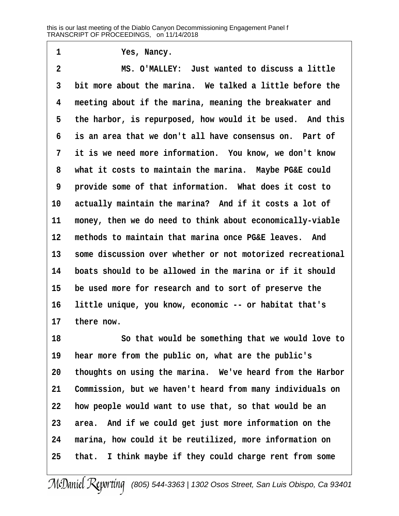**·1· · · · · · ·Yes, Nancy.**

**·2· · · · · · ·MS. O'MALLEY:· Just wanted to discuss a little ·3· ·bit more about the marina.· We talked a little before the ·4· ·meeting about if the marina, meaning the breakwater and** 5 the harbor, is repurposed, how would it be used. And this **·6· ·is an area that we don't all have consensus on.· Part of ·7· ·it is we need more information.· You know, we don't know ·8· ·what it costs to maintain the marina.· Maybe PG&E could ·9· ·provide some of that information.· What does it cost to** 10 actually maintain the marina? And if it costs a lot of 11 money, then we do need to think about economically-viable **12· ·methods to maintain that marina once PG&E leaves.· And 13· ·some discussion over whether or not motorized recreational 14· ·boats should to be allowed in the marina or if it should 15· ·be used more for research and to sort of preserve the 16· ·little unique, you know, economic -- or habitat that's** 17 there now.

**18· · · · · · ·So that would be something that we would love to 19· ·hear more from the public on, what are the public's 20· ·thoughts on using the marina.· We've heard from the Harbor** 21 Commission, but we haven't heard from many individuals on **22· ·how people would want to use that, so that would be an** 23 area. And if we could get just more information on the **24· ·marina, how could it be reutilized, more information on** 25 that. I think maybe if they could charge rent from some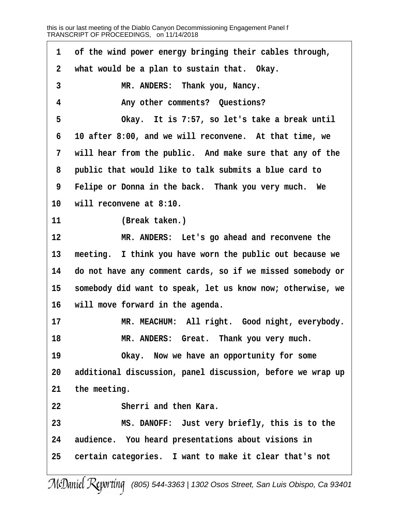| 1              | of the wind power energy bringing their cables through,    |
|----------------|------------------------------------------------------------|
| $\overline{2}$ | what would be a plan to sustain that. Okay.                |
| $\mathbf{3}$   | MR. ANDERS: Thank you, Nancy.                              |
| 4              | Any other comments? Questions?                             |
| 5              | Okay. It is 7:57, so let's take a break until              |
| 6              | 10 after 8:00, and we will reconvene. At that time, we     |
| 7              | will hear from the public. And make sure that any of the   |
| 8              | public that would like to talk submits a blue card to      |
| 9              | Felipe or Donna in the back. Thank you very much. We       |
| 10             | will reconvene at 8:10.                                    |
| 11             | (Break taken.)                                             |
| 12             | MR. ANDERS: Let's go ahead and reconvene the               |
| 13             | meeting. I think you have worn the public out because we   |
| 14             | do not have any comment cards, so if we missed somebody or |
| 15             | somebody did want to speak, let us know now; otherwise, we |
| 16             | will move forward in the agenda.                           |
| 17             | MR. MEACHUM: All right. Good night, everybody.             |
| 18             | MR. ANDERS: Great. Thank you very much.                    |
| 19             | Okay. Now we have an opportunity for some                  |
| 20             | additional discussion, panel discussion, before we wrap up |
| 21             | the meeting.                                               |
| 22             | Sherri and then Kara.                                      |
| 23             | MS. DANOFF: Just very briefly, this is to the              |
| 24             | audience. You heard presentations about visions in         |
| 25             | certain categories. I want to make it clear that's not     |
|                |                                                            |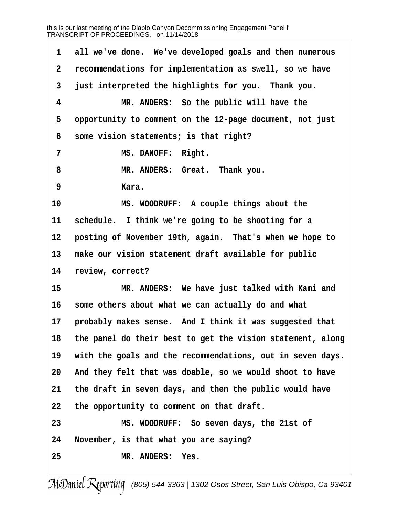1 all we've done. We've developed goals and then numerous **·2· ·recommendations for implementation as swell, so we have ·3· ·just interpreted the highlights for you.· Thank you. ·4· · · · · · ·MR. ANDERS:· So the public will have the ·5· ·opportunity to comment on the 12-page document, not just ·6· ·some vision statements; is that right?** 7 **MS. DANOFF: Right. ·8· · · · · · ·MR. ANDERS:· Great.· Thank you. ·9· · · · · · ·Kara. 10· · · · · · ·MS. WOODRUFF:· A couple things about the 11· ·schedule.· I think we're going to be shooting for a** 12 **posting of November 19th, again.** That's when we hope to 13 make our vision statement draft available for public 14 review, correct? **15· · · · · · ·MR. ANDERS:· We have just talked with Kami and** 16 some others about what we can actually do and what 17 **probably makes sense.** And I think it was suggested that **18· ·the panel do their best to get the vision statement, along** 19 with the goals and the recommendations, out in seven days. **20· ·And they felt that was doable, so we would shoot to have** 21 the draft in seven days, and then the public would have **22· ·the opportunity to comment on that draft. 23· · · · · · ·MS. WOODRUFF:· So seven days, the 21st of 24· ·November, is that what you are saying? 25· · · · · · ·MR. ANDERS:· Yes.**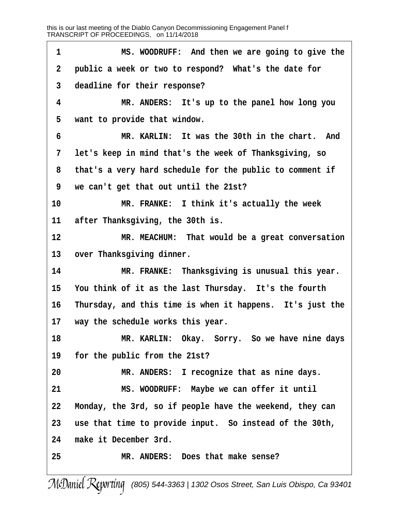**·1· · · · · · ·MS. WOODRUFF:· And then we are going to give the ·2· ·public a week or two to respond?· What's the date for ·3· ·deadline for their response? ·4· · · · · · ·MR. ANDERS:· It's up to the panel how long you ·5· ·want to provide that window. ·6· · · · · · ·MR. KARLIN:· It was the 30th in the chart.· And ·7· ·let's keep in mind that's the week of Thanksgiving, so ·8· ·that's a very hard schedule for the public to comment if ·9· ·we can't get that out until the 21st?** 10 **MR. FRANKE:** I think it's actually the week 11 **after Thanksgiving, the 30th is. 12· · · · · · ·MR. MEACHUM:· That would be a great conversation** 13 over Thanksgiving dinner. **14· · · · · · ·MR. FRANKE:· Thanksgiving is unusual this year.** 15 You think of it as the last Thursday. It's the fourth 16 Thursday, and this time is when it happens. It's just the 17 **way the schedule works this year. 18· · · · · · ·MR. KARLIN:· Okay.· Sorry.· So we have nine days 19· ·for the public from the 21st?** 20 **MR. ANDERS:** I recognize that as nine days. **21· · · · · · ·MS. WOODRUFF:· Maybe we can offer it until 22· ·Monday, the 3rd, so if people have the weekend, they can** 23 use that time to provide input. So instead of the 30th, **24· ·make it December 3rd. 25· · · · · · ·MR. ANDERS:· Does that make sense?**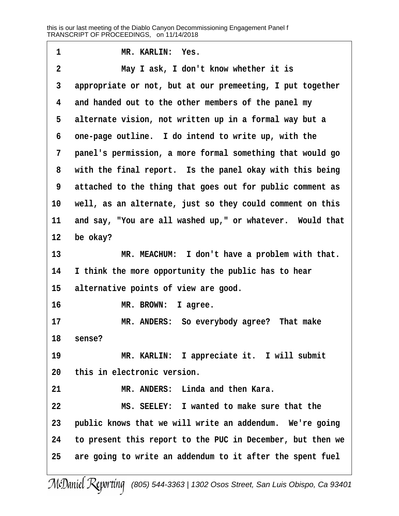| 1              | MR. KARLIN: Yes.                                           |
|----------------|------------------------------------------------------------|
| $\overline{2}$ | May I ask, I don't know whether it is                      |
| 3              | appropriate or not, but at our premeeting, I put together  |
| 4              | and handed out to the other members of the panel my        |
| 5              | alternate vision, not written up in a formal way but a     |
| 6              | one-page outline. I do intend to write up, with the        |
| 7              | panel's permission, a more formal something that would go  |
| 8              | with the final report. Is the panel okay with this being   |
| 9              | attached to the thing that goes out for public comment as  |
| 10             | well, as an alternate, just so they could comment on this  |
| 11             | and say, "You are all washed up," or whatever. Would that  |
| 12             | be okay?                                                   |
| 13             | MR. MEACHUM: I don't have a problem with that.             |
| 14             | I think the more opportunity the public has to hear        |
| 15             | alternative points of view are good.                       |
| 16             | MR. BROWN:<br>I agree.                                     |
| 17             | MR. ANDERS: So everybody agree? That make                  |
| 18             | sense?                                                     |
| 19             | MR. KARLIN: I appreciate it. I will submit                 |
| 20             | this in electronic version.                                |
| 21             | MR. ANDERS: Linda and then Kara.                           |
| 22             | MS. SEELEY: I wanted to make sure that the                 |
| 23             | public knows that we will write an addendum. We're going   |
| 24             | to present this report to the PUC in December, but then we |
| 25             | are going to write an addendum to it after the spent fuel  |
|                |                                                            |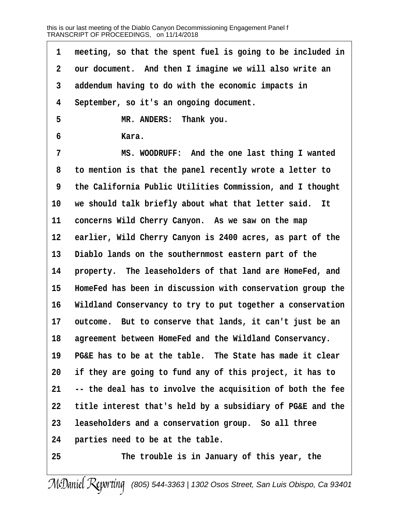1 meeting, so that the spent fuel is going to be included in **·2· ·our document.· And then I imagine we will also write an ·3· ·addendum having to do with the economic impacts in ·4· ·September, so it's an ongoing document. ·5· · · · · · ·MR. ANDERS:· Thank you. ·6· · · · · · ·Kara. ·7· · · · · · ·MS. WOODRUFF:· And the one last thing I wanted ·8· ·to mention is that the panel recently wrote a letter to ·9· ·the California Public Utilities Commission, and I thought** 10 we should talk briefly about what that letter said. It 11 concerns Wild Cherry Canyon. As we saw on the map 12 earlier, Wild Cherry Canyon is 2400 acres, as part of the **13· ·Diablo lands on the southernmost eastern part of the** 14 **property.** The leaseholders of that land are HomeFed, and **15· ·HomeFed has been in discussion with conservation group the** 16 **Wildland Conservancy to try to put together a conservation** 17 outcome. But to conserve that lands, it can't just be an 18 agreement between HomeFed and the Wildland Conservancy. **19· ·PG&E has to be at the table.· The State has made it clear 20· ·if they are going to fund any of this project, it has to 21· ·-- the deal has to involve the acquisition of both the fee 22· ·title interest that's held by a subsidiary of PG&E and the** 23 leaseholders and a conservation group. So all three **24· ·parties need to be at the table. 25· · · · · · ·The trouble is in January of this year, the**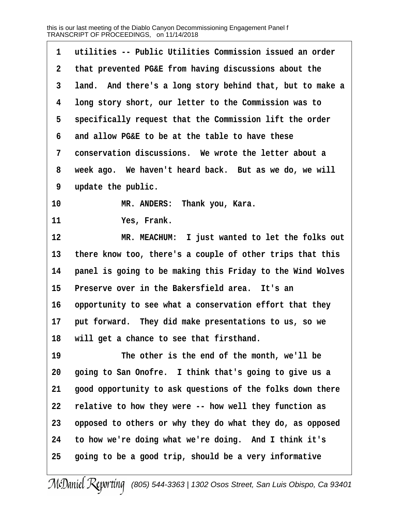| utilities -- Public Utilities Commission issued an order   |
|------------------------------------------------------------|
| that prevented PG&E from having discussions about the      |
| land. And there's a long story behind that, but to make a  |
| long story short, our letter to the Commission was to      |
| specifically request that the Commission lift the order    |
| and allow PG&E to be at the table to have these            |
| conservation discussions. We wrote the letter about a      |
| week ago. We haven't heard back. But as we do, we will     |
| update the public.                                         |
| MR. ANDERS: Thank you, Kara.                               |
| Yes, Frank.                                                |
| MR. MEACHUM: I just wanted to let the folks out            |
| there know too, there's a couple of other trips that this  |
| panel is going to be making this Friday to the Wind Wolves |
| Preserve over in the Bakersfield area. It's an             |
| opportunity to see what a conservation effort that they    |
| put forward. They did make presentations to us, so we      |
| will get a chance to see that firsthand.                   |
| The other is the end of the month, we'll be                |
| going to San Onofre. I think that's going to give us a     |
| good opportunity to ask questions of the folks down there  |
| relative to how they were -- how well they function as     |
| opposed to others or why they do what they do, as opposed  |
| to how we're doing what we're doing. And I think it's      |
| going to be a good trip, should be a very informative      |
|                                                            |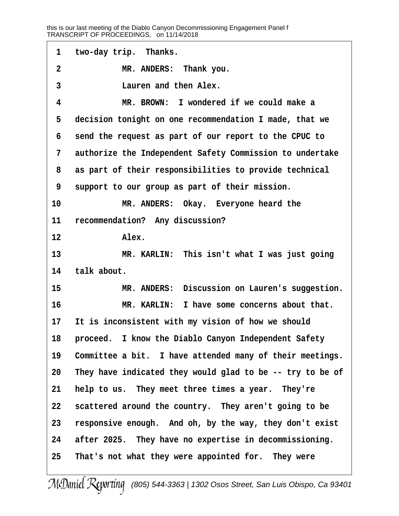1 two-day trip. Thanks. **·2· · · · · · ·MR. ANDERS:· Thank you. ·3· · · · · · ·Lauren and then Alex. ·4· · · · · · ·MR. BROWN:· I wondered if we could make a ·5· ·decision tonight on one recommendation I made, that we ·6· ·send the request as part of our report to the CPUC to ·7· ·authorize the Independent Safety Commission to undertake ·8· ·as part of their responsibilities to provide technical ·9· ·support to our group as part of their mission.** 10 **MR. ANDERS:** Okay. Everyone heard the 11 recommendation? Any discussion? 12 **Alex. 13· · · · · · ·MR. KARLIN:· This isn't what I was just going** 14 talk about. 15 MR. ANDERS: Discussion on Lauren's suggestion. **16· · · · · · ·MR. KARLIN:· I have some concerns about that.** 17 It is inconsistent with my vision of how we should 18 **· proceed.** I know the Diablo Canyon Independent Safety 19 Committee a bit. I have attended many of their meetings. **20· ·They have indicated they would glad to be -- try to be of** 21 **help to us.** They meet three times a year. They're 22 **scattered around the country.** They aren't going to be **23· ·responsive enough.· And oh, by the way, they don't exist 24· ·after 2025.· They have no expertise in decommissioning. 25· ·That's not what they were appointed for.· They were**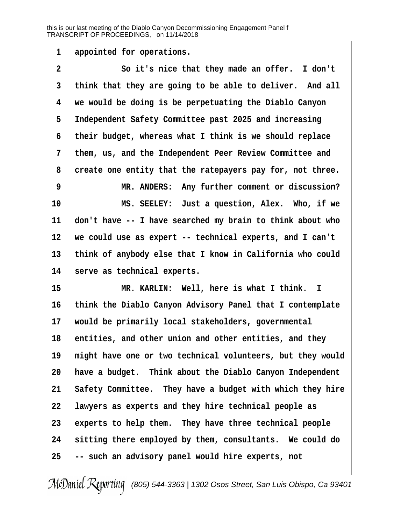1 appointed for operations.

**·2· · · · · · ·So it's nice that they made an offer.· I don't** 3 think that they are going to be able to deliver. And all **·4· ·we would be doing is be perpetuating the Diablo Canyon ·5· ·Independent Safety Committee past 2025 and increasing ·6· ·their budget, whereas what I think is we should replace ·7· ·them, us, and the Independent Peer Review Committee and ·8· ·create one entity that the ratepayers pay for, not three. ·9· · · · · · ·MR. ANDERS:· Any further comment or discussion? 10· · · · · · ·MS. SEELEY:· Just a question, Alex.· Who, if we** 11 don't have -- I have searched my brain to think about who **12· ·we could use as expert -- technical experts, and I can't** 13 think of anybody else that I know in California who could 14 **· serve as technical experts. 15· · · · · · ·MR. KARLIN:· Well, here is what I think. I**

16 think the Diablo Canyon Advisory Panel that I contemplate **17· ·would be primarily local stakeholders, governmental** 18 entities, and other union and other entities, and they 19 might have one or two technical volunteers, but they would **20· ·have a budget.· Think about the Diablo Canyon Independent** 21 Safety Committee. They have a budget with which they hire **22· ·lawyers as experts and they hire technical people as** 23 experts to help them. They have three technical people 24 sitting there employed by them, consultants. We could do **25· ·-- such an advisory panel would hire experts, not**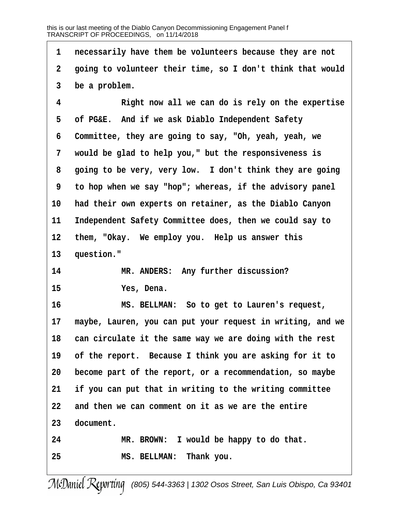**·1· ·necessarily have them be volunteers because they are not ·2· ·going to volunteer their time, so I don't think that would ·3· ·be a problem. ·4· · · · · · ·Right now all we can do is rely on the expertise ·5· ·of PG&E.· And if we ask Diablo Independent Safety ·6· ·Committee, they are going to say, "Oh, yeah, yeah, we ·7· ·would be glad to help you," but the responsiveness is ·8· ·going to be very, very low.· I don't think they are going ·9· ·to hop when we say "hop"; whereas, if the advisory panel** 10 had their own experts on retainer, as the Diablo Canyon 11 Independent Safety Committee does, then we could say to 12 them, "Okay. We employ you. Help us answer this 13 question." 14 MR. ANDERS: Any further discussion? **15· · · · · · ·Yes, Dena. 16· · · · · · ·MS. BELLMAN:· So to get to Lauren's request, 17· ·maybe, Lauren, you can put your request in writing, and we** 18 can circulate it the same way we are doing with the rest 19 of the report. Because I think you are asking for it to **20· ·become part of the report, or a recommendation, so maybe 21· ·if you can put that in writing to the writing committee 22· ·and then we can comment on it as we are the entire** 23 document. 24 MR. BROWN: I would be happy to do that. **25· · · · · · ·MS. BELLMAN:· Thank you.**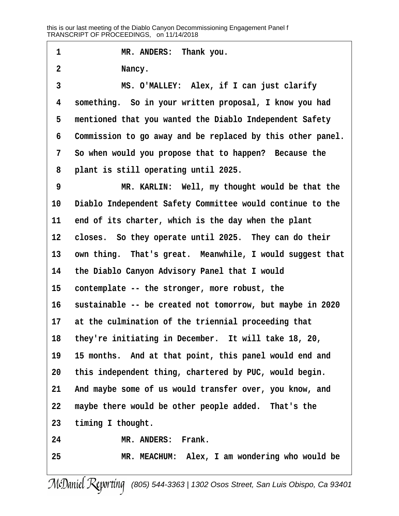1 **I MR. ANDERS:** Thank you. **·2· · · · · · ·Nancy. ·3· · · · · · ·MS. O'MALLEY:· Alex, if I can just clarify ·4· ·something.· So in your written proposal, I know you had** 5 **mentioned that you wanted the Diablo Independent Safety ·6· ·Commission to go away and be replaced by this other panel. ·7· ·So when would you propose that to happen?· Because the ·8· ·plant is still operating until 2025. ·9· · · · · · ·MR. KARLIN:· Well, my thought would be that the** 10 Diablo Independent Safety Committee would continue to the 11 end of its charter, which is the day when the plant 12 closes. So they operate until 2025. They can do their 13 own thing. That's great. Meanwhile, I would suggest that **14· ·the Diablo Canyon Advisory Panel that I would** 15 contemplate -- the stronger, more robust, the 16 sustainable -- be created not tomorrow, but maybe in 2020 17 at the culmination of the triennial proceeding that 18 they're initiating in December. It will take 18, 20, **19· ·15 months.· And at that point, this panel would end and 20· ·this independent thing, chartered by PUC, would begin.** 21 And maybe some of us would transfer over, you know, and 22 maybe there would be other people added. That's the 23 timing I thought. 24 **MR. ANDERS: Frank. 25· · · · · · ·MR. MEACHUM:· Alex, I am wondering who would be**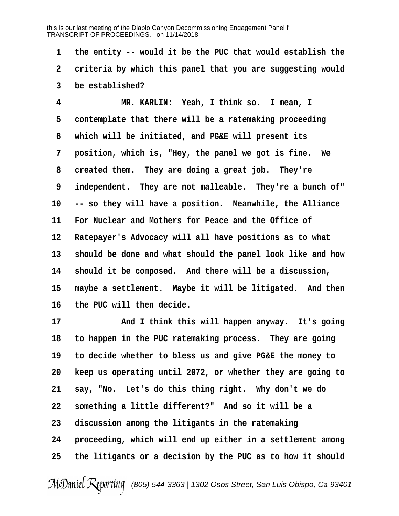**·1· ·the entity -- would it be the PUC that would establish the** 2 criteria by which this panel that you are suggesting would **·3· ·be established?**

**·4· · · · · · ·MR. KARLIN:· Yeah, I think so.· I mean, I** 5 contemplate that there will be a ratemaking proceeding **·6· ·which will be initiated, and PG&E will present its** 7 **position, which is, "Hey, the panel we got is fine.** We **·8· ·created them.· They are doing a great job.· They're** 9 independent. They are not malleable. They're a bunch of" 10 -- so they will have a position. Meanwhile, the Alliance 11 For Nuclear and Mothers for Peace and the Office of 12 Ratepayer's Advocacy will all have positions as to what 13 should be done and what should the panel look like and how 14 should it be composed. And there will be a discussion, 15 maybe a settlement. Maybe it will be litigated. And then 16 the PUC will then decide.

**17· · · · · · ·And I think this will happen anyway.· It's going** 18 to happen in the PUC ratemaking process. They are going **19· ·to decide whether to bless us and give PG&E the money to 20· ·keep us operating until 2072, or whether they are going to** 21 say, "No. Let's do this thing right. Why don't we do 22 something a little different?" And so it will be a 23 discussion among the litigants in the ratemaking **24· ·proceeding, which will end up either in a settlement among 25· ·the litigants or a decision by the PUC as to how it should**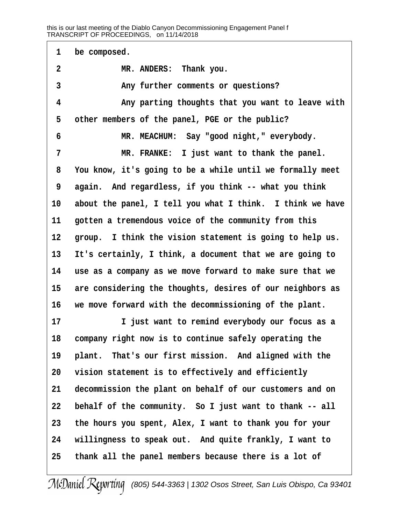1 be composed. **·2· · · · · · ·MR. ANDERS:· Thank you. ·3· · · · · · ·Any further comments or questions? ·4· · · · · · ·Any parting thoughts that you want to leave with** 5 other members of the panel, PGE or the public? **·6· · · · · · ·MR. MEACHUM:· Say "good night," everybody. ·7· · · · · · ·MR. FRANKE:· I just want to thank the panel. ·8· ·You know, it's going to be a while until we formally meet ·9· ·again.· And regardless, if you think -- what you think** 10 about the panel, I tell you what I think. I think we have 11 **gotten a tremendous voice of the community from this** 12 group. I think the vision statement is going to help us. **13· ·It's certainly, I think, a document that we are going to 14· ·use as a company as we move forward to make sure that we** 15 are considering the thoughts, desires of our neighbors as 16 we move forward with the decommissioning of the plant. **17· · · · · · ·I just want to remind everybody our focus as a** 18 company right now is to continue safely operating the 19 plant. That's our first mission. And aligned with the **20· ·vision statement is to effectively and efficiently** 21 decommission the plant on behalf of our customers and on 22 behalf of the community. So I just want to thank -- all **23· ·the hours you spent, Alex, I want to thank you for your** 24 **willingness to speak out.** And quite frankly, I want to **25· ·thank all the panel members because there is a lot of**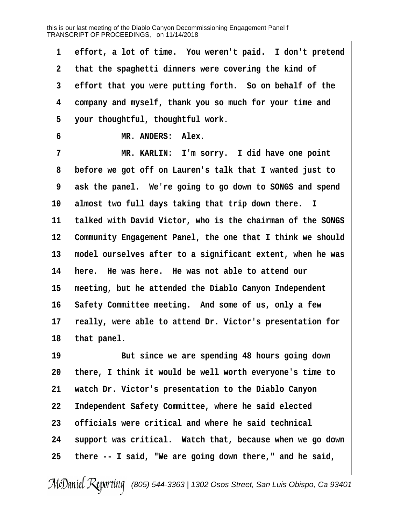1 effort, a lot of time. You weren't paid. I don't pretend **·2· ·that the spaghetti dinners were covering the kind of** 3 effort that you were putting forth. So on behalf of the **·4· ·company and myself, thank you so much for your time and ·5· ·your thoughtful, thoughtful work.**  $\texttt{MR.}$  ANDERS: Alex. **·7· · · · · · ·MR. KARLIN:· I'm sorry.· I did have one point ·8· ·before we got off on Lauren's talk that I wanted just to ·9· ·ask the panel.· We're going to go down to SONGS and spend** 10 almost two full days taking that trip down there. I 11 talked with David Victor, who is the chairman of the SONGS **12· ·Community Engagement Panel, the one that I think we should 13· ·model ourselves after to a significant extent, when he was** 14 here. He was here. He was not able to attend our 15 meeting, but he attended the Diablo Canyon Independent 16 Safety Committee meeting. And some of us, only a few 17 really, were able to attend Dr. Victor's presentation for 18 that panel. 19 **But since we are spending 48 hours going down 20· ·there, I think it would be well worth everyone's time to 21· ·watch Dr. Victor's presentation to the Diablo Canyon 22· ·Independent Safety Committee, where he said elected 23· ·officials were critical and where he said technical** 24 support was critical. Watch that, because when we go down

**25· ·there -- I said, "We are going down there," and he said,**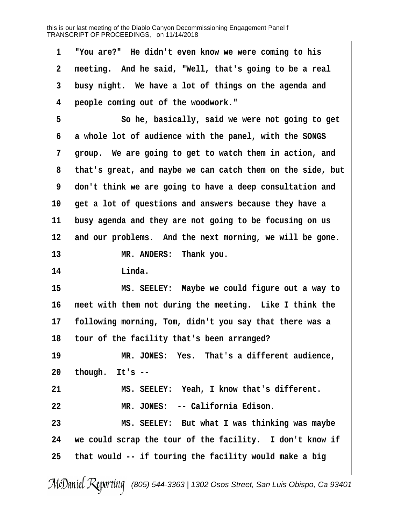**·1· ·"You are?"· He didn't even know we were coming to his ·2· ·meeting.· And he said, "Well, that's going to be a real ·3· ·busy night.· We have a lot of things on the agenda and ·4· ·people coming out of the woodwork." ·5· · · · · · ·So he, basically, said we were not going to get ·6· ·a whole lot of audience with the panel, with the SONGS ·7· ·group.· We are going to get to watch them in action, and ·8· ·that's great, and maybe we can catch them on the side, but ·9· ·don't think we are going to have a deep consultation and** 10 get a lot of questions and answers because they have a 11 busy agenda and they are not going to be focusing on us 12 and our problems. And the next morning, we will be gone. 13 **MR. ANDERS:** Thank you. **14· · · · · · ·Linda. 15· · · · · · ·MS. SEELEY:· Maybe we could figure out a way to** 16 meet with them not during the meeting. Like I think the **17· ·following morning, Tom, didn't you say that there was a** 18 tour of the facility that's been arranged? 19 **MR. JONES:** Yes. That's a different audience, **20· ·though.· It's --** 21 **8. BELEY:** Yeah, I know that's different. 22 MR. JONES: -- California Edison. **23· · · · · · ·MS. SEELEY:· But what I was thinking was maybe** 24 we could scrap the tour of the facility. I don't know if **25· ·that would -- if touring the facility would make a big**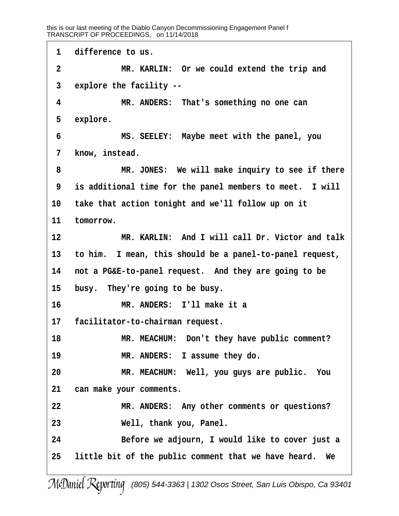1 difference to us. **·2· · · · · · ·MR. KARLIN:· Or we could extend the trip and ·3· ·explore the facility -- ·4· · · · · · ·MR. ANDERS:· That's something no one can** 5 explore. **·6· · · · · · ·MS. SEELEY:· Maybe meet with the panel, you** 7 know, instead. **·8· · · · · · ·MR. JONES:· We will make inquiry to see if there 9** is additional time for the panel members to meet. I will **10· ·take that action tonight and we'll follow up on it** 11 tomorrow. **12· · · · · · ·MR. KARLIN:· And I will call Dr. Victor and talk 13· ·to him.· I mean, this should be a panel-to-panel request,** 14 not a PG&E-to-panel request. And they are going to be 15 busy. They're going to be busy. **16· · · · · · ·MR. ANDERS:· I'll make it a** 17 facilitator-to-chairman request. 18 MR. MEACHUM: Don't they have public comment? 19 **MR. ANDERS:** I assume they do. **20· · · · · · ·MR. MEACHUM:· Well, you guys are public.· You 21· ·can make your comments.** 22 MR. ANDERS: Any other comments or questions? **23· · · · · · ·Well, thank you, Panel. 24· · · · · · ·Before we adjourn, I would like to cover just a 25· ·little bit of the public comment that we have heard.· We**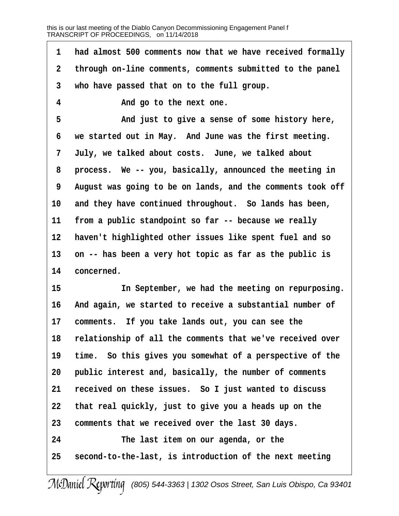**·1· ·had almost 500 comments now that we have received formally ·2· ·through on-line comments, comments submitted to the panel ·3· ·who have passed that on to the full group. ·4· · · · · · ·And go to the next one.** 5 **and just to give a sense of some history here, ·6· ·we started out in May.· And June was the first meeting. ·7· ·July, we talked about costs.· June, we talked about ·8· ·process.· We -- you, basically, announced the meeting in ·9· ·August was going to be on lands, and the comments took off** 10 and they have continued throughout. So lands has been, 11 from a public standpoint so far -- because we really 12 haven't highlighted other issues like spent fuel and so 13 on -- has been a very hot topic as far as the public is 14 concerned. **15· · · · · · ·In September, we had the meeting on repurposing.** 16 And again, we started to receive a substantial number of 17 comments. If you take lands out, you can see the **18· ·relationship of all the comments that we've received over** 19 time. So this gives you somewhat of a perspective of the 20 **public interest and, basically, the number of comments** 21 received on these issues. So I just wanted to discuss **22· ·that real quickly, just to give you a heads up on the 23· ·comments that we received over the last 30 days.**

**24· · · · · · ·The last item on our agenda, or the** 25 **second-to-the-last, is introduction of the next meeting**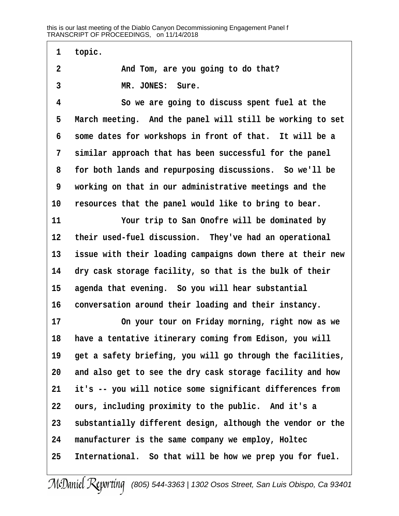**·1· ·topic. ·2· · · · · · ·And Tom, are you going to do that?** 3 MR. JONES: Sure. **·4· · · · · · ·So we are going to discuss spent fuel at the** 5 March meeting. And the panel will still be working to set **·6· ·some dates for workshops in front of that.· It will be a** 7 similar approach that has been successful for the panel **·8· ·for both lands and repurposing discussions.· So we'll be ·9· ·working on that in our administrative meetings and the** 10 resources that the panel would like to bring to bear. 11 **11 11** Your trip to San Onofre will be dominated by 12 their used-fuel discussion. They've had an operational **13· ·issue with their loading campaigns down there at their new** 14 dry cask storage facility, so that is the bulk of their 15 agenda that evening. So you will hear substantial 16 conversation around their loading and their instancy. 17 **17** On your tour on Friday morning, right now as we 18 have a tentative itinerary coming from Edison, you will 19 get a safety briefing, you will go through the facilities, **20· ·and also get to see the dry cask storage facility and how 21· ·it's -- you will notice some significant differences from** 22 ours, including proximity to the public. And it's a **23· ·substantially different design, although the vendor or the 24· ·manufacturer is the same company we employ, Holtec** 25 International. So that will be how we prep you for fuel.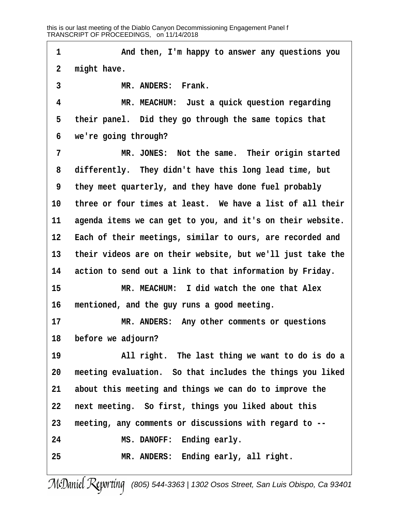**1** *And then, I'm happy to answer any questions you* 2 might have. 3 **MR. ANDERS: Frank. ·4· · · · · · ·MR. MEACHUM:· Just a quick question regarding** 5 their panel. Did they go through the same topics that **·6· ·we're going through? ·7· · · · · · ·MR. JONES:· Not the same.· Their origin started ·8· ·differently.· They didn't have this long lead time, but ·9· ·they meet quarterly, and they have done fuel probably** 10 three or four times at least. We have a list of all their 11 agenda items we can get to you, and it's on their website. 12 Each of their meetings, similar to ours, are recorded and **13· ·their videos are on their website, but we'll just take the** 14 action to send out a link to that information by Friday. **15· · · · · · ·MR. MEACHUM:· I did watch the one that Alex 16· ·mentioned, and the guy runs a good meeting.** 17 **MR. ANDERS:** Any other comments or questions 18 before we adjourn? **19· · · · · · ·All right.· The last thing we want to do is do a 20· ·meeting evaluation.· So that includes the things you liked 21· ·about this meeting and things we can do to improve the 22· ·next meeting.· So first, things you liked about this 23· ·meeting, any comments or discussions with regard to -- 24· · · · · · ·MS. DANOFF:· Ending early. 25· · · · · · ·MR. ANDERS:· Ending early, all right.**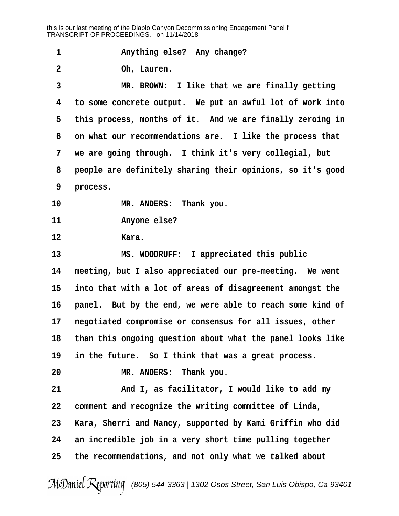**·1· · · · · · ·Anything else?· Any change? ·2· · · · · · ·Oh, Lauren. 3 \*\* \*\* \*\*\* \*\*\* \*\*\* \*\*\* \*\*\* \*\*\* \*\*\* \*\*\* 1 ike that we are finally getting ·4· ·to some concrete output.· We put an awful lot of work into** 5 this process, months of it. And we are finally zeroing in **·6· ·on what our recommendations are.· I like the process that ·7· ·we are going through.· I think it's very collegial, but ·8· ·people are definitely sharing their opinions, so it's good** 9 process. 10 **MR. ANDERS:** Thank you. 11 **Anyone else?** 12 **Kara. 13· · · · · · ·MS. WOODRUFF:· I appreciated this public** 14 meeting, but I also appreciated our pre-meeting. We went 15 into that with a lot of areas of disagreement amongst the 16 **panel.** But by the end, we were able to reach some kind of 17 **negotiated compromise or consensus for all issues, other 18· ·than this ongoing question about what the panel looks like** 19 in the future. So I think that was a great process. **20· · · · · · ·MR. ANDERS:· Thank you.** 21 **and I, as facilitator, I would like to add my 22· ·comment and recognize the writing committee of Linda, 23· ·Kara, Sherri and Nancy, supported by Kami Griffin who did** 24 an incredible job in a very short time pulling together **25· ·the recommendations, and not only what we talked about**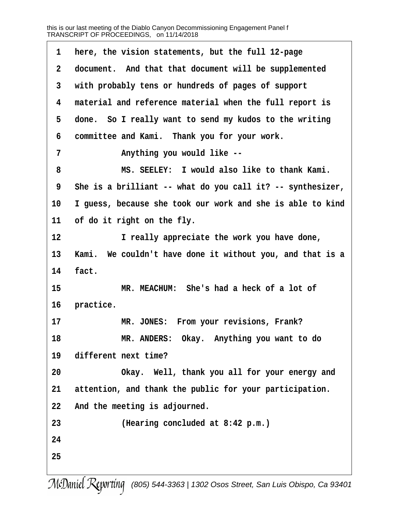**·1· ·here, the vision statements, but the full 12-page ·2· ·document.· And that that document will be supplemented ·3· ·with probably tens or hundreds of pages of support ·4· ·material and reference material when the full report is** 5 done. So I really want to send my kudos to the writing **·6· ·committee and Kami.· Thank you for your work. ·7· · · · · · ·Anything you would like -- ·8· · · · · · ·MS. SEELEY:· I would also like to thank Kami. ·9· ·She is a brilliant -- what do you call it? -- synthesizer, 10· ·I guess, because she took our work and she is able to kind** 11 of do it right on the fly. **12· · · · · · ·I really appreciate the work you have done,** 13 Kami. We couldn't have done it without you, and that is a 14 **fact. 15· · · · · · ·MR. MEACHUM:· She's had a heck of a lot of** 16 **practice.** 17 **MR. JONES:** From your revisions, Frank? **18· · · · · · ·MR. ANDERS:· Okay.· Anything you want to do 19· ·different next time? 20· · · · · · ·Okay.· Well, thank you all for your energy and** 21 attention, and thank the public for your participation. 22 And the meeting is adjourned. **23· · · · · · ·(Hearing concluded at 8:42 p.m.) 24 25**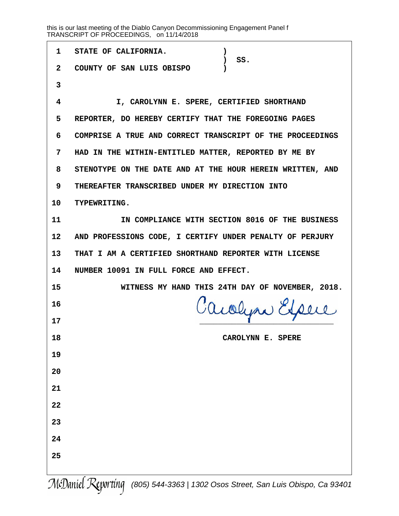| $\mathbf{1}$    | STATE OF CALIFORNIA.<br>SS.                               |  |
|-----------------|-----------------------------------------------------------|--|
| $\mathbf{2}$    | COUNTY OF SAN LUIS OBISPO                                 |  |
| 3               |                                                           |  |
| 4               | I, CAROLYNN E. SPERE, CERTIFIED SHORTHAND                 |  |
| 5               | REPORTER, DO HEREBY CERTIFY THAT THE FOREGOING PAGES      |  |
| 6               | COMPRISE A TRUE AND CORRECT TRANSCRIPT OF THE PROCEEDINGS |  |
| 7               | HAD IN THE WITHIN-ENTITLED MATTER, REPORTED BY ME BY      |  |
| 8               | STENOTYPE ON THE DATE AND AT THE HOUR HEREIN WRITTEN, AND |  |
| 9               | THEREAFTER TRANSCRIBED UNDER MY DIRECTION INTO            |  |
| 10              | TYPEWRITING.                                              |  |
| 11              | IN COMPLIANCE WITH SECTION 8016 OF THE BUSINESS           |  |
| 12 <sup>°</sup> | AND PROFESSIONS CODE, I CERTIFY UNDER PENALTY OF PERJURY  |  |
| 13 <sup>7</sup> | THAT I AM A CERTIFIED SHORTHAND REPORTER WITH LICENSE     |  |
|                 | NUMBER 10091 IN FULL FORCE AND EFFECT.                    |  |
| 14              |                                                           |  |
| 15              | WITNESS MY HAND THIS 24TH DAY OF NOVEMBER, 2018.          |  |
| 16              |                                                           |  |
| 17              | Cacolyne Expere                                           |  |
| 18              | <b>SPERE</b><br>CAROLYNN E.                               |  |
| 19              |                                                           |  |
| 20              |                                                           |  |
| 21              |                                                           |  |
| 22              |                                                           |  |
| 23              |                                                           |  |
| 24              |                                                           |  |
| 25              |                                                           |  |

McDaniel Reporting [\(805\) 544-3363 | 1302 Osos Street, San Luis Obispo, Ca 93401](http://www.mcdanielreporting.com)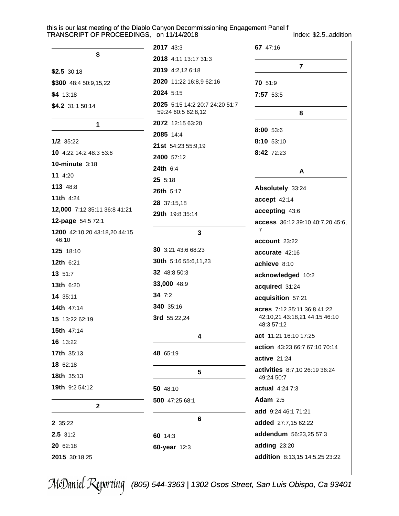Index: \$2.5..addition

|                                       | 2017 43:3                                            | 67 47:16                                           |
|---------------------------------------|------------------------------------------------------|----------------------------------------------------|
| \$                                    | 2018 4:11 13:17 31:3                                 |                                                    |
| $$2.5$ 30:18                          | 2019 4:2,12 6:18                                     | $\overline{7}$                                     |
| \$300 48:4 50:9,15,22                 | 2020 11:22 16:8,9 62:16                              | 70 51:9                                            |
| $$4$ 13:18                            | 2024 5:15                                            | 7:57 53:5                                          |
| \$4.2 31:1 50:14                      | 2025 5:15 14:2 20:7 24:20 51:7<br>59:24 60:5 62:8,12 | 8                                                  |
| 1                                     | 2072 12:15 63:20                                     |                                                    |
|                                       | 2085 14:4                                            | 8:00 53:6                                          |
| $1/2$ 35:22                           | 21st 54:23 55:9,19                                   | 8:10 53:10                                         |
| 10 4:22 14:2 48:3 53:6                | 2400 57:12                                           | 8:42 72:23                                         |
| <b>10-minute 3:18</b>                 | 24th 6:4                                             | A                                                  |
| 11 4:20                               | 25 5:18                                              |                                                    |
| 113 48:8                              | 26th 5:17                                            | Absolutely 33:24                                   |
| <b>11th 4:24</b>                      | 28 37:15,18                                          | accept 42:14                                       |
| 12,000 7:12 35:11 36:8 41:21          | 29th 19:8 35:14                                      | accepting 43:6                                     |
| 12-page 54:5 72:1                     |                                                      | access 36:12 39:10 40:7,20 45:6,<br>$\overline{7}$ |
| 1200 42:10,20 43:18,20 44:15<br>46:10 | 3                                                    | account 23:22                                      |
| 125 18:10                             | 30 3:21 43:6 68:23                                   | accurate 42:16                                     |
| 12th 6:21                             | 30th 5:16 55:6,11,23                                 | achieve 8:10                                       |
| 13 51:7                               | 32 48:8 50:3                                         | acknowledged 10:2                                  |
| <b>13th 6:20</b>                      | 33,000 48:9                                          | acquired 31:24                                     |
| 14 35:11                              | 34 $7:2$                                             | acquisition 57:21                                  |
| 14th 47:14                            | 340 35:16                                            | acres 7:12 35:11 36:8 41:22                        |
| 15 13:22 62:19                        | 3rd 55:22,24                                         | 42:10,21 43:18,21 44:15 46:10                      |
| <b>15th</b> 47:14                     |                                                      | 48:3 57:12                                         |
| 16 13:22                              | 4                                                    | act 11:21 16:10 17:25                              |
| 17th 35:13                            | 48 65:19                                             | action 43:23 66:7 67:10 70:14                      |
| 18 62:18                              |                                                      | <b>active 21:24</b>                                |
| 18th 35:13                            | $5\phantom{1}$                                       | activities 8:7,10 26:19 36:24<br>49:24 50:7        |
| 19th 9:2 54:12                        | 50 48:10                                             | actual 4:24 7:3                                    |
|                                       | 500 47:25 68:1                                       | Adam $2:5$                                         |
| $\mathbf{2}$                          |                                                      | add 9:24 46:1 71:21                                |
| 2 35:22                               | 6                                                    | added 27:7,15 62:22                                |
| 2.5 31:2                              | 60 14:3                                              | addendum 56:23,25 57:3                             |
| 20 62:18                              | 60-year 12:3                                         | adding 23:20                                       |
| 2015 30:18,25                         |                                                      | addition 8:13,15 14:5,25 23:22                     |
|                                       |                                                      |                                                    |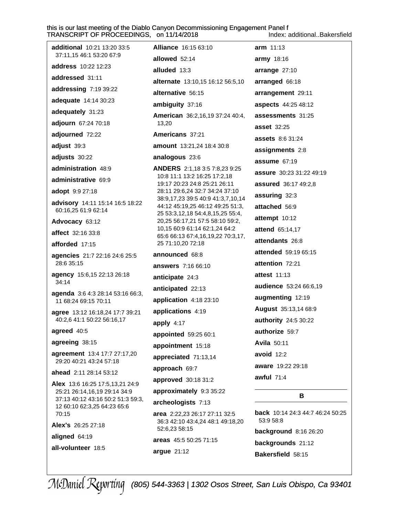Index: additional..Bakersfield

| <b>additional</b> 10:21 13:20 33:5<br>37:11,15 46:1 53:20 67:9   | <b>Alliance</b> 16:15 63:10                                          | arm 11:13                        |
|------------------------------------------------------------------|----------------------------------------------------------------------|----------------------------------|
| address 10:22 12:23                                              | allowed 52:14                                                        | army 18:16                       |
| addressed 31:11                                                  | alluded 13:3                                                         | arrange 27:10                    |
|                                                                  | alternate 13:10,15 16:12 56:5,10                                     | arranged 66:18                   |
| addressing 7:19 39:22                                            | alternative 56:15                                                    | arrangement 29:11                |
| adequate 14:14 30:23                                             | ambiguity 37:16                                                      | aspects 44:25 48:12              |
| adequately 31:23                                                 | American 36:2,16,19 37:24 40:4,                                      | assessments 31:25                |
| adjourn 67:24 70:18                                              | 13,20                                                                | <b>asset</b> 32:25               |
| adjourned 72:22                                                  | Americans 37:21                                                      | <b>assets</b> 8:6 31:24          |
| adjust 39:3                                                      | amount 13:21,24 18:4 30:8                                            | assignments 2:8                  |
| adjusts 30:22                                                    | analogous 23:6                                                       | assume $67:19$                   |
| administration 48:9                                              | <b>ANDERS</b> 2:1,18 3:5 7:8,23 9:25<br>10:8 11:1 13:2 16:25 17:2,18 | <b>assure</b> 30:23 31:22 49:19  |
| administrative 69:9                                              | 19:17 20:23 24:8 25:21 26:11                                         | assured 36:17 49:2,8             |
| adopt 9:9 27:18                                                  | 28:11 29:6,24 32:7 34:24 37:10<br>38:9,17,23 39:5 40:9 41:3,7,10,14  | assuring 32:3                    |
| advisory 14:11 15:14 16:5 18:22<br>60:16,25 61:9 62:14           | 44:12 45:19,25 46:12 49:25 51:3,                                     | attached 56:9                    |
| Advocacy 63:12                                                   | 25 53:3,12,18 54:4,8,15,25 55:4,<br>20,25 56:17,21 57:5 58:10 59:2,  | attempt 10:12                    |
| affect 32:16 33:8                                                | 10,15 60:9 61:14 62:1,24 64:2                                        | <b>attend</b> 65:14,17           |
| afforded 17:15                                                   | 65:6 66:13 67:4,16,19,22 70:3,17,<br>25 71:10,20 72:18               | attendants 26:8                  |
|                                                                  | announced 68:8                                                       | attended 59:19 65:15             |
| agencies 21:7 22:16 24:6 25:5<br>28:6 35:15                      | answers 7:16 66:10                                                   | attention 72:21                  |
| agency 15:6,15 22:13 26:18                                       | anticipate 24:3                                                      | <b>attest</b> 11:13              |
| 34:14                                                            | anticipated 22:13                                                    | audience 53:24 66:6,19           |
| agenda 3:6 4:3 28:14 53:16 66:3,<br>11 68:24 69:15 70:11         | application 4:18 23:10                                               | augmenting 12:19                 |
| agree 13:12 16:18,24 17:7 39:21                                  | applications 4:19                                                    | August 35:13,14 68:9             |
| 40:2,6 41:1 50:22 56:16,17                                       | apply $4:17$                                                         | authority 24:5 30:22             |
| agreed 40:5                                                      | appointed 59:25 60:1                                                 | authorize 59:7                   |
| agreeing 38:15                                                   | appointment 15:18                                                    | <b>Avila 50:11</b>               |
| agreement 13:4 17:7 27:17,20                                     | appreciated 71:13,14                                                 | avoid $12:2$                     |
| 29:20 40:21 43:24 57:18                                          | approach 69:7                                                        | aware 19:22 29:18                |
| ahead 2:11 28:14 53:12                                           | approved 30:18 31:2                                                  | awful $71:4$                     |
| Alex 13:6 16:25 17:5,13,21 24:9<br>25:21 26:14,16,19 29:14 34:9  | approximately 9:3 35:22                                              |                                  |
| 37:13 40:12 43:16 50:2 51:3 59:3,<br>12 60:10 62:3,25 64:23 65:6 | archeologists 7:13                                                   | В                                |
| 70:15                                                            | area 2:22,23 26:17 27:11 32:5                                        | back 10:14 24:3 44:7 46:24 50:25 |
| Alex's 26:25 27:18                                               | 36:3 42:10 43:4,24 48:1 49:18,20<br>52:6,23 58:15                    | 53:9 58:8                        |
| aligned 64:19                                                    | areas 45:5 50:25 71:15                                               | <b>background</b> 8:16 26:20     |
| all-volunteer 18:5                                               | argue 21:12                                                          | backgrounds 21:12                |
|                                                                  |                                                                      | Bakersfield 58:15                |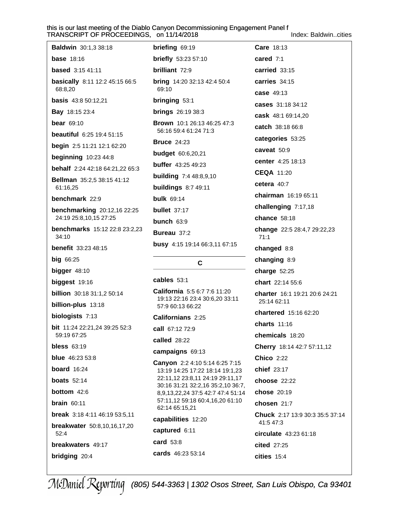Index: Baldwin..cities

| <b>Baldwin</b> 30:1,3 38:18<br><b>briefing</b> $69:19$<br><b>Care 18:13</b><br><b>base</b> 18:16<br><b>briefly</b> 53:23 57:10<br>cared $7:1$<br><b>based</b> 3:15 41:11<br>brilliant 72:9<br>carried $33:15$<br>carries 34:15<br>basically 8:11 12:2 45:15 66:5<br><b>bring</b> $14:20$ 32:13 42:4 50:4<br>69:10<br>68:8,20<br>case 49:13<br><b>basis</b> 43:8 50:12,21<br><b>bringing 53:1</b><br>cases 31:18 34:12<br><b>Bay</b> 18:15 23:4<br><b>brings</b> 26:19 38:3<br>cask 48:1 69:14,20<br><b>bear</b> 69:10<br><b>Brown</b> 10:1 26:13 46:25 47:3<br>catch 38:18 66:8<br>56:16 59:4 61:24 71:3<br><b>beautiful</b> 6:25 19:4 51:15<br>categories 53:25<br><b>Bruce 24:23</b><br>begin 2:5 11:21 12:1 62:20<br>caveat 50:9<br><b>budget</b> 60:6,20,21<br><b>beginning</b> 10:23 44:8<br>center 4:25 18:13<br><b>buffer</b> 43:25 49:23<br>behalf 2:24 42:18 64:21,22 65:3<br><b>CEQA 11:20</b><br><b>building</b> 7:4 48:8,9,10<br>Bellman 35:2,5 38:15 41:12<br>cetera $40:7$<br><b>buildings</b> 8:7 49:11<br>61:16,25<br><b>chairman</b> 16:19 65:11<br>benchmark 22:9<br><b>bulk</b> 69:14<br>challenging 7:17,18<br><b>benchmarking</b> 20:12,16 22:25<br><b>bullet</b> $37:17$<br>24:19 25:8,10,15 27:25<br>chance $58:18$<br>bunch $63:9$<br>benchmarks 15:12 22:8 23:2,23<br>Bureau 37:2<br>34:10<br>71:1<br>busy 4:15 19:14 66:3,11 67:15<br><b>benefit</b> 33:23 48:15<br>changed 8:8<br><b>big 66:25</b><br>changing 8:9<br>C<br>bigger 48:10<br>charge $52:25$<br>cables 53:1<br>biggest 19:16<br><b>chart</b> 22:14 55:6<br>California 5:5 6:7 7:6 11:20<br><b>billion</b> 30:18 31:1,2 50:14<br>19:13 22:16 23:4 30:6,20 33:11<br>25:14 62:11<br>billion-plus 13:18<br>57:9 60:13 66:22<br><b>chartered</b> 15:16 62:20<br>biologists 7:13<br>Californians 2:25<br>charts 11:16<br><b>bit</b> 11:24 22:21,24 39:25 52:3<br><b>call</b> 67:12 72:9<br>chemicals 18:20<br>59:19 67:25<br>called $28:22$<br>bless $63:19$<br>Cherry 18:14 42:7 57:11,12<br>campaigns 69:13<br><b>blue</b> $46:235:8$<br><b>Chico 2:22</b><br>Canyon 2:2 4:10 5:14 6:25 7:15<br><b>board</b> 16:24<br><b>chief</b> 23:17<br>13:19 14:25 17:22 18:14 19:1,23<br>22:11,12 23:8,11 24:19 29:11,17<br><b>boats</b> 52:14<br>choose 22:22<br>30:16 31:21 32:2,16 35:2,10 36:7,<br><b>bottom</b> 42:6<br><b>chose 20:19</b><br>8,9,13,22,24 37:5 42:7 47:4 51:14<br>57:11,12 59:18 60:4,16,20 61:10<br>brain 60:11<br>chosen 21:7<br>62:14 65:15,21<br>break 3:18 4:11 46:19 53:5,11<br>capabilities 12:20<br>41:5 47:3<br><b>breakwater</b> 50:8,10,16,17,20<br>captured 6:11<br>52:4<br>circulate 43:23 61:18<br>card $53:8$<br>breakwaters 49:17<br><b>cited</b> 27:25 |               |                          |                                 |
|-------------------------------------------------------------------------------------------------------------------------------------------------------------------------------------------------------------------------------------------------------------------------------------------------------------------------------------------------------------------------------------------------------------------------------------------------------------------------------------------------------------------------------------------------------------------------------------------------------------------------------------------------------------------------------------------------------------------------------------------------------------------------------------------------------------------------------------------------------------------------------------------------------------------------------------------------------------------------------------------------------------------------------------------------------------------------------------------------------------------------------------------------------------------------------------------------------------------------------------------------------------------------------------------------------------------------------------------------------------------------------------------------------------------------------------------------------------------------------------------------------------------------------------------------------------------------------------------------------------------------------------------------------------------------------------------------------------------------------------------------------------------------------------------------------------------------------------------------------------------------------------------------------------------------------------------------------------------------------------------------------------------------------------------------------------------------------------------------------------------------------------------------------------------------------------------------------------------------------------------------------------------------------------------------------------------------------------------------------------------------------------------------------------------------------------------------------------------------------------------------------------------------------------------------------------------------------------------------------------------------------------------------------------------------|---------------|--------------------------|---------------------------------|
|                                                                                                                                                                                                                                                                                                                                                                                                                                                                                                                                                                                                                                                                                                                                                                                                                                                                                                                                                                                                                                                                                                                                                                                                                                                                                                                                                                                                                                                                                                                                                                                                                                                                                                                                                                                                                                                                                                                                                                                                                                                                                                                                                                                                                                                                                                                                                                                                                                                                                                                                                                                                                                                                         |               |                          |                                 |
|                                                                                                                                                                                                                                                                                                                                                                                                                                                                                                                                                                                                                                                                                                                                                                                                                                                                                                                                                                                                                                                                                                                                                                                                                                                                                                                                                                                                                                                                                                                                                                                                                                                                                                                                                                                                                                                                                                                                                                                                                                                                                                                                                                                                                                                                                                                                                                                                                                                                                                                                                                                                                                                                         |               |                          |                                 |
|                                                                                                                                                                                                                                                                                                                                                                                                                                                                                                                                                                                                                                                                                                                                                                                                                                                                                                                                                                                                                                                                                                                                                                                                                                                                                                                                                                                                                                                                                                                                                                                                                                                                                                                                                                                                                                                                                                                                                                                                                                                                                                                                                                                                                                                                                                                                                                                                                                                                                                                                                                                                                                                                         |               |                          |                                 |
|                                                                                                                                                                                                                                                                                                                                                                                                                                                                                                                                                                                                                                                                                                                                                                                                                                                                                                                                                                                                                                                                                                                                                                                                                                                                                                                                                                                                                                                                                                                                                                                                                                                                                                                                                                                                                                                                                                                                                                                                                                                                                                                                                                                                                                                                                                                                                                                                                                                                                                                                                                                                                                                                         |               |                          |                                 |
|                                                                                                                                                                                                                                                                                                                                                                                                                                                                                                                                                                                                                                                                                                                                                                                                                                                                                                                                                                                                                                                                                                                                                                                                                                                                                                                                                                                                                                                                                                                                                                                                                                                                                                                                                                                                                                                                                                                                                                                                                                                                                                                                                                                                                                                                                                                                                                                                                                                                                                                                                                                                                                                                         |               |                          |                                 |
|                                                                                                                                                                                                                                                                                                                                                                                                                                                                                                                                                                                                                                                                                                                                                                                                                                                                                                                                                                                                                                                                                                                                                                                                                                                                                                                                                                                                                                                                                                                                                                                                                                                                                                                                                                                                                                                                                                                                                                                                                                                                                                                                                                                                                                                                                                                                                                                                                                                                                                                                                                                                                                                                         |               |                          |                                 |
|                                                                                                                                                                                                                                                                                                                                                                                                                                                                                                                                                                                                                                                                                                                                                                                                                                                                                                                                                                                                                                                                                                                                                                                                                                                                                                                                                                                                                                                                                                                                                                                                                                                                                                                                                                                                                                                                                                                                                                                                                                                                                                                                                                                                                                                                                                                                                                                                                                                                                                                                                                                                                                                                         |               |                          |                                 |
|                                                                                                                                                                                                                                                                                                                                                                                                                                                                                                                                                                                                                                                                                                                                                                                                                                                                                                                                                                                                                                                                                                                                                                                                                                                                                                                                                                                                                                                                                                                                                                                                                                                                                                                                                                                                                                                                                                                                                                                                                                                                                                                                                                                                                                                                                                                                                                                                                                                                                                                                                                                                                                                                         |               |                          |                                 |
|                                                                                                                                                                                                                                                                                                                                                                                                                                                                                                                                                                                                                                                                                                                                                                                                                                                                                                                                                                                                                                                                                                                                                                                                                                                                                                                                                                                                                                                                                                                                                                                                                                                                                                                                                                                                                                                                                                                                                                                                                                                                                                                                                                                                                                                                                                                                                                                                                                                                                                                                                                                                                                                                         |               |                          |                                 |
|                                                                                                                                                                                                                                                                                                                                                                                                                                                                                                                                                                                                                                                                                                                                                                                                                                                                                                                                                                                                                                                                                                                                                                                                                                                                                                                                                                                                                                                                                                                                                                                                                                                                                                                                                                                                                                                                                                                                                                                                                                                                                                                                                                                                                                                                                                                                                                                                                                                                                                                                                                                                                                                                         |               |                          |                                 |
|                                                                                                                                                                                                                                                                                                                                                                                                                                                                                                                                                                                                                                                                                                                                                                                                                                                                                                                                                                                                                                                                                                                                                                                                                                                                                                                                                                                                                                                                                                                                                                                                                                                                                                                                                                                                                                                                                                                                                                                                                                                                                                                                                                                                                                                                                                                                                                                                                                                                                                                                                                                                                                                                         |               |                          |                                 |
|                                                                                                                                                                                                                                                                                                                                                                                                                                                                                                                                                                                                                                                                                                                                                                                                                                                                                                                                                                                                                                                                                                                                                                                                                                                                                                                                                                                                                                                                                                                                                                                                                                                                                                                                                                                                                                                                                                                                                                                                                                                                                                                                                                                                                                                                                                                                                                                                                                                                                                                                                                                                                                                                         |               |                          |                                 |
|                                                                                                                                                                                                                                                                                                                                                                                                                                                                                                                                                                                                                                                                                                                                                                                                                                                                                                                                                                                                                                                                                                                                                                                                                                                                                                                                                                                                                                                                                                                                                                                                                                                                                                                                                                                                                                                                                                                                                                                                                                                                                                                                                                                                                                                                                                                                                                                                                                                                                                                                                                                                                                                                         |               |                          |                                 |
|                                                                                                                                                                                                                                                                                                                                                                                                                                                                                                                                                                                                                                                                                                                                                                                                                                                                                                                                                                                                                                                                                                                                                                                                                                                                                                                                                                                                                                                                                                                                                                                                                                                                                                                                                                                                                                                                                                                                                                                                                                                                                                                                                                                                                                                                                                                                                                                                                                                                                                                                                                                                                                                                         |               |                          |                                 |
|                                                                                                                                                                                                                                                                                                                                                                                                                                                                                                                                                                                                                                                                                                                                                                                                                                                                                                                                                                                                                                                                                                                                                                                                                                                                                                                                                                                                                                                                                                                                                                                                                                                                                                                                                                                                                                                                                                                                                                                                                                                                                                                                                                                                                                                                                                                                                                                                                                                                                                                                                                                                                                                                         |               |                          |                                 |
|                                                                                                                                                                                                                                                                                                                                                                                                                                                                                                                                                                                                                                                                                                                                                                                                                                                                                                                                                                                                                                                                                                                                                                                                                                                                                                                                                                                                                                                                                                                                                                                                                                                                                                                                                                                                                                                                                                                                                                                                                                                                                                                                                                                                                                                                                                                                                                                                                                                                                                                                                                                                                                                                         |               |                          |                                 |
|                                                                                                                                                                                                                                                                                                                                                                                                                                                                                                                                                                                                                                                                                                                                                                                                                                                                                                                                                                                                                                                                                                                                                                                                                                                                                                                                                                                                                                                                                                                                                                                                                                                                                                                                                                                                                                                                                                                                                                                                                                                                                                                                                                                                                                                                                                                                                                                                                                                                                                                                                                                                                                                                         |               |                          | change 22:5 28:4,7 29:22,23     |
|                                                                                                                                                                                                                                                                                                                                                                                                                                                                                                                                                                                                                                                                                                                                                                                                                                                                                                                                                                                                                                                                                                                                                                                                                                                                                                                                                                                                                                                                                                                                                                                                                                                                                                                                                                                                                                                                                                                                                                                                                                                                                                                                                                                                                                                                                                                                                                                                                                                                                                                                                                                                                                                                         |               |                          |                                 |
|                                                                                                                                                                                                                                                                                                                                                                                                                                                                                                                                                                                                                                                                                                                                                                                                                                                                                                                                                                                                                                                                                                                                                                                                                                                                                                                                                                                                                                                                                                                                                                                                                                                                                                                                                                                                                                                                                                                                                                                                                                                                                                                                                                                                                                                                                                                                                                                                                                                                                                                                                                                                                                                                         |               |                          |                                 |
|                                                                                                                                                                                                                                                                                                                                                                                                                                                                                                                                                                                                                                                                                                                                                                                                                                                                                                                                                                                                                                                                                                                                                                                                                                                                                                                                                                                                                                                                                                                                                                                                                                                                                                                                                                                                                                                                                                                                                                                                                                                                                                                                                                                                                                                                                                                                                                                                                                                                                                                                                                                                                                                                         |               |                          |                                 |
|                                                                                                                                                                                                                                                                                                                                                                                                                                                                                                                                                                                                                                                                                                                                                                                                                                                                                                                                                                                                                                                                                                                                                                                                                                                                                                                                                                                                                                                                                                                                                                                                                                                                                                                                                                                                                                                                                                                                                                                                                                                                                                                                                                                                                                                                                                                                                                                                                                                                                                                                                                                                                                                                         |               |                          |                                 |
|                                                                                                                                                                                                                                                                                                                                                                                                                                                                                                                                                                                                                                                                                                                                                                                                                                                                                                                                                                                                                                                                                                                                                                                                                                                                                                                                                                                                                                                                                                                                                                                                                                                                                                                                                                                                                                                                                                                                                                                                                                                                                                                                                                                                                                                                                                                                                                                                                                                                                                                                                                                                                                                                         |               |                          | charter 16:1 19:21 20:6 24:21   |
|                                                                                                                                                                                                                                                                                                                                                                                                                                                                                                                                                                                                                                                                                                                                                                                                                                                                                                                                                                                                                                                                                                                                                                                                                                                                                                                                                                                                                                                                                                                                                                                                                                                                                                                                                                                                                                                                                                                                                                                                                                                                                                                                                                                                                                                                                                                                                                                                                                                                                                                                                                                                                                                                         |               |                          |                                 |
|                                                                                                                                                                                                                                                                                                                                                                                                                                                                                                                                                                                                                                                                                                                                                                                                                                                                                                                                                                                                                                                                                                                                                                                                                                                                                                                                                                                                                                                                                                                                                                                                                                                                                                                                                                                                                                                                                                                                                                                                                                                                                                                                                                                                                                                                                                                                                                                                                                                                                                                                                                                                                                                                         |               |                          |                                 |
|                                                                                                                                                                                                                                                                                                                                                                                                                                                                                                                                                                                                                                                                                                                                                                                                                                                                                                                                                                                                                                                                                                                                                                                                                                                                                                                                                                                                                                                                                                                                                                                                                                                                                                                                                                                                                                                                                                                                                                                                                                                                                                                                                                                                                                                                                                                                                                                                                                                                                                                                                                                                                                                                         |               |                          |                                 |
|                                                                                                                                                                                                                                                                                                                                                                                                                                                                                                                                                                                                                                                                                                                                                                                                                                                                                                                                                                                                                                                                                                                                                                                                                                                                                                                                                                                                                                                                                                                                                                                                                                                                                                                                                                                                                                                                                                                                                                                                                                                                                                                                                                                                                                                                                                                                                                                                                                                                                                                                                                                                                                                                         |               |                          |                                 |
|                                                                                                                                                                                                                                                                                                                                                                                                                                                                                                                                                                                                                                                                                                                                                                                                                                                                                                                                                                                                                                                                                                                                                                                                                                                                                                                                                                                                                                                                                                                                                                                                                                                                                                                                                                                                                                                                                                                                                                                                                                                                                                                                                                                                                                                                                                                                                                                                                                                                                                                                                                                                                                                                         |               |                          |                                 |
|                                                                                                                                                                                                                                                                                                                                                                                                                                                                                                                                                                                                                                                                                                                                                                                                                                                                                                                                                                                                                                                                                                                                                                                                                                                                                                                                                                                                                                                                                                                                                                                                                                                                                                                                                                                                                                                                                                                                                                                                                                                                                                                                                                                                                                                                                                                                                                                                                                                                                                                                                                                                                                                                         |               |                          |                                 |
|                                                                                                                                                                                                                                                                                                                                                                                                                                                                                                                                                                                                                                                                                                                                                                                                                                                                                                                                                                                                                                                                                                                                                                                                                                                                                                                                                                                                                                                                                                                                                                                                                                                                                                                                                                                                                                                                                                                                                                                                                                                                                                                                                                                                                                                                                                                                                                                                                                                                                                                                                                                                                                                                         |               |                          |                                 |
|                                                                                                                                                                                                                                                                                                                                                                                                                                                                                                                                                                                                                                                                                                                                                                                                                                                                                                                                                                                                                                                                                                                                                                                                                                                                                                                                                                                                                                                                                                                                                                                                                                                                                                                                                                                                                                                                                                                                                                                                                                                                                                                                                                                                                                                                                                                                                                                                                                                                                                                                                                                                                                                                         |               |                          |                                 |
|                                                                                                                                                                                                                                                                                                                                                                                                                                                                                                                                                                                                                                                                                                                                                                                                                                                                                                                                                                                                                                                                                                                                                                                                                                                                                                                                                                                                                                                                                                                                                                                                                                                                                                                                                                                                                                                                                                                                                                                                                                                                                                                                                                                                                                                                                                                                                                                                                                                                                                                                                                                                                                                                         |               |                          |                                 |
|                                                                                                                                                                                                                                                                                                                                                                                                                                                                                                                                                                                                                                                                                                                                                                                                                                                                                                                                                                                                                                                                                                                                                                                                                                                                                                                                                                                                                                                                                                                                                                                                                                                                                                                                                                                                                                                                                                                                                                                                                                                                                                                                                                                                                                                                                                                                                                                                                                                                                                                                                                                                                                                                         |               |                          |                                 |
|                                                                                                                                                                                                                                                                                                                                                                                                                                                                                                                                                                                                                                                                                                                                                                                                                                                                                                                                                                                                                                                                                                                                                                                                                                                                                                                                                                                                                                                                                                                                                                                                                                                                                                                                                                                                                                                                                                                                                                                                                                                                                                                                                                                                                                                                                                                                                                                                                                                                                                                                                                                                                                                                         |               |                          | Chuck 2:17 13:9 30:3 35:5 37:14 |
|                                                                                                                                                                                                                                                                                                                                                                                                                                                                                                                                                                                                                                                                                                                                                                                                                                                                                                                                                                                                                                                                                                                                                                                                                                                                                                                                                                                                                                                                                                                                                                                                                                                                                                                                                                                                                                                                                                                                                                                                                                                                                                                                                                                                                                                                                                                                                                                                                                                                                                                                                                                                                                                                         |               |                          |                                 |
|                                                                                                                                                                                                                                                                                                                                                                                                                                                                                                                                                                                                                                                                                                                                                                                                                                                                                                                                                                                                                                                                                                                                                                                                                                                                                                                                                                                                                                                                                                                                                                                                                                                                                                                                                                                                                                                                                                                                                                                                                                                                                                                                                                                                                                                                                                                                                                                                                                                                                                                                                                                                                                                                         |               |                          |                                 |
|                                                                                                                                                                                                                                                                                                                                                                                                                                                                                                                                                                                                                                                                                                                                                                                                                                                                                                                                                                                                                                                                                                                                                                                                                                                                                                                                                                                                                                                                                                                                                                                                                                                                                                                                                                                                                                                                                                                                                                                                                                                                                                                                                                                                                                                                                                                                                                                                                                                                                                                                                                                                                                                                         | bridging 20:4 | <b>cards</b> 46:23 53:14 | $cities$ 15:4                   |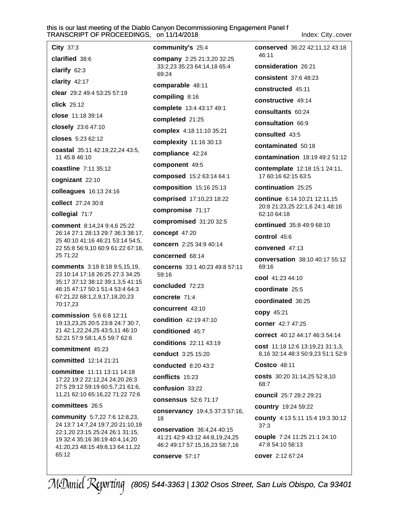Index: City..cover

City 37:3 clarified 38:6 clarify  $62:3$ clarity 42:17 clear 29:2 49:4 53:25 57:19 click 25:12 close 11:18 39:14 closely 23:6 47:10 closes 5:23 62:12 coastal 35:11 42:19,22,24 43:5, 11 45:8 46:10 coastline 7:11 35:12 cognizant 22:10 colleagues 16:13 24:16 collect 27:24 30:8 collegial 71:7 comment 8:14,24 9:4,6 25:22 26:14 27:1 28:13 29:7 36:3 38:17, 25 40:10 41:16 46:21 53:14 54:5, 22 55:8 56:9,10 60:9 61:22 67:18, 25 71:22 **comments** 3:19 8:18 9:5.15.19. 23 10:14 17:18 26:25 27:3 34:25 35:17 37:12 38:12 39:1,3,5 41:15 46:15 47:17 50:1 51:4 53:4 64:3 67:21,22 68:1,2,9,17,18,20,23 70:17,23 commission 5:6 6:8 12:11 19:13,23,25 20:5 23:8 24:7 30:7, 21 42:1,22,24,25 43:5,11 46:10 52:21 57:9 58:1,4,5 59:7 62:6 commitment 45:23 committed 12:14 21:21 committee 11:11 13:11 14:18 17:22 19:2 22:12,24 24:20 26:3 27:5 29:12 59:19 60:5,7,21 61:6, 11,21 62:10 65:16,22 71:22 72:6 committees 26:5 community 5:7,22 7:6 12:8,23, 24 13:7 14:7,24 19:7,20 21:10,19 22:1,20 23:15 25:24 26:1 31:15, 19 32:4 35:16 36:19 40:4,14,20 41:20,23 48:15 49:8,13 64:11,22 65:12

community's 25:4 company 2:25 21:3,20 32:25 33:2,23 35:23 64:14,18 65:4 69:24 comparable 48:11 compiling 8:16 complete 13:4 43:17 49:1 completed 21:25 complex 4:18 11:10 35:21 complexity 11:16 30:13 compliance 42:24 component 49:5 composed 15:2 63:14 64:1 **composition** 15:16 25:13 **comprised** 17:10,23 18:22 compromise 71:17 compromised 31:20 32:5 concept 47:20 concern 2:25 34:9 40:14 concerned 68:14 concerns 33:1 40:23 49:8 57:11 59:16 concluded 72:23 concrete 71:4 concurrent 43:10 condition 42:19 47:10 conditioned 45:7 **conditions** 22:11 43:19 conduct 3:25 15:20 conducted 8:20 43:2 conflicts 15:23 confusion 33:22 consensus  $52.671.17$ conservancy 19:4,5 37:3 57:16, 18 conservation 36:4,24 40:15 41:21 42:9 43:12 44:8,19,24,25 46:2 49:17 57:15,16,23 58:7,16 conserve 57:17

conserved 36:22 42:11,12 43:18 46:11 consideration 26:21 consistent 37:6 48:23 constructed 45:11 constructive 49:14 consultants 60:24 consultation 66:9 consulted 43:5 contaminated 50:18 contamination 18:19 49:2 51:12 contemplate 12:18 15:1 24:11, 17 60:16 62:15 63:5 continuation 25:25 continue 6:14 10:21 12:11,15 20:8 21:23,25 22:1,6 24:1 48:16 62:10 64:18 continued 35:8 49:9 68:10 control 45:6 convened 47:13 conversation 38:10 40:17 55:12 69:16 cool 41:23 44:10 coordinate 25:5 coordinated 36:25 copy 45:21 corner 42:7 47:25 correct 40:12 44:17 46:3 54:14 cost 11:18 12:6 13:19,21 31:1,3, 8,16 32:14 48:3 50:9,23 51:1 52:9 Costco 48:11 costs 30:20 31:14,25 52:8,10 68:7 council 25:7 28:2 29:21 country 19:24 59:22 county 4:13 5:11 15:4 19:3 30:12  $37:3$ couple 7:24 11:25 21:1 24:10 47:8 54:10 58:13 cover 2:12 67:24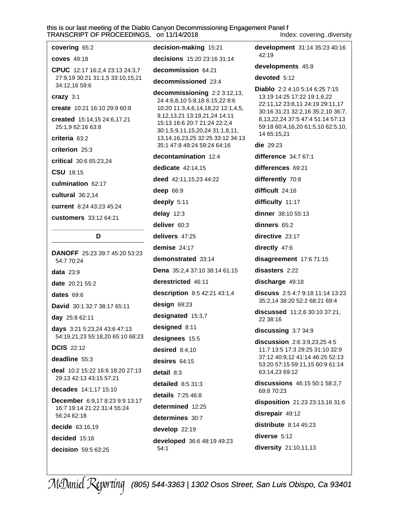covering 65:2 **coves** 49:18 CPUC 12:17 16:2.4 23:13 24:3.7 27:9,19 30:21 31:1,5 33:10,15,21 34:12,16 59:6 crazy 3:1 create 10:21 16:10 29:9 60:8 created 15:14,15 24:6,17,21 25:1,9 62:16 63:8 criteria 63:2 criterion 25:3 critical 30:6 65:23,24 CSU 18:15 culmination 62:17 cultural 36:2,14 current 8:24 43:23 45:24 customers 33:12 64:21

### D

**DANOFF** 25:23 39:7 45:20 53:23 54:7 70:24 data  $23:9$ date 20:21 55:2 dates 69:6 David 30:1 32:7 38:17 65:11 day 25:8 62:11 days 3:21 5:23,24 43:6 47:13 54:19,21,23 55:18,20 65:10 68:23 **DCIS** 22:12 deadline 55:3 deal 10:2 15:22 16:6 18:20 27:13 29:13 42:13 43:15 57:21 decades 14:1.17 15:10 December 6:9,17 8:23 9:9 13:17 16:7 19:14 21:22 31:4 55:24 56:24 62:18 decide 63:16,19 decided 15:16

decision 59:5 63:25

decision-making 15:21 decisions 15:20 23:16 31:14 decommission 64:21 decommissioned 23:4 decommissioning 2:2 3:12,13, 24 4:6,8,10 5:8,18 6:15,22 8:6 10:20 11:3,4,6,14,18,22 12:1,4,5, 9,12,13,21 13:19,21,24 14:11 15:13 16:6 20:7 21:24 22:2,4 30:1,5,9,11,15,20,24 31:1,8,11, 13, 14, 16, 23, 25 32: 25 33: 12 34: 13 35:1 47:8 49:24 59:24 64:16 decontamination 12:4 dedicate  $42:14.15$ deed 42:11,15,23 44:22 deep 66:9 deeply  $5:11$ delay  $12:3$ deliver 60:3 delivers 47:25 demise  $24:17$ demonstrated 33:14 Dena 35:2,4 37:10 38:14 61:15 derestricted 46:11 description 8:5 42:21 43:1,4 design 69:23 designated 15:3,7 designed 8:11 designees 15:5 desired  $8:4,10$ desires  $64:15$  $detail 8:3$ detailed  $8:531:3$ details 7:25 46:8 determined 12:25 determines 30:7 develop 22:19 developed 36:6 48:19 49:23  $54:1$ 

Index: covering..diversity development 31:14 35:23 40:16 42:19 developments 45:8 devoted 5:12 Diablo 2:2 4:10 5:14 6:25 7:15 13:19 14:25 17:22 19:1,6,22 22:11,12 23:8,11 24:19 29:11,17 30:16 31:21 32:2,16 35:2,10 36:7, 8, 13, 22, 24 37: 5 47: 4 51: 14 57: 13 59:18 60:4,16,20 61:5,10 62:5,10, 14 65:15,21 **die** 29:23 difference 34:7 67:1 differences 69:21 differently 70:8 difficult 24:16 difficulty 11:17 dinner 38:10 55:13 dinners 65:2 directive 23:17 directly 47:6 disagreement 17:6 71:15 disasters 2:22 discharge 49:18 discuss 2:5 4:7 9:18 11:14 13:23 35:2,14 38:20 52:2 68:21 69:4 discussed 11:2,6 30:10 37:21, 22 38:16 discussing 3:7 34:9 discussion 2:6 3:9,23,25 4:5 11:7 13:5 17:3 29:25 31:10 32:9 37:12 40:9,12 41:14 46:25 52:13 53:20 57:15 59:11,15 60:9 61:14 63:14,23 69:12 discussions 46:15 50:1 58:2,7 69:8 70:23 disposition 21:23 23:13,16 31:6 disrepair 49:12 distribute  $8:14$  45:23 diverse 5:12

diversity 21:10,11,13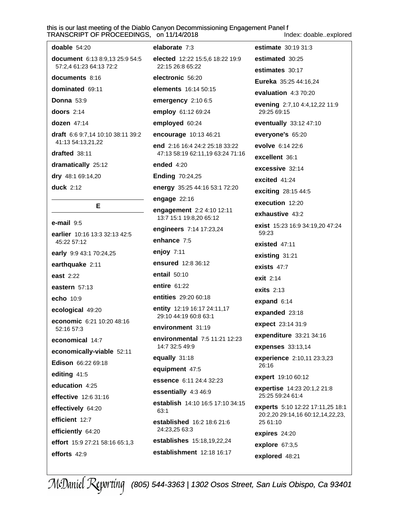#### this is our last meeting of the Diablo Canyon Decommissioning Engagement Panel f S. on 11/14/2018

Index: doable..explored

| IRANSCRIPT OF PROCEEDINGS                                        |
|------------------------------------------------------------------|
| doable $54:20$                                                   |
| <b>document</b> 6:13 8:9,13 25:9 54:5<br>57:2,4 61:23 64:13 72:2 |
| documents 8:16                                                   |
| dominated 69:11                                                  |
| <b>Donna 53:9</b>                                                |
| doors $2:14$                                                     |
| dozen 47:14                                                      |
| <b>draft</b> 6:6 9:7,14 10:10 38:11 39:2<br>41:13 54:13,21,22    |
| drafted 38:11                                                    |
| dramatically 25:12                                               |
| dry 48:1 69:14,20                                                |
| duck 2:12                                                        |
| Е                                                                |
| e-mail 9:5                                                       |
| earlier 10:16 13:3 32:13 42:5<br>45:22 57:12                     |
| early 9:9 43:1 70:24,25                                          |
| earthquake 2:11                                                  |
| east 2:22                                                        |
| eastern $57:13$                                                  |
| echo 10:9                                                        |
| ecological 49:20                                                 |
| economic 6:21 10:20 48:16<br>52:16 57:3                          |
| economical 14:7                                                  |
| economically-viable 52:11                                        |
| Edison 66:22 69:18                                               |
| editing 41:5                                                     |
| education 4:25                                                   |
| effective 12:6 31:16                                             |
| effectively 64:20                                                |
| efficient 12:7                                                   |
| efficiently 64:20                                                |
| effort 15:9 27:21 58:16 65:1,3                                   |
| efforts 42:9                                                     |
|                                                                  |

elaborate 7:3 elected 12:22 15:5,6 18:22 19:9 22:15 26:8 65:22 electronic 56:20 elements 16:14 50:15 emergency 2:10 6:5 employ 61:12 69:24 employed 60:24 encourage 10:13 46:21 end 2:16 16:4 24:2 25:18 33:22 47:13 58:19 62:11,19 63:24 71:16 ended 4:20 **Ending 70:24,25** energy 35:25 44:16 53:1 72:20 engage  $22:16$ engagement 2:2 4:10 12:11 13:7 15:1 19:8,20 65:12 engineers 7:14 17:23,24 enhance 7:5 enjoy  $7:11$ ensured 12:8 36:12 entail 50:10 entire 61:22 entities 29:20 60:18 entity 12:19 16:17 24:11,17 29:10 44:19 60:8 63:1 environment 31:19 environmental 7:5 11:21 12:23 14:7 32:5 49:9 equally 31:18 equipment 47:5 essence 6:11 24:4 32:23 essentially 4:3 46:9 establish 14:10 16:5 17:10 34:15 63:1 established 16:2 18:6 21:6 24:23,25 63:3 establishes 15:18,19,22,24 establishment 12:18 16:17

estimate 30:19 31:3 estimated 30:25 estimates 30:17 Eureka 35:25 44:16,24 evaluation 4:3 70:20 evening 2:7,10 4:4,12,22 11:9 29:25 69:15 eventually 33:12 47:10 everyone's 65:20 evolve 6:14 22:6 excellent 36:1 excessive 32:14 excited 41:24 exciting 28:15 44:5 execution 12:20 exhaustive 43:2 exist 15:23 16:9 34:19,20 47:24 59:23 existed 47:11 existing  $31:21$ exists  $47:7$ exit 2:14 **exits 2:13** expand 6:14 expanded 23:18 expect 23:14 31:9 expenditure 33:21 34:16 expenses 33:13,14 experience 2:10,11 23:3,23 26:16 expert 19:10 60:12 **expertise** 14:23 20:1,2 21:8 25:25 59:24 61:4 experts 5:10 12:22 17:11,25 18:1 20:2,20 29:14,16 60:12,14,22,23, 25 61:10 expires 24:20 explore  $67:3,5$ explored 48:21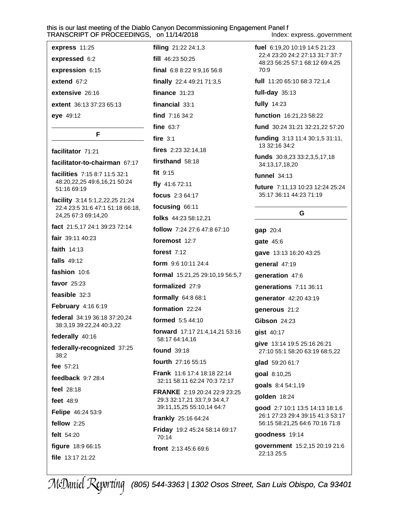express 11:25 expressed 6:2 expression 6:15 extend 67:2 extensive 26:16 extent 36:13 37:23 65:13 eye 49:12

F

facilitator 71:21 facilitator-to-chairman 67:17 facilities 7:15 8:7 11:5 32:1 48:20,22,25 49:6,16,21 50:24 51:16 69:19 **facility** 3:14 5:1,2,22,25 21:24 22:4 23:5 31:6 47:1 51:18 66:18, 24,25 67:3 69:14,20 fact 21:5,17 24:1 39:23 72:14 fair 39:11 40:23 faith  $14:13$ **falls** 49:12 fashion 10:6 favor 25:23 feasible 32:3 **February** 4:16 6:19 federal 34:19 36:18 37:20,24 38:3,19 39:22,24 40:3,22 federally 40:16 federally-recognized 37:25  $38:2$ fee 57:21 feedback  $9:728:4$ feel  $28:18$ feet 48:9 Felipe 46:24 53:9 fellow 2:25 felt 54:20 figure 18:9 66:15 file 13:17 21:22

filing  $21:222:4:1,3$ fill 46:23 50:25 final  $6:88:229:9.1656:8$ finally 22:4 49:21 71:3,5 finance  $31:23$ financial  $33:1$ find  $7:1634:2$ fine  $63:7$ fire  $3:1$ fires 2:23 32:14.18 firsthand 58:18 fit  $9:15$ fly 41:6 72:11 focus 2:3 64:17 focusing 66:11 folks 44:23 58:12,21 follow 7:24 27:6 47:8 67:10 foremost 12:7 forest  $7:12$ form 9:6 10:11 24:4 formal 15:21,25 29:10,19 56:5,7 formalized 27:9 formally 64:8 68:1 formation 22:24 formed  $5:5.44:10$ forward 17:17 21:4,14,21 53:16 58:17 64:14,16 **found** 39:18 fourth 27:16 55:15 **Frank** 11:6 17:4 18:18 22:14 32:11 58:11 62:24 70:3 72:17 **FRANKE** 2:19 20:24 22:9 23:25 29:3 32:17,21 33:7,9 34:4,7 39:11, 15, 25 55:10, 14 64: 7 frankly 25:16 64:24 Friday 19:2 45:24 58:14 69:17 70:14 front 2:13 45:6 69:6

Index: express..government

fuel 6:19.20 10:19 14:5 21:23 22:4 23:20 24:2 27:13 31:7 37:7 48:23 56:25 57:1 68:12 69:4.25 70:9

full 11:20 65:10 68:3 72:1,4

full-day  $35:13$ 

fully 14:23

function 16:21,23 58:22

fund 30:24 31:21 32:21,22 57:20

funding 3:13 11:4 30:1,5 31:11, 13 32:16 34:2

funds 30:8,23 33:2,3,5,17,18 34:13,17,18,20

**funnel** 34:13

future 7:11,13 10:23 12:24 25:24 35:17 36:11 44:23 71:19

### G

gap 20:4 gate 45:6 gave 13:13 16:20 43:25 general 47:19 generation 47:6 generations 7:11 36:11 generator 42:20 43:19 denerous 21:2 **Gibson 24:23** gist 40:17 give 13:14 19:5 25:16 26:21 27:10 55:1 58:20 63:19 68:5,22 glad 59:20 61:7 goal 8:10,25 goals 8:4 54:1,19 golden 18:24

good 2:7 10:1 13:5 14:13 18:1,6 26:1 27:23 29:4 39:15 41:3 53:17 56:15 58:21,25 64:6 70:16 71:8

goodness 19:14

government 15:2,15 20:19 21:6 22:13 25:5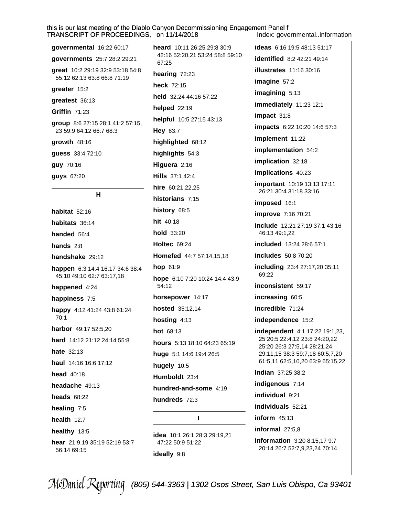this is our last meeting of the Diablo Canyon Decommissioning Engagement Panel f TRANSCRIPT OF PROCEEDINGS. on 11/14/2018 Index: governmental..information

| governmental 16:22 60:17                                            |  |  |
|---------------------------------------------------------------------|--|--|
| governments 25:7 28:2 29:21                                         |  |  |
| great 10:2 29:19 32:9 53:18 54:8<br>55:12 62:13 63:8 66:8 71:19     |  |  |
| greater 15:2                                                        |  |  |
| greatest 36:13                                                      |  |  |
| Griffin 71:23                                                       |  |  |
| group 8:6 27:15 28:1 41:2 57:15,<br>23 59:9 64:12 66:7 68:3         |  |  |
| $qrowth$ 48:16                                                      |  |  |
| guess 33:4 72:10                                                    |  |  |
| guy 70:16                                                           |  |  |
| guys 67:20                                                          |  |  |
| н                                                                   |  |  |
| habitat 52:16                                                       |  |  |
| habitats 36:14                                                      |  |  |
| handed 56:4                                                         |  |  |
| hands $2:8$                                                         |  |  |
| handshake 29:12                                                     |  |  |
| <b>happen</b> 6:3 14:4 16:17 34:6 38:4<br>45:10 49:10 62:7 63:17,18 |  |  |
| happened 4:24                                                       |  |  |
| happiness 7:5                                                       |  |  |
| happy 4:12 41:24 43:8 61:24<br>70:1                                 |  |  |
| harbor 49:17 52:5,20                                                |  |  |
| hard 14:12 21:12 24:14 55:8                                         |  |  |
| <b>hate</b> 32:13                                                   |  |  |
| haul 14:16 16:6 17:12                                               |  |  |
| head $40:18$                                                        |  |  |
| headache 49:13                                                      |  |  |
| heads $68:22$                                                       |  |  |
| healing 7:5                                                         |  |  |
| health $12:7$                                                       |  |  |
| healthy 13:5                                                        |  |  |
| hear 21:9,19 35:19 52:19 53:7<br>56:14 69:15                        |  |  |

heard 10:11 26:25 29:8 30:9 42:16 52:20.21 53:24 58:8 59:10 67:25 hearing 72:23 heck 72:15 held 32:24 44:16 57:22 helped 22:19 helpful 10:5 27:15 43:13 Hey 63:7 highlighted 68:12 highlights 54:3 Higuera 2:16 Hills 37:1 42:4 hire 60:21.22.25 historians 7:15 history 68:5 hit 40:18 hold 33:20 **Holtec** 69:24 Homefed 44:7 57:14,15,18 hop  $61:9$ hope 6:10 7:20 10:24 14:4 43:9 54:12 horsepower 14:17 hosted 35:12,14 hosting  $4:13$  $hot 68:13$ hours 5:13 18:10 64:23 65:19 huge 5:1 14:6 19:4 26:5 hugely 10:5 Humboldt 23:4 hundred-and-some 4:19 hundreds 72.3  $\mathbf{I}$ 

**idea** 10:1 26:1 28:3 29:19.21 47.22.50.9.51.22 ideally 9:8

ideas 6:16 19:5 48:13 51:17 **identified** 8:2 42:21 49:14 **illustrates** 11:16 30:16 imagine 57:2 imagining 5:13 immediately 11:23 12:1 impact 31:8 impacts 6:22 10:20 14:6 57:3 implement 11:22 implementation 54:2 implication 32:18 implications 40:23 **important** 10:19 13:13 17:11 26:21 30:4 31:18 33:16 imposed 16:1 improve 7:16 70:21 include 12:21 27:19 37:1 43:16 46:13 49:1,22 included 13:24 28:6 57:1 includes 50:8 70:20 including 23:4 27:17,20 35:11 69:22 inconsistent 59:17 increasing 60:5 incredible 71:24 independence 15:2 **independent** 4:1 17:22 19:1,23, 25 20:5 22:4,12 23:8 24:20,22 25:20 26:3 27:5,14 28:21,24 29:11,15 38:3 59:7,18 60:5,7,20 61:5,11 62:5,10,20 63:9 65:15,22 Indian 37:25 38:2 indigenous 7:14 individual 9:21 individuals 52:21 inform  $45:13$ informal 27:5.8

information 3:20 8:15,17 9:7 20:14 26:7 52:7,9,23,24 70:14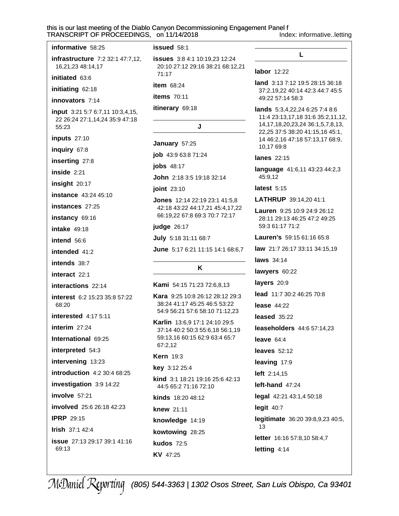this is our last meeting of the Diablo Canyon Decommissioning Engagement Panel f on 11/14/2018

Index: informative..letting

L

**land** 3:13 7:12 19:5 28:15 36:18

labor 12:22

| KANSURIPT UF PRUUEEDINGS,                                                   |
|-----------------------------------------------------------------------------|
| informative 58:25                                                           |
| infrastructure 7:2 32:1 47:7,12,<br>16,21,23 48:14,17                       |
| initiated 63:6                                                              |
| initiating 62:18                                                            |
| innovators 7:14                                                             |
| input 3:21 5:7 6:7,11 10:3,4,15,<br>22 26:24 27:1,14,24 35:9 47:18<br>55:23 |
| inputs 27:10                                                                |
| inquiry 67:8                                                                |
| inserting 27:8                                                              |
| inside 2:21                                                                 |
| insight 20:17                                                               |
| <b>instance</b> 43:24 45:10                                                 |
| instances 27:25                                                             |
| instancy 69:16                                                              |
| <b>intake</b> 49:18                                                         |
| intend 56:6                                                                 |
| intended 41:2                                                               |
| intends 38:7                                                                |
| interact 22:1                                                               |
| interactions 22:14                                                          |
| interest 6:2 15:23 35:8 57:22<br>68:20                                      |
| <b>interested</b> 4:17 5:11                                                 |
| interim 27:24                                                               |
| International 69:25                                                         |
| interpreted 54:3                                                            |
| intervening 13:23                                                           |
| introduction 4:2 30:4 68:25                                                 |
| investigation 3:9 14:22                                                     |
| involve 57:21                                                               |
| involved 25:6 26:18 42:23                                                   |
| <b>IPRP 29:15</b>                                                           |
| <b>Irish 37:1 42:4</b>                                                      |
| <b>issue</b> 27:13 29:17 39:1 41:16<br>69:13                                |
|                                                                             |

issued 58:1

**issues** 3:8 4:1 10:19,23 12:24 20:10 27:12 29:16 38:21 68:12,21 71:17

item 68:24

items  $70:11$ 

itinerary 69:18

#### J

January 57:25

job 43:9 63:8 71:24

**jobs** 48:17

John 2:18 3:5 19:18 32:14

joint 23:10

**Jones**  $12:142:2:192:3:141:5,8$ 42:18 43:22 44:17,21 45:4,17,22 66:19,22 67:8 69:3 70:7 72:17

judge 26:17

July 5:18 31:11 68:7

June 5:17 6:21 11:15 14:1 68:6.7

#### K

Kami 54:15 71:23 72:6.8.13

Kara 9:25 10:8 26:12 28:12 29:3 38:24 41:17 45:25 46:5 53:22 54:9 56:21 57:6 58:10 71:12,23

Karlin 13:6,9 17:1 24:10 29:5 37:14 40:2 50:3 55:6,18 56:1,19 59:13,16 60:15 62:9 63:4 65:7 67:2,12

#### **Kern** 19:3

**key**  $3:1225:4$ 

kind 3:1 18:21 19:16 25:6 42:13 44:5 65:2 71:16 72:10

kinds 18:20 48:12

knew 21:11

KV 47:25

knowledge 14:19

kowtowing 28:25 **kudos 72:5** 

37:2,19,22 40:14 42:3 44:7 45:5 49:22 57:14 58:3 **lands** 5:3,4,22,24 6:25 7:4 8:6 11:4 23:13,17,18 31:6 35:2,11,12, 14, 17, 18, 20, 23, 24 36: 1, 5, 7, 8, 13, 22,25 37:5 38:20 41:15,16 45:1, 14 46:2,16 47:18 57:13,17 68:9, 10,17 69:8 lanes 22:15 language 41:6,11 43:23 44:2,3 45:9,12 latest  $5:15$ LATHRUP 39:14,20 41:1 Lauren 9:25 10:9 24:9 26:12 28:11 29:13 46:25 47:2 49:25 59:3 61:17 71:2 Lauren's 59:15 61:16 65:8 law 21:7 26:17 33:11 34:15.19 laws 34:14 lawyers 60:22 layers 20:9 lead 11:7 30:2 46:25 70:8 lease  $44:22$ leased 35:22 **leaseholders** 44:6 57:14,23 leave  $64.4$ leaves  $52:12$ leaving 17:9 left 2:14,15 left-hand 47:24 legal 42:21 43:1,4 50:18 legit  $40:7$ legitimate 36:20 39:8,9,23 40:5, 13 letter 16:16 57:8,10 58:4,7 letting 4:14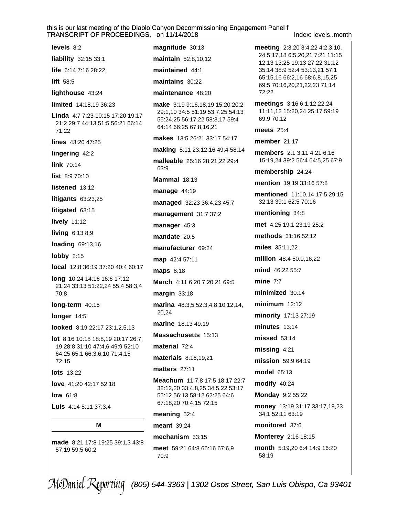Index: levels..month

| levels 8:2<br>liability 32:15 33:1                                             | ma<br>mai  |
|--------------------------------------------------------------------------------|------------|
| <b>life</b> $6:147:1628:22$                                                    | mai        |
| lift 58:5                                                                      | mai        |
| lighthouse 43:24                                                               | mai        |
| limited 14:18,19 36:23                                                         | mal        |
| Linda 4:7 7:23 10:15 17:20 19:17<br>21:2 29:7 44:13 51:5 56:21 66:14<br>71:22  |            |
| lines 43:20 47:25                                                              | mal        |
| lingering 42:2                                                                 | mal        |
| link $70:14$                                                                   | mal        |
| <b>list</b> $8:970:10$                                                         | Mar        |
| listened 13:12                                                                 | mai        |
| litigants $63:23,25$                                                           | maı        |
| litigated 63:15                                                                | mai        |
| lively 11:12                                                                   | mai        |
| living 6:13 8:9                                                                | mai        |
| loading 69:13,16                                                               | mai        |
| lobby $2:15$                                                                   | ma         |
| <b>local</b> 12:8 36:19 37:20 40:4 60:17                                       | maı        |
| <b>long</b> 10:24 14:16 16:6 17:12<br>21:24 33:13 51:22,24 55:4 58:3,4<br>70:8 | Mar<br>maı |
| long-term 40:15                                                                | mai        |
| longer 14:5                                                                    |            |
| <b>looked</b> 8:19 22:17 23:1,2,5,13                                           | mai        |
| lot 8:16 10:18 18:8,19 20:17 26:7,                                             | Mas        |
| 19 28:8 31:10 47:4,6 49:9 52:10<br>64:25 65:1 66:3,6,10 71:4,15                | mat        |
| 72:15                                                                          | mat        |
| <b>lots</b> 13:22                                                              | mat        |
| love 41:20 42:17 52:18                                                         | Mea        |
| $low$ 61:8                                                                     |            |
| <b>Luis</b> 4:14 5:11 37:3,4                                                   |            |
| м                                                                              | mea        |
|                                                                                | mea        |

made 8:21 17:8 19:25 39:1,3 43:8 57:19 59:5 60:2

anitude 30:13 **intain** 52:8,10,12 intained 44:1 intains 30:22 intenance 48:20 ke 3:19 9:16,18,19 15:20 20:2 :1,10 34:5 51:19 53:7,25 54:13 :24,25 56:17,22 58:3,17 59:4 :14 66:25 67:8,16,21 kes 13:5 26:21 33:17 54:17 king 5:11 23:12,16 49:4 58:14 leable 25:16 28:21,22 29:4 :9 **mmal** 18:13 nage 44:19 **naged** 32:23 36:4,23 45:7 nagement 31:7 37:2 nager 45:3 **ndate** 20:5 nufacturer 69:24  $p$  42:4 57:11 **ps** 8:18 rch 4:11 6:20 7:20,21 69:5 rgin 33:18 rina 48:3,5 52:3,4,8,10,12,14,  $.24$ rine 18:13 49:19 **ssachusetts** 15:13 terial  $72.4$ terials 8:16,19,21 tters 27:11 achum 11:7,8 17:5 18:17 22:7 :12,20 33:4,8,25 34:5,22 53:17 :12 56:13 58:12 62:25 64:6 :18,20 70:4,15 72:15 aning  $52:4$ ant 39:24 mechanism 33:15 meet 59:21 64:8 66:16 67:6,9 70:9

**meeting**  $2:3,20$   $3:4,22$   $4:2,3,10$ , 24 5:17.18 6:5.20.21 7:21 11:15 12:13 13:25 19:13 27:22 31:12 35:14 38:9 52:4 53:13,21 57:1 65:15,16 66:2,16 68:6,8,15,25 69:5 70:16,20,21,22,23 71:14 72:22 meetings 3:16 6:1,12,22,24 11:11,12 15:20,24 25:17 59:19 69:9 70:12 meets  $25:4$ member  $21:17$ members 2:1 3:11 4:21 6:16 15:19.24 39:2 56:4 64:5.25 67:9 membership 24:24 mention 19:19 33:16 57:8 mentioned 11:10,14 17:5 29:15 32:13 39:1 62:5 70:16 mentioning 34:8 met 4:25 19:1 23:19 25:2 methods 31:16 52:12 miles 35:11,22 million 48:4 50:9,16,22 mind 46:22 55:7 mine  $7:7$ minimized 30:14  $minimum$  12:12 minority 17:13 27:19  $minutes$  13:14 **missed** 53:14 missing  $4:21$ mission 59:9 64:19 model 65:13 modify 40:24 **Monday 9:2 55:22** money 13:19 31:17 33:17,19,23 34:1 52:11 63:19 monitored 37:6 Monterey 2:16 18:15 month 5:19,20 6:4 14:9 16:20 58:19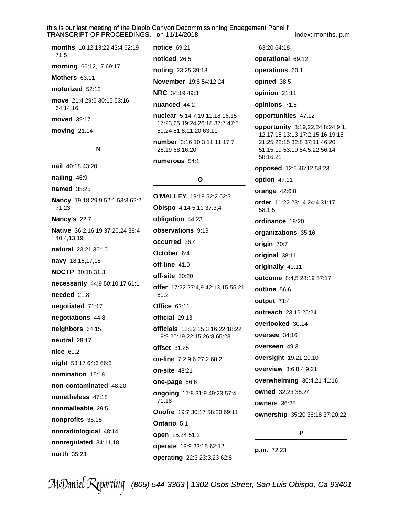Index: months..p.m.

| months 10:12 13:22 43:4 62:19<br>71:5 |
|---------------------------------------|
| <b>morning</b> 66:12,17 69:17         |
| <b>Mothers</b> $63:11$                |
| motorized 52:13                       |

move 21:4 29:6 30:15 53:16 64:14,16

moved 39:17

moving  $21:14$ 

#### N

nail 40:18 43:20 nailing 46:9 **named** 35:25 Nancy 19:18 29:9 52:1 53:3 62:2 71:23 Nancy's 22:7 Native 36:2,16,19 37:20,24 38:4 40:4,13,19 natural 23:21 36:10 navy 18:16,17,18 **NDCTP** 30:18 31:3 necessarily 44:9 50:10,17 61:1 needed 21:8 negotiated 71:17 negotiations 44:8 neighbors 64:15 neutral 28:17 nice 60:2 night 53:17 64:6 66:3 nomination 15:18 non-contaminated 48:20 nonetheless 47:18 nonmalleable 29:5 nonprofits 35:15 nonradiological 48:14 nonregulated 34:11,18 north 35:23

notice 69:21 noticed 26:5 noting 23:25 39:18 November 19:8 54:12,24 **NRC** 34:19 49:3 nuanced 44:2 nuclear 5:14 7:19 11:18 16:15 17:23.25 19:24 26:18 37:7 47:5 50:24 51:8,11,20 63:11

number 3:16 10:3 11:11 17:7 26:19 68:16,20

#### numerous 54:1

### $\Omega$

O'MALLEY 19:19 52:2 62:3 Obispo 4:14 5:11 37:3,4 obligation 44:23 observations 9:19 occurred 26:4 October 6:4  $off$ -line  $41:9$  $off-site 50:20$ offer 17:22 27:4,9 42:13,15 55:21 60:2 **Office 63:11** official 29:13 officials 12:22 15:3 16:22 18:22 19:9 20:19 22:15 26:8 65:23 offset 31:25 on-line 7:2 9:6 27:2 68:2 **on-site 48:21** one-page 56:6 ongoing 17:8 31:9 49:23 57:4 71:18 Onofre 19:7 30:17 58:20 69:11 Ontario 5:1 open 15:24 51:2 operate 19:9 23:15 62:12 operating 22:3 23:3,23 62:8

63:20 64:18 operational 69:12 operations 60:1 opined 38:5 opinion 21:11 opinions 71:8 opportunities 47:12 opportunity 3:19,22,24 8:24 9:1, 12,17,18 13:13 17:2,15,16 19:15 21:25 22:15 32:8 37:11 46:20 51:15,19 53:19 54:5,22 56:14 58:16,21 opposed 12:5 46:12 58:23 option 47:11 **orange 42:6,8** order 11:22 23:14 24:4 31:17 58:1.5 ordinance 18:20 organizations 35:16 origin 70:7 original 38:11 originally 40:11 outcome 8:4,5 28:19 57:17 outline 56:6 output 71:4 outreach 23:15 25:24 overlooked 30:14 oversee 34:16 overseen 49:3 oversight 19:21 20:10 overview 3:6 8:4 9:21 overwhelming 36:4,21 41:16 owned 32:23 35:24 owners 36:25 ownership 35:20 36:18 37:20,22 P

p.m. 72:23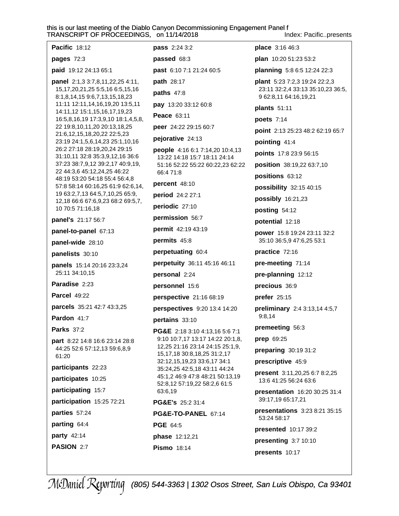Index: Pacific..presents

|  | Pacific 18:12                                                                                                 | <b>pass</b> 2:24 3:2                                                | place 3:16 46:3                                                                             |
|--|---------------------------------------------------------------------------------------------------------------|---------------------------------------------------------------------|---------------------------------------------------------------------------------------------|
|  | pages 72:3                                                                                                    | passed 68:3                                                         | plan 10:20 51:23 53:2                                                                       |
|  | paid 19:12 24:13 65:1                                                                                         | past 6:10 7:1 21:24 60:5                                            | planning 5:8 6:5 12:24 22:3                                                                 |
|  | panel 2:1,3 3:7,8,11,22,25 4:11,<br>15, 17, 20, 21, 25 5: 5, 16 6: 5, 15, 16<br>8:1,8,14,15 9:6,7,13,15,18,23 | path 28:17<br>paths 47:8                                            | plant 5:23 7:2,3 19:24 22:2,3<br>23:11 32:2,4 33:13 35:10,23 36:5,<br>9 62:8,11 64:16,19,21 |
|  | 11:11 12:11,14,16,19,20 13:5,11<br>14:11,12 15:1,15,16,17,19,23                                               | pay 13:20 33:12 60:8                                                | plants 51:11                                                                                |
|  | 16:5,8,16,19 17:3,9,10 18:1,4,5,8,<br>22 19:8,10,11,20 20:13,18,25<br>21:6,12,15,18,20,22 22:5,23             | Peace 63:11                                                         | poets 7:14                                                                                  |
|  |                                                                                                               | peer 24:22 29:15 60:7                                               | point 2:13 25:23 48:2 62:19 65:7                                                            |
|  | 23:19 24:1,5,6,14,23 25:1,10,16                                                                               | pejorative 24:13                                                    | pointing 41:4                                                                               |
|  | 26:2 27:18 28:19,20,24 29:15<br>31:10,11 32:8 35:3,9,12,16 36:6                                               | people 4:16 6:1 7:14,20 10:4,13<br>13:22 14:18 15:7 18:11 24:14     | points 17:8 23:9 56:15                                                                      |
|  | 37:23 38:7,9,12 39:2,17 40:9,19,                                                                              | 51:16 52:22 55:22 60:22,23 62:22                                    | position 38:19,22 63:7,10                                                                   |
|  | 22 44:3,6 45:12,24,25 46:22<br>48:19 53:20 54:18 55:4 56:4,8                                                  | 66:4 71:8                                                           | positions 63:12                                                                             |
|  | 57:8 58:14 60:16,25 61:9 62:6,14,                                                                             | percent 48:10                                                       | possibility 32:15 40:15                                                                     |
|  | 19 63:2,7,13 64:5,7,10,25 65:9,<br>12,18 66:6 67:6,9,23 68:2 69:5,7,                                          | period 24:2 27:1                                                    | possibly 16:21,23                                                                           |
|  | 10 70:5 71:16,18                                                                                              | periodic 27:10                                                      | posting 54:12                                                                               |
|  | panel's 21:17 56:7                                                                                            | permission 56:7                                                     | potential 12:18                                                                             |
|  | panel-to-panel 67:13                                                                                          | permit 42:19 43:19                                                  | power 15:8 19:24 23:11 32:2                                                                 |
|  | panel-wide 28:10                                                                                              | permits 45:8                                                        | 35:10 36:5,9 47:6,25 53:1                                                                   |
|  | panelists 30:10                                                                                               | perpetuating 60:4                                                   | practice 72:16                                                                              |
|  | panels 15:14 20:16 23:3,24                                                                                    | perpetuity 36:11 45:16 46:11                                        | pre-meeting 71:14                                                                           |
|  | 25:11 34:10,15                                                                                                | personal 2:24                                                       | pre-planning 12:12                                                                          |
|  | Paradise 2:23                                                                                                 | personnel 15:6                                                      | precious 36:9                                                                               |
|  | <b>Parcel 49:22</b>                                                                                           | perspective 21:16 68:19                                             | prefer 25:15                                                                                |
|  | parcels 35:21 42:7 43:3,25                                                                                    | perspectives 9:20 13:4 14:20                                        | preliminary 2:4 3:13,14 4:5,7<br>9:8,14                                                     |
|  | Pardon 41:7                                                                                                   | pertains 33:10                                                      |                                                                                             |
|  | <b>Parks 37:2</b>                                                                                             | PG&E 2:18 3:10 4:13,16 5:6 7:1                                      | premeeting 56:3                                                                             |
|  | part 8:22 14:8 16:6 23:14 28:8<br>44:25 52:6 57:12,13 59:6,8,9                                                | 9:10 10:7,17 13:17 14:22 20:1,8,<br>12,25 21:16 23:14 24:15 25:1,9, | prep 69:25                                                                                  |
|  | 61:20                                                                                                         | 15, 17, 18 30: 8, 18, 25 31: 2, 17<br>32:12,15,19,23 33:6,17 34:1   | preparing 30:19 31:2<br>prescriptive 45:9                                                   |
|  | participants 22:23                                                                                            | 35:24,25 42:5,18 43:11 44:24                                        |                                                                                             |
|  | participates 10:25                                                                                            | 45:1,2 46:9 47:8 48:21 50:13,19<br>52:8,12 57:19,22 58:2,6 61:5     | <b>present</b> 3:11,20,25 6:7 8:2,25<br>13:6 41:25 56:24 63:6                               |
|  | participating 15:7                                                                                            | 63:6,19                                                             | presentation 16:20 30:25 31:4<br>39:17,19 65:17,21                                          |
|  | participation 15:25 72:21                                                                                     | <b>PG&amp;E's</b> 25:2 31:4                                         | presentations 3:23 8:21 35:15                                                               |
|  | parties 57:24<br>parting 64:4                                                                                 | PG&E-TO-PANEL 67:14                                                 | 53:24 58:17                                                                                 |
|  | party 42:14                                                                                                   | <b>PGE 64:5</b>                                                     | presented 10:17 39:2                                                                        |
|  | PASION 2:7                                                                                                    | phase 12:12,21                                                      | presenting 3:7 10:10                                                                        |
|  |                                                                                                               | <b>Pismo</b> 18:14                                                  | presents 10:17                                                                              |
|  |                                                                                                               |                                                                     |                                                                                             |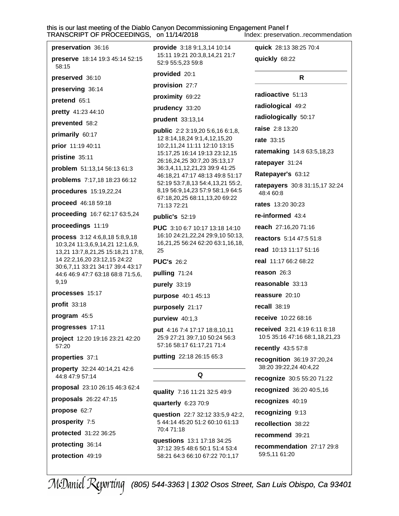this is our last meeting of the Diablo Canyon Decommissioning Engagement Panel f<br>TRANSCRIPT OF PROCEEDINGS, on 11/14/2018 Index: preservat Index: preservation..recommendation

| preservation 36:16                                                    | <b>provide</b> 3:18 9:1,3,14 10:14                                  | quick 28:13 38:25 70:4                               |
|-----------------------------------------------------------------------|---------------------------------------------------------------------|------------------------------------------------------|
| preserve 18:14 19:3 45:14 52:15<br>58:15                              | 15:11 19:21 20:3,8,14,21 21:7<br>52:9 55:5,23 59:8                  | quickly 68:22                                        |
| preserved 36:10                                                       | provided 20:1                                                       | R                                                    |
| preserving 36:14                                                      | provision 27:7                                                      |                                                      |
| pretend 65:1                                                          | proximity 69:22                                                     | radioactive 51:13                                    |
| pretty 41:23 44:10                                                    | prudency 33:20                                                      | radiological 49:2                                    |
| prevented 58:2                                                        | prudent 33:13,14                                                    | radiologically 50:17                                 |
| primarily 60:17                                                       | <b>public</b> 2:2 3:19,20 5:6,16 6:1,8,                             | raise 2:8 13:20                                      |
| prior 11:19 40:11                                                     | 12 8:14, 18, 24 9:1, 4, 12, 15, 20<br>10:2,11,24 11:11 12:10 13:15  | <b>rate</b> 33:15                                    |
| pristine 35:11                                                        | 15:17,25 16:14 19:13 23:12,15<br>26:16,24,25 30:7,20 35:13,17       | ratemaking 14:8 63:5,18,23                           |
| problem 51:13,14 56:13 61:3                                           | 36:3,4,11,12,21,23 39:9 41:25                                       | ratepayer 31:24                                      |
| problems 7:17,18 18:23 66:12                                          | 46:18,21 47:17 48:13 49:8 51:17<br>52:19 53:7,8,13 54:4,13,21 55:2, | Ratepayer's 63:12                                    |
| procedures 15:19,22,24                                                | 8,19 56:9,14,23 57:9 58:1,9 64:5                                    | ratepayers 30:8 31:15,17 32:24<br>48:4 60:8          |
| proceed 46:18 59:18                                                   | 67:18,20,25 68:11,13,20 69:22<br>71:13 72:21                        | <b>rates</b> 13:20 30:23                             |
| proceeding 16:7 62:17 63:5,24                                         | public's 52:19                                                      | re-informed 43:4                                     |
| proceedings 11:19                                                     | <b>PUC</b> 3:10 6:7 10:17 13:18 14:10                               | reach 27:16,20 71:16                                 |
| process 3:12 4:6,8,18 5:8,9,18                                        | 16:10 24:21,22,24 29:9,10 50:13,                                    | <b>reactors</b> 5:14 47:5 51:8                       |
| 10:3,24 11:3,6,9,14,21 12:1,6,9,<br>13,21 13:7,8,21,25 15:18,21 17:8, | 16,21,25 56:24 62:20 63:1,16,18,<br>25                              | read 10:13 11:17 51:16                               |
| 14 22:2,16,20 23:12,15 24:22                                          | <b>PUC's 26:2</b>                                                   | real 11:17 66:2 68:22                                |
| 30:6,7,11 33:21 34:17 39:4 43:17<br>44:6 46:9 47:7 63:18 68:8 71:5,6, | pulling 71:24                                                       | reason 26:3                                          |
| 9,19                                                                  | purely 33:19                                                        | reasonable 33:13                                     |
| processes 15:17                                                       | purpose 40:1 45:13                                                  | reassure 20:10                                       |
| profit 33:18                                                          | purposely 21:17                                                     | recall 38:19                                         |
| program 45:5                                                          | purview 40:1,3                                                      | receive 10:22 68:16                                  |
| progresses 17:11                                                      | put 4:16 7:4 17:17 18:8,10,11                                       | received 3:21 4:19 6:11 8:18                         |
| project 12:20 19:16 23:21 42:20<br>57:20                              | 25:9 27:21 39:7,10 50:24 56:3<br>57:16 58:17 61:17,21 71:4          | 10:5 35:16 47:16 68:1,18,21,23                       |
|                                                                       | putting 22:18 26:15 65:3                                            | recently 43:5 57:8                                   |
| properties 37:1<br>property 32:24 40:14,21 42:6                       |                                                                     | recognition 36:19 37:20,24<br>38:20 39:22,24 40:4,22 |
| 44:8 47:9 57:14                                                       | Q                                                                   | recognize 30:5 55:20 71:22                           |
| proposal 23:10 26:15 46:3 62:4                                        | quality 7:16 11:21 32:5 49:9                                        | recognized 36:20 40:5,16                             |
| proposals 26:22 47:15                                                 | quarterly 6:23 70:9                                                 | recognizes 40:19                                     |
| propose 62:7                                                          | question 22:7 32:12 33:5,9 42:2,                                    | recognizing 9:13                                     |
| prosperity 7:5                                                        | 5 44:14 45:20 51:2 60:10 61:13                                      | recollection 38:22                                   |
| protected 31:22 36:25                                                 | 70:4 71:18                                                          | recommend 39:21                                      |
| protecting 36:14                                                      | questions 13:1 17:18 34:25<br>37:12 39:5 48:6 50:1 51:4 53:4        | recommendation 27:17 29:8                            |
| protection 49:19                                                      | 58:21 64:3 66:10 67:22 70:1,17                                      | 59:5,11 61:20                                        |
|                                                                       |                                                                     |                                                      |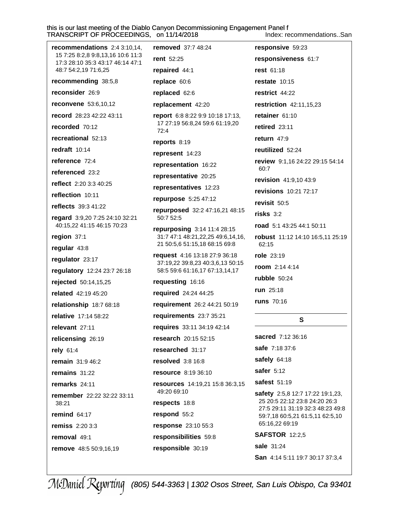this is our last meeting of the Diablo Canyon Decommissioning Engagement Panel f TRANSCRIPT OF PROCEEDINGS, on 11/14/2018 Index: recommendations..San

reconsider 26:9

recorded 70:12

redraft 10:14

reference 72:4

referenced 23:2

reflection 10:11

region 37:1

regular 43:8

regulator 23:17

rejected 50:14,15,25

related 42:19 45:20

relative 17:14 58:22

relicensing 26:19

remain 31:9 46:2

remains  $31:22$ 

remarks 24:11

remind  $64:17$ 

removal 49:1

**remiss** 2:20 3:3

remove 48:5 50:9,16,19

remember 22:22 32:22 33:11

relevant 27:11

rely 61:4

38:21

relationship 18:7 68:18

reflects 39:3 41:22

regard 3:9,20 7:25 24:10 32:21

40:15,22 41:15 46:15 70:23

regulatory 12:24 23:7 26:18

reflect 2:20 3:3 40:25

recreational 52:13

record 28:23 42:22 43:11

removed 37:7 48:24 responsive 59:23 recommendations 2:4 3:10.14. 15 7:25 8:2.8 9:8.13.16 10:6 11:3 rent 52:25 responsiveness 61:7 17:3 28:10 35:3 43:17 46:14 47:1 48:7 54:2,19 71:6,25 repaired 44:1 rest 61:18 recommending 38:5,8 restate  $10:15$ replace 60:6 replaced 62:6 restrict 44:22 reconvene 53:6,10,12 replacement 42:20 restriction 42:11,15,23

> report 6:8 8:22 9:9 10:18 17:13, 17 27:19 56:8,24 59:6 61:19,20  $72:4$

reports  $8:19$ 

represent 14:23

representation 16:22

representative 20:25

representatives 12:23

repurpose 5:25 47:12

repurposed 32:2 47:16,21 48:15 50:7 52:5

repurposing 3:14 11:4 28:15 31:7 47:1 48:21,22,25 49:6,14,16, 21 50:5,6 51:15,18 68:15 69:8

request 4:16 13:18 27:9 36:18 37:19.22 39:8.23 40:3.6.13 50:15 58:5 59:6 61:16,17 67:13,14,17

requesting 16:16

required 24:24 44:25

requirement 26:2 44:21 50:19

requirements 23:7 35:21

requires 33:11 34:19 42:14

**research** 20:15 52:15

researched 31:17

resolved  $3:8$  16:8

resource 8:19 36:10

resources 14:19,21 15:8 36:3,15 49:20 69:10 respects 18:8

respond 55:2

response 23:10 55:3

responsibilities 59:8

responsible 30:19

retainer 61:10 retired 23:11 return  $47:9$ reutilized 52:24 review 9:1,16 24:22 29:15 54:14 60:7 revision 41:9,10 43:9 revisions 10:21 72:17 revisit 50:5  $$ road 5:1 43:25 44:1 50:11 robust 11:12 14:10 16:5,11 25:19 62:15 role 23:19

room 2:14 4:14

rubble  $50:24$ 

run 25:18

**runs** 70:16

S

sacred 7:12 36:16 safe 7:18 37:6 safely 64:18 safer  $5:12$ **safest 51:19** safety 2:5,8 12:7 17:22 19:1,23,

25 20:5 22:12 23:8 24:20 26:3 27:5 29:11 31:19 32:3 48:23 49:8 59:7,18 60:5,21 61:5,11 62:5,10 65:16,22 69:19

**SAFSTOR 12:2.5** 

sale 31:24

San 4:14 5:11 19:7 30:17 37:3.4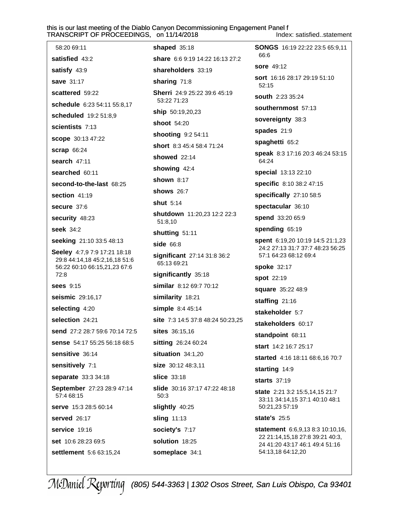Index: satisfied..statement

| 58:20 69:11                                                   | shaped 35:18                                | SONGS 16:19 22:22 23:5 65:9,11                                    |
|---------------------------------------------------------------|---------------------------------------------|-------------------------------------------------------------------|
| satisfied 43:2                                                | share 6:6 9:19 14:22 16:13 27:2             | 66:6                                                              |
| satisfy 43:9                                                  | shareholders 33:19                          | <b>sore</b> 49:12                                                 |
| <b>save 31:17</b>                                             | sharing 71:8                                | <b>sort</b> 16:16 28:17 29:19 51:10<br>52:15                      |
| scattered 59:22                                               | Sherri 24:9 25:22 39:6 45:19<br>53:22 71:23 | <b>south</b> 2:23 35:24                                           |
| schedule 6:23 54:11 55:8,17                                   | <b>ship</b> 50:19,20,23                     | southernmost 57:13                                                |
| scheduled 19:2 51:8,9                                         | shoot 54:20                                 | sovereignty 38:3                                                  |
| scientists 7:13                                               | shooting 9:2 54:11                          | spades 21:9                                                       |
| <b>scope</b> 30:13 47:22                                      | short 8:3 45:4 58:4 71:24                   | spaghetti 65:2                                                    |
| <b>scrap 66:24</b>                                            | showed $22:14$                              | speak 8:3 17:16 20:3 46:24 53:15                                  |
| search 47:11                                                  |                                             | 64:24                                                             |
| searched 60:11                                                | showing 42:4                                | special 13:13 22:10                                               |
| second-to-the-last 68:25                                      | <b>shown 8:17</b>                           | specific 8:10 38:2 47:15                                          |
| section 41:19                                                 | shows $26:7$                                | specifically 27:10 58:5                                           |
| secure 37:6                                                   | <b>shut</b> 5:14                            | spectacular 36:10                                                 |
| security 48:23                                                | shutdown 11:20,23 12:2 22:3<br>51:8,10      | spend 33:20 65:9                                                  |
| seek 34:2                                                     | shutting 51:11                              | spending 65:19                                                    |
| seeking 21:10 33:5 48:13                                      | side 66:8                                   | spent 6:19,20 10:19 14:5 21:1,23                                  |
| Seeley 4:7,9 7:9 17:21 18:18                                  | significant 27:14 31:8 36:2                 | 24:2 27:13 31:7 37:7 48:23 56:25<br>57:1 64:23 68:12 69:4         |
| 29:8 44:14,18 45:2,16,18 51:6<br>56:22 60:10 66:15,21,23 67:6 | 65:13 69:21                                 | <b>spoke 32:17</b>                                                |
| 72:8                                                          | significantly 35:18                         | spot 22:19                                                        |
| <b>sees</b> 9:15                                              | similar 8:12 69:7 70:12                     | square 35:22 48:9                                                 |
| seismic 29:16,17                                              | similarity 18:21                            | staffing 21:16                                                    |
| selecting 4:20                                                | simple 8:4 45:14                            | stakeholder 5:7                                                   |
| selection 24:21                                               | site 7:3 14:5 37:8 48:24 50:23,25           | stakeholders 60:17                                                |
| send 27:2 28:7 59:6 70:14 72:5                                | <b>sites</b> 36:15,16                       | standpoint 68:11                                                  |
| sense 54:17 55:25 56:18 68:5                                  | sitting 26:24 60:24                         | start 14:2 16:7 25:17                                             |
| sensitive 36:14                                               | situation 34:1,20                           | started 4:16 18:11 68:6,16 70:7                                   |
| sensitively 7:1                                               | size 30:12 48:3,11                          | starting 14:9                                                     |
| separate 33:3 34:18                                           | <b>slice</b> 33:18                          | starts 37:19                                                      |
| September 27:23 28:9 47:14<br>57:4 68:15                      | slide 30:16 37:17 47:22 48:18<br>50:3       | state 2:21 3:2 15:5,14,15 21:7<br>33:11 34:14,15 37:1 40:10 48:1  |
| <b>serve</b> 15:3 28:5 60:14                                  | slightly 40:25                              | 50:21,23 57:19                                                    |
| served 26:17                                                  | sling 11:13                                 | state's 25:5                                                      |
| service 19:16                                                 | society's 7:17                              | statement 6:6,9,13 8:3 10:10,16,                                  |
| set 10:6 28:23 69:5                                           | solution 18:25                              | 22 21:14,15,18 27:8 39:21 40:3,<br>24 41:20 43:17 46:1 49:4 51:16 |
| settlement 5:6 63:15,24                                       | someplace 34:1                              | 54:13,18 64:12,20                                                 |
|                                                               |                                             |                                                                   |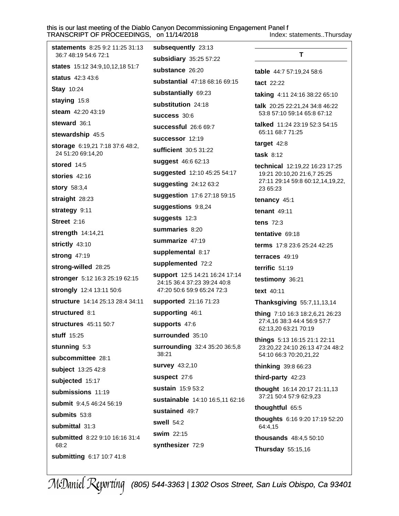Index: statements..Thursday

| <b>statements</b> 8:25 9:2 11:25 31:13  | subsequently 23:13                                            |                                                               |
|-----------------------------------------|---------------------------------------------------------------|---------------------------------------------------------------|
| 36:7 48:19 54:6 72:1                    | subsidiary 35:25 57:22                                        | T                                                             |
| states 15:12 34:9,10,12,18 51:7         | substance 26:20                                               | table 44:7 57:19,24 58:6                                      |
| status 42:3 43:6                        | substantial 47:18 68:16 69:15                                 | <b>tact</b> 22:22                                             |
| <b>Stay 10:24</b>                       | substantially 69:23                                           | <b>taking</b> 4:11 24:16 38:22 65:10                          |
| staying 15:8                            | substitution 24:18                                            | talk 20:25 22:21,24 34:8 46:22                                |
| steam 42:20 43:19                       | <b>success 30:6</b>                                           | 53:8 57:10 59:14 65:8 67:12                                   |
| steward 36:1                            | <b>successful</b> 26:6 69:7                                   | <b>talked</b> $11:24$ 23:19 52:3 54:15                        |
| stewardship 45:5                        | successor 12:19                                               | 65:11 68:7 71:25                                              |
| storage 6:19,21 7:18 37:6 48:2,         | sufficient 30:5 31:22                                         | target $42:8$                                                 |
| 24 51:20 69:14,20                       | suggest 46:6 62:13                                            | task $8:12$                                                   |
| stored 14:5                             | suggested 12:10 45:25 54:17                                   | technical 12:19,22 16:23 17:25<br>19:21 20:10,20 21:6,7 25:25 |
| stories $42:16$                         | suggesting 24:12 63:2                                         | 27:11 29:14 59:8 60:12,14,19,22,                              |
| <b>story</b> 58:3,4                     | suggestion 17:6 27:18 59:15                                   | 23 65:23                                                      |
| straight 28:23                          |                                                               | tenancy 45:1                                                  |
| strategy 9:11                           | suggestions 9:8,24                                            | tenant $49:11$                                                |
| <b>Street 2:16</b>                      | suggests 12:3                                                 | tens $72:3$                                                   |
| strength 14:14,21                       | summaries 8:20                                                | tentative 69:18                                               |
| strictly 43:10                          | summarize 47:19                                               | <b>terms</b> 17:8 23:6 25:24 42:25                            |
| strong 47:19                            | supplemental 8:17                                             | terraces 49:19                                                |
| strong-willed 28:25                     | supplemented 72:2                                             | terrific $51:19$                                              |
| stronger 5:12 16:3 25:19 62:15          | support 12:5 14:21 16:24 17:14<br>24:15 36:4 37:23 39:24 40:8 | testimony 36:21                                               |
| strongly 12:4 13:11 50:6                | 47:20 50:6 59:9 65:24 72:3                                    | text 40:11                                                    |
| <b>structure</b> 14:14 25:13 28:4 34:11 | supported 21:16 71:23                                         | Thanksgiving 55:7,11,13,14                                    |
| structured 8:1                          | supporting 46:1                                               | thing 7:10 16:3 18:2,6,21 26:23                               |
| <b>structures</b> 45:11 50:7            | supports 47:6                                                 | 27:4,16 38:3 44:4 56:9 57:7<br>62:13,20 63:21 70:19           |
| stuff 15:25                             | surrounded 35:10                                              | things 5:13 16:15 21:1 22:11                                  |
| stunning 5:3                            | surrounding 32:4 35:20 36:5,8                                 | 23:20,22 24:10 26:13 47:24 48:2                               |
| subcommittee 28:1                       | 38:21                                                         | 54:10 66:3 70:20,21,22                                        |
| subject 13:25 42:8                      | survey 43:2,10                                                | thinking 39:8 66:23                                           |
| subjected 15:17                         | suspect 27:6                                                  | third-party 42:23                                             |
| submissions 11:19                       | sustain 15:9 53:2                                             | thought 16:14 20:17 21:11,13                                  |
| submit 9:4,5 46:24 56:19                | sustainable 14:10 16:5,11 62:16                               | 37:21 50:4 57:9 62:9,23                                       |
| submits 53:8                            | sustained 49:7                                                | thoughtful 65:5                                               |
| submittal 31:3                          | swell $54:2$                                                  | thoughts 6:16 9:20 17:19 52:20<br>64:4,15                     |
| submitted 8:22 9:10 16:16 31:4          | swim 22:15                                                    | <b>thousands</b> 48:4,5 50:10                                 |
| 68:2                                    | synthesizer 72:9                                              | Thursday 55:15,16                                             |
| submitting 6:17 10:7 41:8               |                                                               |                                                               |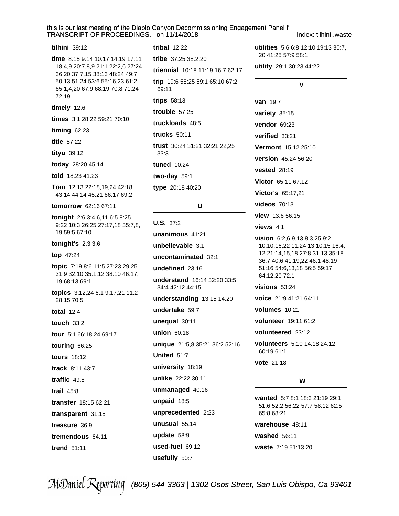#### this is our last meeting of the Diablo Canyon Decommissioning Engagement Panel f т S. on 11/14/2018

Index: tilhini..waste

| RANSCRIPT OF PROCEEDINGS                                                                                                                                                            |
|-------------------------------------------------------------------------------------------------------------------------------------------------------------------------------------|
| $tilhini$ 39:12                                                                                                                                                                     |
| time $8:159:1410:1714:1917:11$<br>18:4,9 20:7,8,9 21:1 22:2,6 27:24<br>36:20 37:7,15 38:13 48:24 49:7<br>50:13 51:24 53:6 55:16,23 61:2<br>65:1,4,20 67:9 68:19 70:8 71:24<br>72:19 |
| timely 12:6                                                                                                                                                                         |
| times 3:1 28:22 59:21 70:10                                                                                                                                                         |
| timing $62:23$                                                                                                                                                                      |
| title 57:22                                                                                                                                                                         |
| tityu 39:12                                                                                                                                                                         |
| today 28:20 45:14                                                                                                                                                                   |
| told 18:23 41:23                                                                                                                                                                    |
| Tom 12:13 22:18,19,24 42:18<br>43:14 44:14 45:21 66:17 69:2                                                                                                                         |
| tomorrow 62:16 67:11                                                                                                                                                                |
| tonight 2:6 3:4,6,11 6:5 8:25<br>9:22 10:3 26:25 27:17,18 35:7,8,<br>19 59:5 67:10                                                                                                  |
| tonight's 2:3 3:6                                                                                                                                                                   |
| top 47:24                                                                                                                                                                           |
| topic 7:19 8:6 11:5 27:23 29:25<br>31:9 32:10 35:1,12 38:10 46:17,<br>19 68:13 69:1                                                                                                 |
| topics 3:12,24 6:1 9:17,21 11:2<br>28:15 70:5                                                                                                                                       |
| total $12:4$                                                                                                                                                                        |
| touch 33:2                                                                                                                                                                          |
| tour 5:1 66:18,24 69:17                                                                                                                                                             |
| touring 66:25                                                                                                                                                                       |
| <b>tours</b> 18:12                                                                                                                                                                  |
| track 8:11 43:7                                                                                                                                                                     |
| traffic 49:8                                                                                                                                                                        |
| trail $45:8$                                                                                                                                                                        |
| transfer 18:15 62:21                                                                                                                                                                |
| transparent 31:15                                                                                                                                                                   |
| treasure 36:9                                                                                                                                                                       |
| tremendous 64:11                                                                                                                                                                    |
| trend $51:11$                                                                                                                                                                       |

tribal  $12:22$ tribe 37:25 38:2,20 triennial 10:18 11:19 16:7 62:17 trip 19:6 58:25 59:1 65:10 67:2 69:11 trips 58:13 trouble  $57:25$ truckloads 48:5 **trucks** 50:11 trust 30:24 31:21 32:21,22,25  $33:3$ tuned 10:24 two-day  $59:1$ type 20:18 40:20 U

### $U.S. 37:2$ unanimous 41:21 unbelievable 3:1 uncontaminated 32:1 undefined  $23:16$ understand 16:14 32:20 33:5 34:4 42:12 44:15 understanding  $13:15$  14:20 undertake 59:7 unequal  $30:11$ union 60:18 unique 21:5,8 35:21 36:2 52:16 United 51:7 university 18:19 unlike 22:22 30:11 unmanaged 40:16 unpaid 18:5 unprecedented 2:23 unusual  $55:14$ update 58:9 used-fuel 69:12

utilities 5:6 6:8 12:10 19:13 30:7. 20 41:25 57:9 58:1 utility 29:1 30:23 44:22 V van 19:7 variety 35:15 vendor 69:23 verified 33:21 Vermont 15:12 25:10 version 45:24 56:20 **vested** 28:19 Victor 65:11 67:12 Victor's 65:17,21 **videos** 70:13 view 13:6 56:15 views  $4:1$ vision 6:2,6,9,13 8:3,25 9:2 10:10,16,22 11:24 13:10,15 16:4, 12 21:14,15,18 27:8 31:13 35:18 36:7 40:6 41:19,22 46:1 48:19 51:16 54:6,13,18 56:5 59:17 64:12,20 72:1 visions  $53:24$ voice 21:9 41:21 64:11 volumes 10:21 volunteer 19:11 61:2 volunteered 23:12 volunteers 5:10 14:18 24:12 60:19 61:1 vote 21:18 W wanted 5:7 8:1 18:3 21:19 29:1 51:6 52:2 56:22 57:7 58:12 62:5 65:8 68:21 warehouse 48:11

washed  $56:11$ 

waste 7:19 51:13,20

McDaniel Reporting (805) 544-3363 | 1302 Osos Street, San Luis Obispo, Ca 93401

usefully 50:7